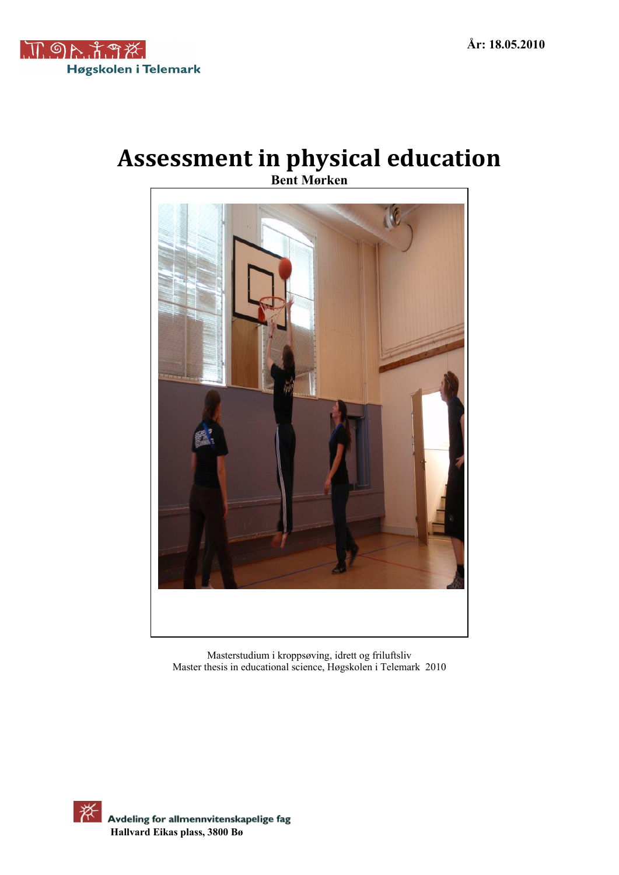

# **Assessment in physical education Bent Mørken**



Masterstudium i kroppsøving, idrett og friluftsliv Master thesis in educational science, Høgskolen i Telemark 2010

举 Avdeling for allmennvitenskapelige fag  **Hallvard Eikas plass, 3800 Bø**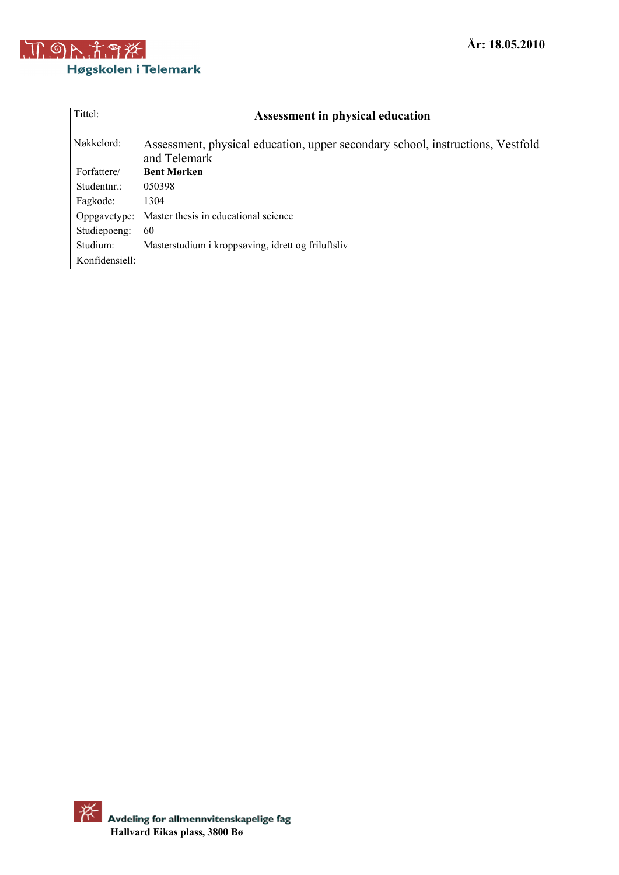

| Tittel:        | <b>Assessment in physical education</b>                                                        |
|----------------|------------------------------------------------------------------------------------------------|
| Nøkkelord:     | Assessment, physical education, upper secondary school, instructions, Vestfold<br>and Telemark |
| Forfattere/    | <b>Bent Mørken</b>                                                                             |
| Studentnr.:    | 050398                                                                                         |
| Fagkode:       | 1304                                                                                           |
| Oppgavetype:   | Master thesis in educational science                                                           |
| Studiepoeng:   | 60                                                                                             |
| Studium:       | Masterstudium i kroppsøving, idrett og friluftsliv                                             |
| Konfidensiell: |                                                                                                |

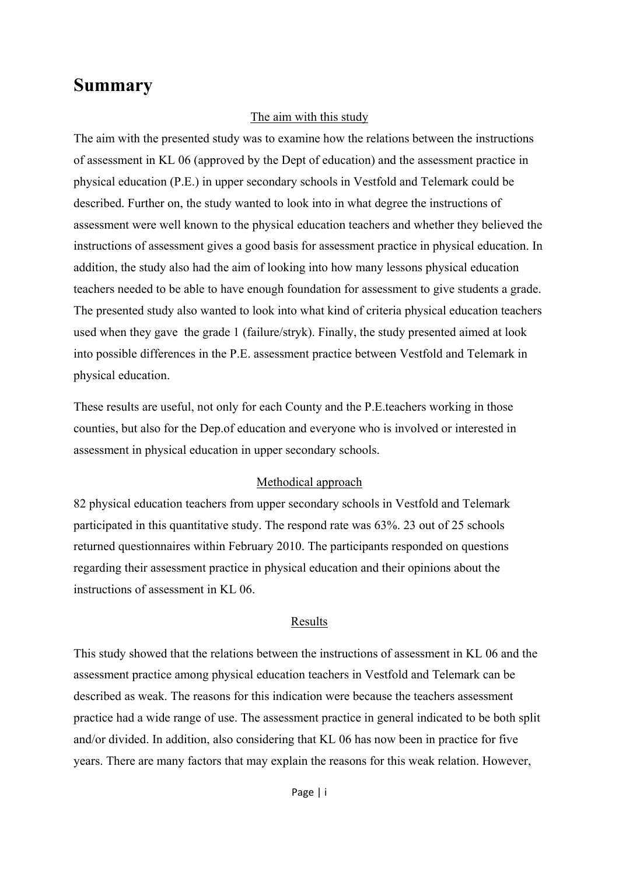# **Summary**

#### The aim with this study

The aim with the presented study was to examine how the relations between the instructions of assessment in KL 06 (approved by the Dept of education) and the assessment practice in physical education (P.E.) in upper secondary schools in Vestfold and Telemark could be described. Further on, the study wanted to look into in what degree the instructions of assessment were well known to the physical education teachers and whether they believed the instructions of assessment gives a good basis for assessment practice in physical education. In addition, the study also had the aim of looking into how many lessons physical education teachers needed to be able to have enough foundation for assessment to give students a grade. The presented study also wanted to look into what kind of criteria physical education teachers used when they gave the grade 1 (failure/stryk). Finally, the study presented aimed at look into possible differences in the P.E. assessment practice between Vestfold and Telemark in physical education.

These results are useful, not only for each County and the P.E.teachers working in those counties, but also for the Dep.of education and everyone who is involved or interested in assessment in physical education in upper secondary schools.

#### Methodical approach

82 physical education teachers from upper secondary schools in Vestfold and Telemark participated in this quantitative study. The respond rate was 63%. 23 out of 25 schools returned questionnaires within February 2010. The participants responded on questions regarding their assessment practice in physical education and their opinions about the instructions of assessment in KL 06.

#### Results

This study showed that the relations between the instructions of assessment in KL 06 and the assessment practice among physical education teachers in Vestfold and Telemark can be described as weak. The reasons for this indication were because the teachers assessment practice had a wide range of use. The assessment practice in general indicated to be both split and/or divided. In addition, also considering that KL 06 has now been in practice for five years. There are many factors that may explain the reasons for this weak relation. However,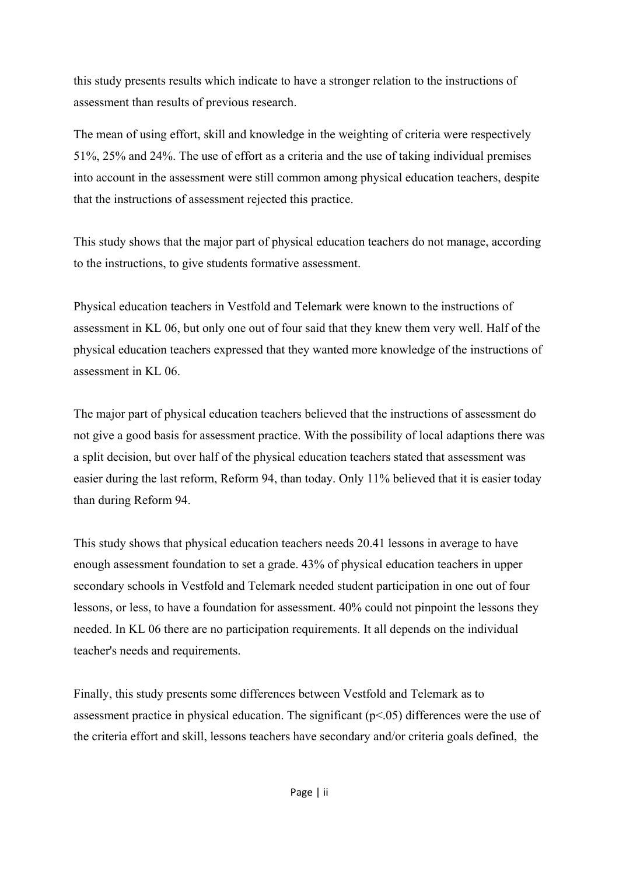this study presents results which indicate to have a stronger relation to the instructions of assessment than results of previous research.

The mean of using effort, skill and knowledge in the weighting of criteria were respectively 51%, 25% and 24%. The use of effort as a criteria and the use of taking individual premises into account in the assessment were still common among physical education teachers, despite that the instructions of assessment rejected this practice.

This study shows that the major part of physical education teachers do not manage, according to the instructions, to give students formative assessment.

Physical education teachers in Vestfold and Telemark were known to the instructions of assessment in KL 06, but only one out of four said that they knew them very well. Half of the physical education teachers expressed that they wanted more knowledge of the instructions of assessment in KL 06.

The major part of physical education teachers believed that the instructions of assessment do not give a good basis for assessment practice. With the possibility of local adaptions there was a split decision, but over half of the physical education teachers stated that assessment was easier during the last reform, Reform 94, than today. Only 11% believed that it is easier today than during Reform 94.

This study shows that physical education teachers needs 20.41 lessons in average to have enough assessment foundation to set a grade. 43% of physical education teachers in upper secondary schools in Vestfold and Telemark needed student participation in one out of four lessons, or less, to have a foundation for assessment. 40% could not pinpoint the lessons they needed. In KL 06 there are no participation requirements. It all depends on the individual teacher's needs and requirements.

Finally, this study presents some differences between Vestfold and Telemark as to assessment practice in physical education. The significant  $(p<0.05)$  differences were the use of the criteria effort and skill, lessons teachers have secondary and/or criteria goals defined, the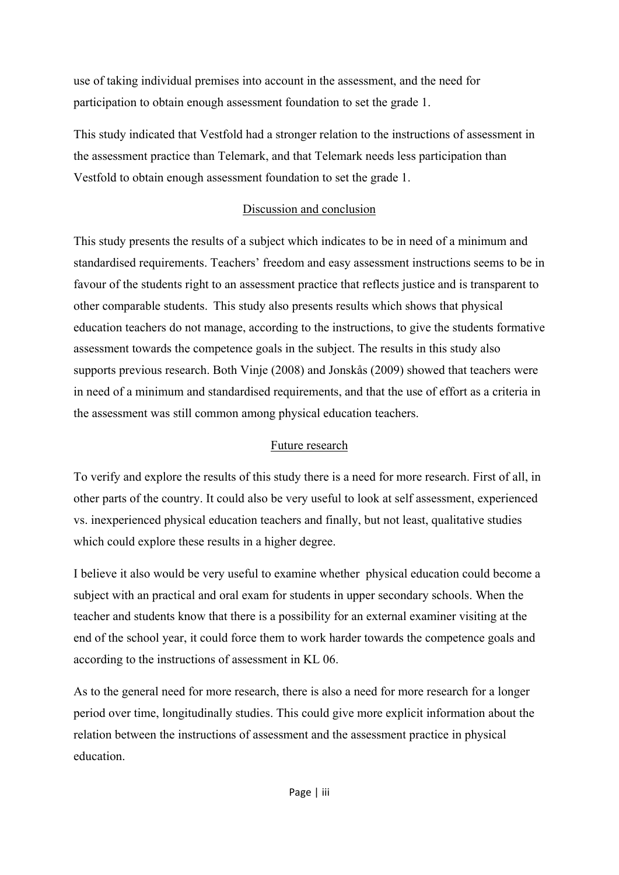use of taking individual premises into account in the assessment, and the need for participation to obtain enough assessment foundation to set the grade 1.

This study indicated that Vestfold had a stronger relation to the instructions of assessment in the assessment practice than Telemark, and that Telemark needs less participation than Vestfold to obtain enough assessment foundation to set the grade 1.

### Discussion and conclusion

This study presents the results of a subject which indicates to be in need of a minimum and standardised requirements. Teachers' freedom and easy assessment instructions seems to be in favour of the students right to an assessment practice that reflects justice and is transparent to other comparable students.This study also presents results which shows that physical education teachers do not manage, according to the instructions, to give the students formative assessment towards the competence goals in the subject. The results in this study also supports previous research. Both Vinje (2008) and Jonskås (2009) showed that teachers were in need of a minimum and standardised requirements, and that the use of effort as a criteria in the assessment was still common among physical education teachers.

### Future research

To verify and explore the results of this study there is a need for more research. First of all, in other parts of the country. It could also be very useful to look at self assessment, experienced vs. inexperienced physical education teachers and finally, but not least, qualitative studies which could explore these results in a higher degree.

I believe it also would be very useful to examine whether physical education could become a subject with an practical and oral exam for students in upper secondary schools. When the teacher and students know that there is a possibility for an external examiner visiting at the end of the school year, it could force them to work harder towards the competence goals and according to the instructions of assessment in KL 06.

As to the general need for more research, there is also a need for more research for a longer period over time, longitudinally studies. This could give more explicit information about the relation between the instructions of assessment and the assessment practice in physical education.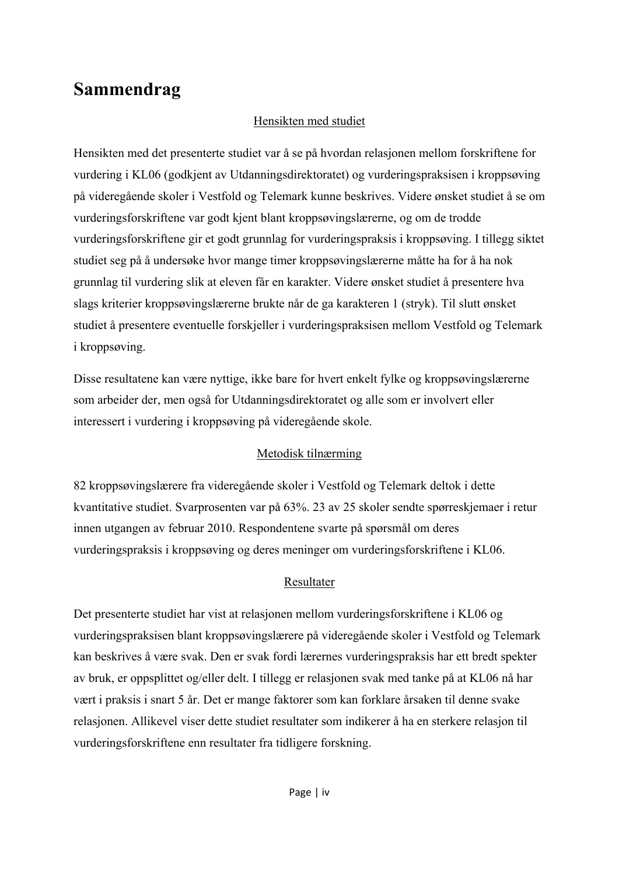# **Sammendrag**

## Hensikten med studiet

Hensikten med det presenterte studiet var å se på hvordan relasjonen mellom forskriftene for vurdering i KL06 (godkjent av Utdanningsdirektoratet) og vurderingspraksisen i kroppsøving på videregående skoler i Vestfold og Telemark kunne beskrives. Videre ønsket studiet å se om vurderingsforskriftene var godt kjent blant kroppsøvingslærerne, og om de trodde vurderingsforskriftene gir et godt grunnlag for vurderingspraksis i kroppsøving. I tillegg siktet studiet seg på å undersøke hvor mange timer kroppsøvingslærerne måtte ha for å ha nok grunnlag til vurdering slik at eleven får en karakter. Videre ønsket studiet å presentere hva slags kriterier kroppsøvingslærerne brukte når de ga karakteren 1 (stryk). Til slutt ønsket studiet å presentere eventuelle forskjeller i vurderingspraksisen mellom Vestfold og Telemark i kroppsøving.

Disse resultatene kan være nyttige, ikke bare for hvert enkelt fylke og kroppsøvingslærerne som arbeider der, men også for Utdanningsdirektoratet og alle som er involvert eller interessert i vurdering i kroppsøving på videregående skole.

## Metodisk tilnærming

82 kroppsøvingslærere fra videregående skoler i Vestfold og Telemark deltok i dette kvantitative studiet. Svarprosenten var på 63%. 23 av 25 skoler sendte spørreskjemaer i retur innen utgangen av februar 2010. Respondentene svarte på spørsmål om deres vurderingspraksis i kroppsøving og deres meninger om vurderingsforskriftene i KL06.

## Resultater

Det presenterte studiet har vist at relasjonen mellom vurderingsforskriftene i KL06 og vurderingspraksisen blant kroppsøvingslærere på videregående skoler i Vestfold og Telemark kan beskrives å være svak. Den er svak fordi lærernes vurderingspraksis har ett bredt spekter av bruk, er oppsplittet og/eller delt. I tillegg er relasjonen svak med tanke på at KL06 nå har vært i praksis i snart 5 år. Det er mange faktorer som kan forklare årsaken til denne svake relasjonen. Allikevel viser dette studiet resultater som indikerer å ha en sterkere relasjon til vurderingsforskriftene enn resultater fra tidligere forskning.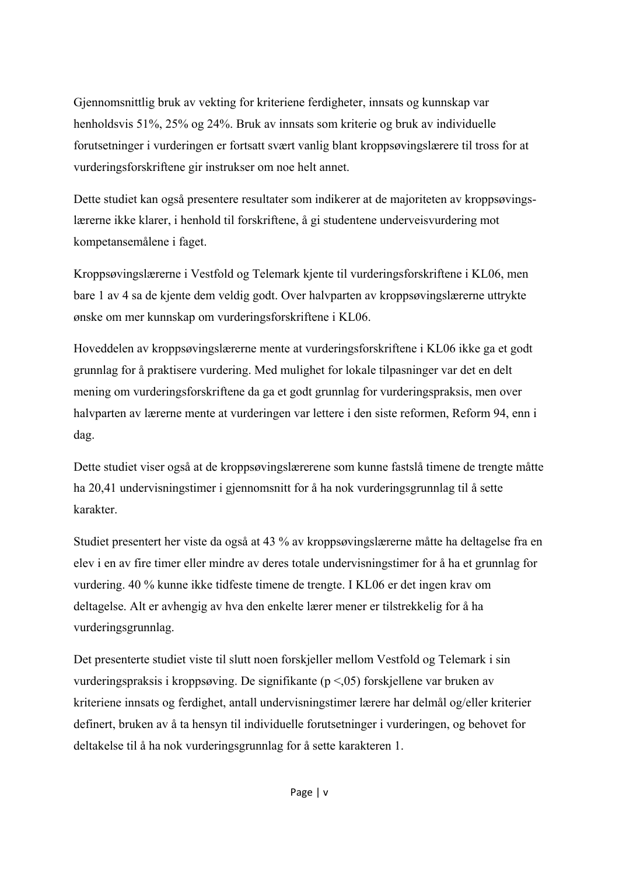Gjennomsnittlig bruk av vekting for kriteriene ferdigheter, innsats og kunnskap var henholdsvis 51%, 25% og 24%. Bruk av innsats som kriterie og bruk av individuelle forutsetninger i vurderingen er fortsatt svært vanlig blant kroppsøvingslærere til tross for at vurderingsforskriftene gir instrukser om noe helt annet.

Dette studiet kan også presentere resultater som indikerer at de majoriteten av kroppsøvingslærerne ikke klarer, i henhold til forskriftene, å gi studentene underveisvurdering mot kompetansemålene i faget.

Kroppsøvingslærerne i Vestfold og Telemark kjente til vurderingsforskriftene i KL06, men bare 1 av 4 sa de kjente dem veldig godt. Over halvparten av kroppsøvingslærerne uttrykte ønske om mer kunnskap om vurderingsforskriftene i KL06.

Hoveddelen av kroppsøvingslærerne mente at vurderingsforskriftene i KL06 ikke ga et godt grunnlag for å praktisere vurdering. Med mulighet for lokale tilpasninger var det en delt mening om vurderingsforskriftene da ga et godt grunnlag for vurderingspraksis, men over halvparten av lærerne mente at vurderingen var lettere i den siste reformen, Reform 94, enn i dag.

Dette studiet viser også at de kroppsøvingslærerene som kunne fastslå timene de trengte måtte ha 20,41 undervisningstimer i gjennomsnitt for å ha nok vurderingsgrunnlag til å sette karakter.

Studiet presentert her viste da også at 43 % av kroppsøvingslærerne måtte ha deltagelse fra en elev i en av fire timer eller mindre av deres totale undervisningstimer for å ha et grunnlag for vurdering. 40 % kunne ikke tidfeste timene de trengte. I KL06 er det ingen krav om deltagelse. Alt er avhengig av hva den enkelte lærer mener er tilstrekkelig for å ha vurderingsgrunnlag.

Det presenterte studiet viste til slutt noen forskjeller mellom Vestfold og Telemark i sin vurderingspraksis i kroppsøving. De signifikante (p <,05) forskjellene var bruken av kriteriene innsats og ferdighet, antall undervisningstimer lærere har delmål og/eller kriterier definert, bruken av å ta hensyn til individuelle forutsetninger i vurderingen, og behovet for deltakelse til å ha nok vurderingsgrunnlag for å sette karakteren 1.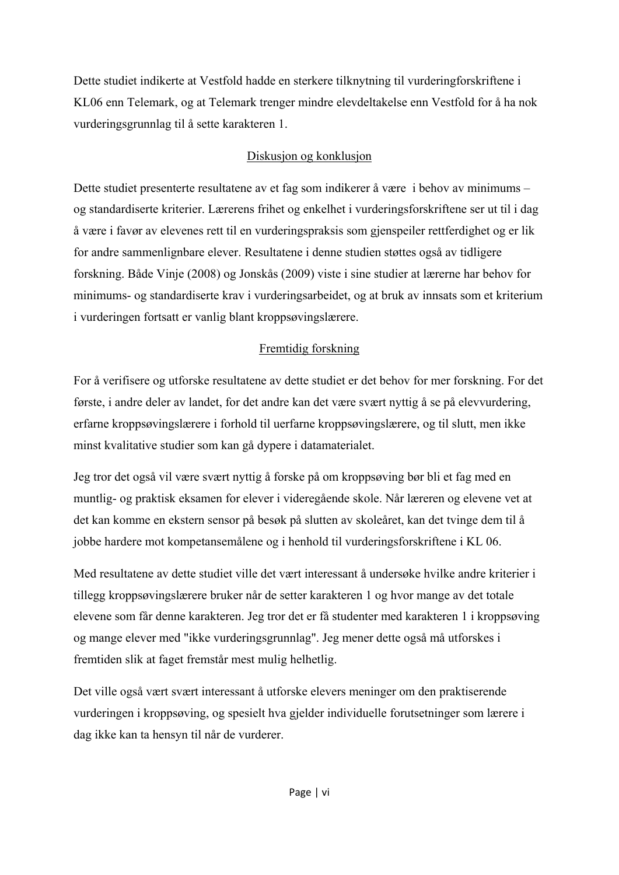Dette studiet indikerte at Vestfold hadde en sterkere tilknytning til vurderingforskriftene i KL06 enn Telemark, og at Telemark trenger mindre elevdeltakelse enn Vestfold for å ha nok vurderingsgrunnlag til å sette karakteren 1.

### Diskusjon og konklusjon

Dette studiet presenterte resultatene av et fag som indikerer å være i behov av minimums – og standardiserte kriterier. Lærerens frihet og enkelhet i vurderingsforskriftene ser ut til i dag å være i favør av elevenes rett til en vurderingspraksis som gjenspeiler rettferdighet og er lik for andre sammenlignbare elever. Resultatene i denne studien støttes også av tidligere forskning. Både Vinje (2008) og Jonskås (2009) viste i sine studier at lærerne har behov for minimums- og standardiserte krav i vurderingsarbeidet, og at bruk av innsats som et kriterium i vurderingen fortsatt er vanlig blant kroppsøvingslærere.

### Fremtidig forskning

For å verifisere og utforske resultatene av dette studiet er det behov for mer forskning. For det første, i andre deler av landet, for det andre kan det være svært nyttig å se på elevvurdering, erfarne kroppsøvingslærere i forhold til uerfarne kroppsøvingslærere, og til slutt, men ikke minst kvalitative studier som kan gå dypere i datamaterialet.

Jeg tror det også vil være svært nyttig å forske på om kroppsøving bør bli et fag med en muntlig- og praktisk eksamen for elever i videregående skole. Når læreren og elevene vet at det kan komme en ekstern sensor på besøk på slutten av skoleåret, kan det tvinge dem til å jobbe hardere mot kompetansemålene og i henhold til vurderingsforskriftene i KL 06.

Med resultatene av dette studiet ville det vært interessant å undersøke hvilke andre kriterier i tillegg kroppsøvingslærere bruker når de setter karakteren 1 og hvor mange av det totale elevene som får denne karakteren. Jeg tror det er få studenter med karakteren 1 i kroppsøving og mange elever med "ikke vurderingsgrunnlag". Jeg mener dette også må utforskes i fremtiden slik at faget fremstår mest mulig helhetlig.

Det ville også vært svært interessant å utforske elevers meninger om den praktiserende vurderingen i kroppsøving, og spesielt hva gjelder individuelle forutsetninger som lærere i dag ikke kan ta hensyn til når de vurderer.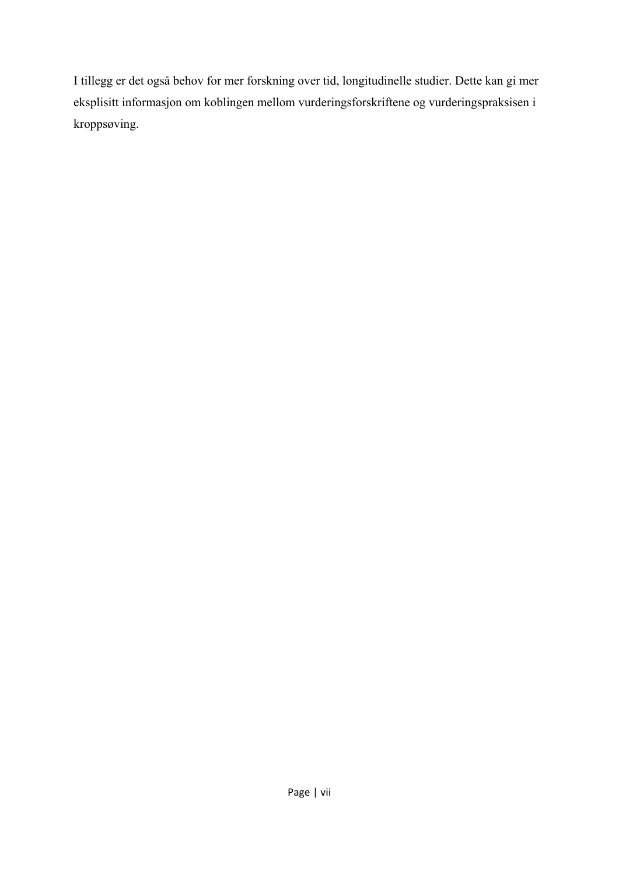I tillegg er det også behov for mer forskning over tid, longitudinelle studier. Dette kan gi mer eksplisitt informasjon om koblingen mellom vurderingsforskriftene og vurderingspraksisen i kroppsøving.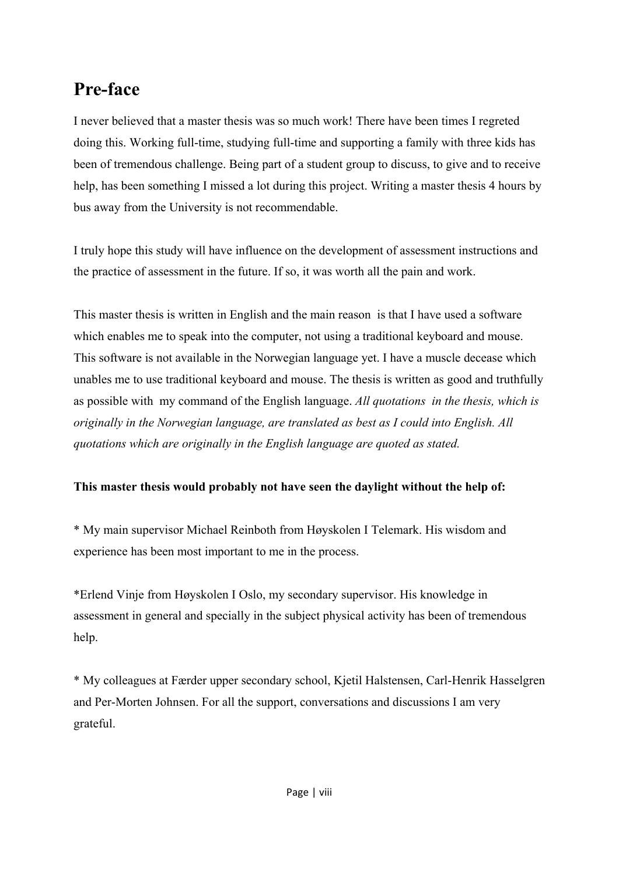# **Pre-face**

I never believed that a master thesis was so much work! There have been times I regreted doing this. Working full-time, studying full-time and supporting a family with three kids has been of tremendous challenge. Being part of a student group to discuss, to give and to receive help, has been something I missed a lot during this project. Writing a master thesis 4 hours by bus away from the University is not recommendable.

I truly hope this study will have influence on the development of assessment instructions and the practice of assessment in the future. If so, it was worth all the pain and work.

This master thesis is written in English and the main reason is that I have used a software which enables me to speak into the computer, not using a traditional keyboard and mouse. This software is not available in the Norwegian language yet. I have a muscle decease which unables me to use traditional keyboard and mouse. The thesis is written as good and truthfully as possible with my command of the English language. *All quotations in the thesis, which is originally in the Norwegian language, are translated as best as I could into English. All quotations which are originally in the English language are quoted as stated.* 

### **This master thesis would probably not have seen the daylight without the help of:**

\* My main supervisor Michael Reinboth from Høyskolen I Telemark. His wisdom and experience has been most important to me in the process.

\*Erlend Vinje from Høyskolen I Oslo, my secondary supervisor. His knowledge in assessment in general and specially in the subject physical activity has been of tremendous help.

\* My colleagues at Færder upper secondary school, Kjetil Halstensen, Carl-Henrik Hasselgren and Per-Morten Johnsen. For all the support, conversations and discussions I am very grateful.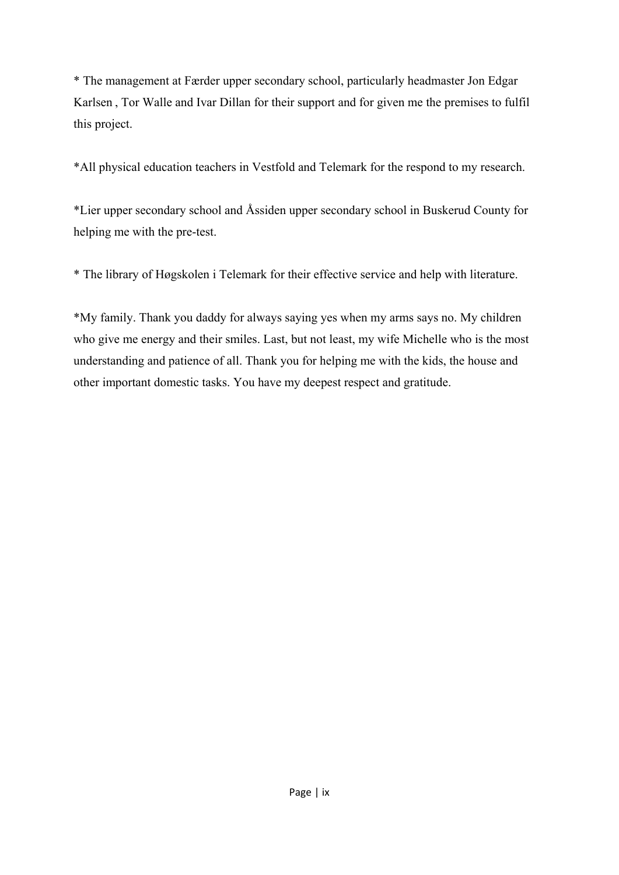\* The management at Færder upper secondary school, particularly headmaster Jon Edgar Karlsen , Tor Walle and Ivar Dillan for their support and for given me the premises to fulfil this project.

\*All physical education teachers in Vestfold and Telemark for the respond to my research.

\*Lier upper secondary school and Åssiden upper secondary school in Buskerud County for helping me with the pre-test.

\* The library of Høgskolen i Telemark for their effective service and help with literature.

\*My family. Thank you daddy for always saying yes when my arms says no. My children who give me energy and their smiles. Last, but not least, my wife Michelle who is the most understanding and patience of all. Thank you for helping me with the kids, the house and other important domestic tasks. You have my deepest respect and gratitude.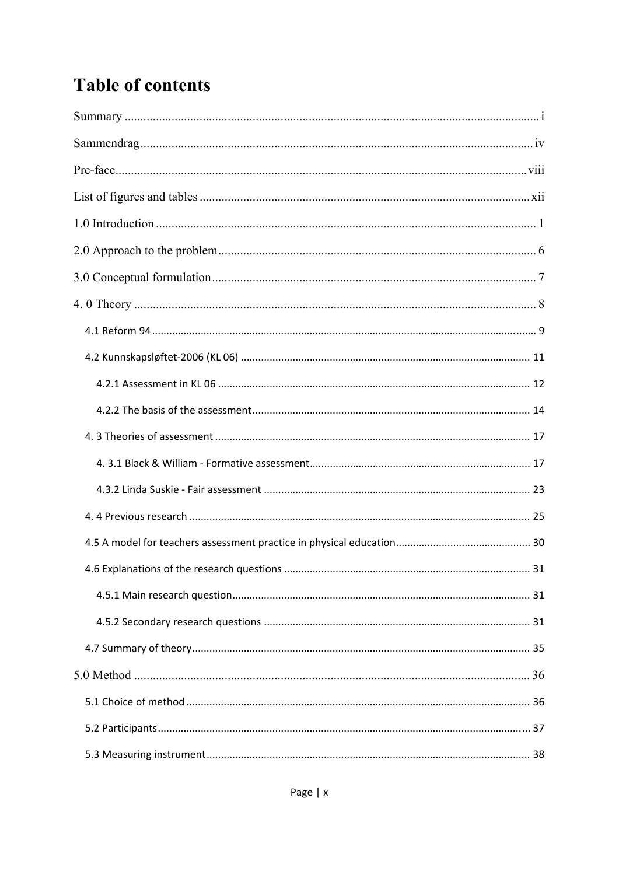# **Table of contents**

| 31 |
|----|
|    |
|    |
|    |
|    |
|    |
|    |
|    |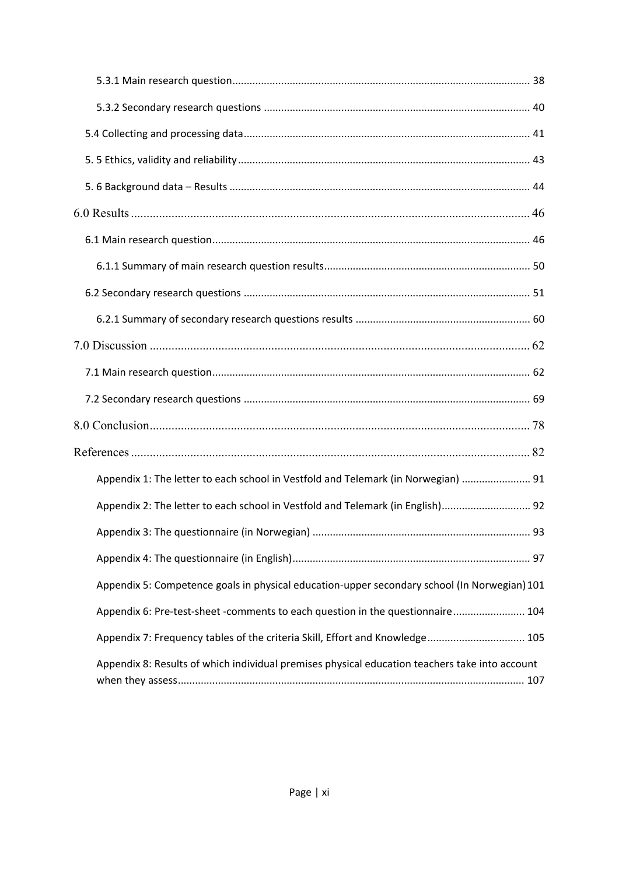| Appendix 1: The letter to each school in Vestfold and Telemark (in Norwegian)  91              |  |
|------------------------------------------------------------------------------------------------|--|
| Appendix 2: The letter to each school in Vestfold and Telemark (in English) 92                 |  |
|                                                                                                |  |
|                                                                                                |  |
| Appendix 5: Competence goals in physical education-upper secondary school (In Norwegian) 101   |  |
| Appendix 6: Pre-test-sheet -comments to each question in the questionnaire 104                 |  |
| Appendix 7: Frequency tables of the criteria Skill, Effort and Knowledge 105                   |  |
| Appendix 8: Results of which individual premises physical education teachers take into account |  |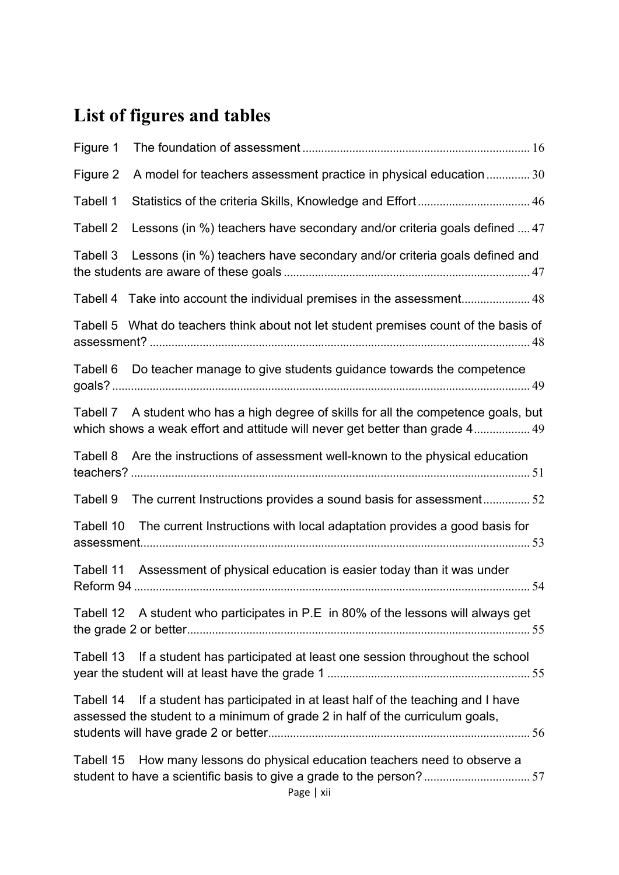# **List of figures and tables**

| Figure 1  |                                                                                                                                                                      |  |
|-----------|----------------------------------------------------------------------------------------------------------------------------------------------------------------------|--|
| Figure 2  | A model for teachers assessment practice in physical education  30                                                                                                   |  |
| Tabell 1  |                                                                                                                                                                      |  |
| Tabell 2  | Lessons (in %) teachers have secondary and/or criteria goals defined  47                                                                                             |  |
| Tabell 3  | Lessons (in %) teachers have secondary and/or criteria goals defined and                                                                                             |  |
| Tabell 4  |                                                                                                                                                                      |  |
|           | Tabell 5 What do teachers think about not let student premises count of the basis of                                                                                 |  |
|           | Tabell 6 Do teacher manage to give students guidance towards the competence                                                                                          |  |
|           | Tabell 7 A student who has a high degree of skills for all the competence goals, but<br>which shows a weak effort and attitude will never get better than grade 4 49 |  |
|           | Tabell 8 Are the instructions of assessment well-known to the physical education                                                                                     |  |
| Tabell 9  | The current Instructions provides a sound basis for assessment52                                                                                                     |  |
| Tabell 10 | The current Instructions with local adaptation provides a good basis for                                                                                             |  |
|           | Tabell 11 Assessment of physical education is easier today than it was under                                                                                         |  |
|           | Tabell 12 A student who participates in P.E in 80% of the lessons will always get                                                                                    |  |
|           | Tabell 13 If a student has participated at least one session throughout the school                                                                                   |  |
|           | Tabell 14 If a student has participated in at least half of the teaching and I have<br>assessed the student to a minimum of grade 2 in half of the curriculum goals, |  |
| Tabell 15 | How many lessons do physical education teachers need to observe a                                                                                                    |  |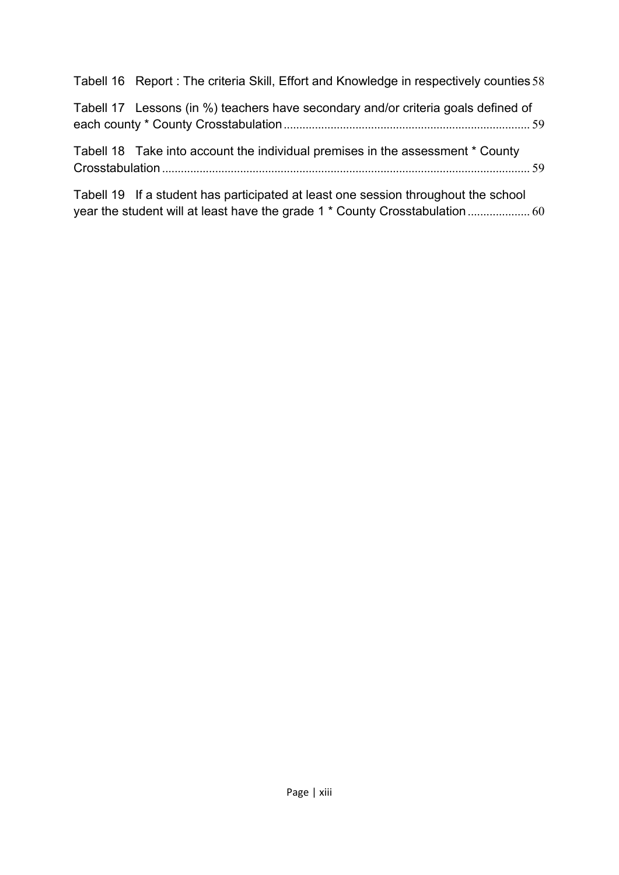| Tabell 16 Report: The criteria Skill, Effort and Knowledge in respectively counties 58 |  |
|----------------------------------------------------------------------------------------|--|
| Tabell 17 Lessons (in %) teachers have secondary and/or criteria goals defined of      |  |
| Tabell 18 Take into account the individual premises in the assessment * County         |  |
| Tabell 19 If a student has participated at least one session throughout the school     |  |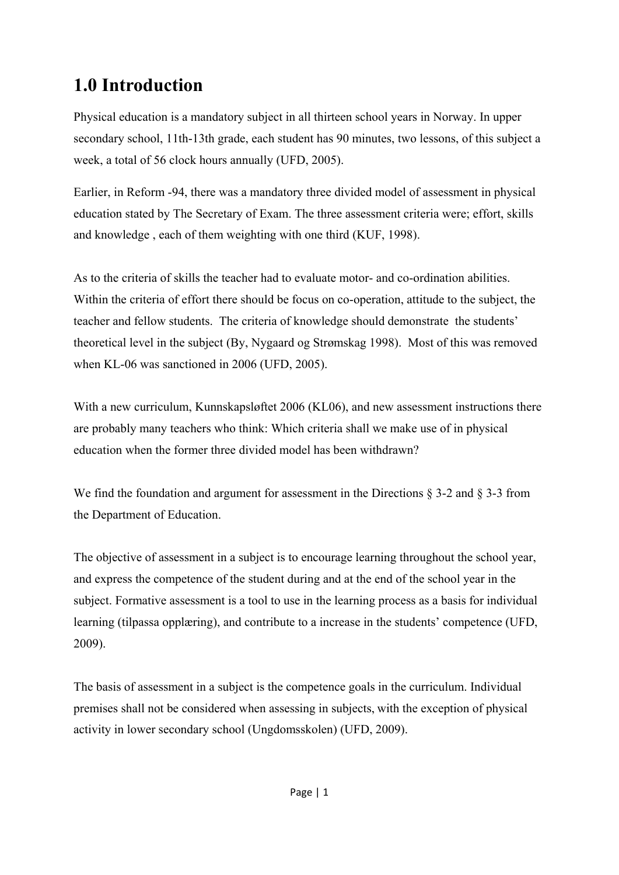# **1.0 Introduction**

Physical education is a mandatory subject in all thirteen school years in Norway. In upper secondary school, 11th-13th grade, each student has 90 minutes, two lessons, of this subject a week, a total of 56 clock hours annually (UFD, 2005).

Earlier, in Reform -94, there was a mandatory three divided model of assessment in physical education stated by The Secretary of Exam. The three assessment criteria were; effort, skills and knowledge , each of them weighting with one third (KUF, 1998).

As to the criteria of skills the teacher had to evaluate motor- and co-ordination abilities. Within the criteria of effort there should be focus on co-operation, attitude to the subject, the teacher and fellow students. The criteria of knowledge should demonstrate the students' theoretical level in the subject (By, Nygaard og Strømskag 1998). Most of this was removed when KL-06 was sanctioned in 2006 (UFD, 2005).

With a new curriculum, Kunnskapsløftet 2006 (KL06), and new assessment instructions there are probably many teachers who think: Which criteria shall we make use of in physical education when the former three divided model has been withdrawn?

We find the foundation and argument for assessment in the Directions § 3-2 and § 3-3 from the Department of Education.

The objective of assessment in a subject is to encourage learning throughout the school year, and express the competence of the student during and at the end of the school year in the subject. Formative assessment is a tool to use in the learning process as a basis for individual learning (tilpassa opplæring), and contribute to a increase in the students' competence (UFD, 2009).

The basis of assessment in a subject is the competence goals in the curriculum. Individual premises shall not be considered when assessing in subjects, with the exception of physical activity in lower secondary school (Ungdomsskolen) (UFD, 2009).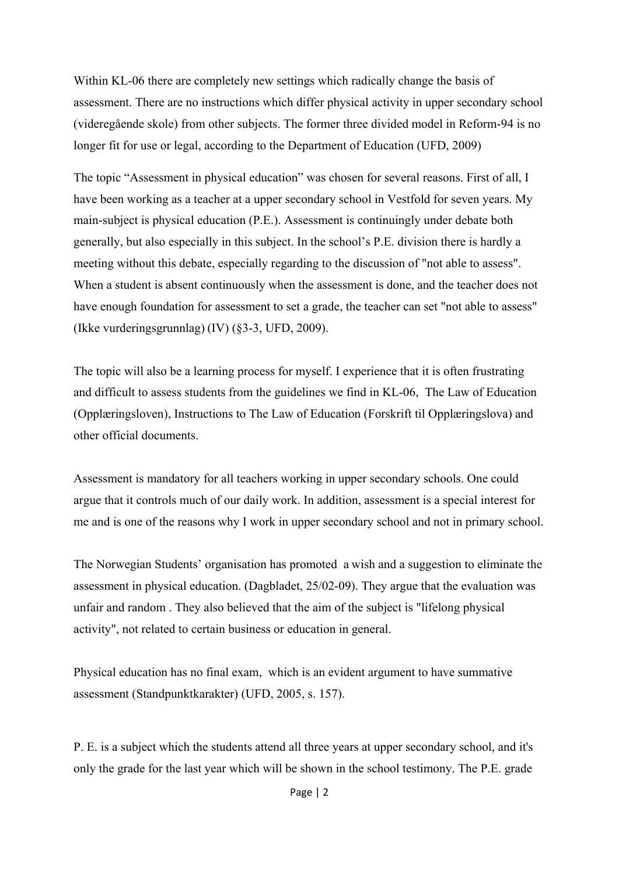Within KL-06 there are completely new settings which radically change the basis of assessment. There are no instructions which differ physical activity in upper secondary school (videregående skole) from other subjects. The former three divided model in Reform-94 is no longer fit for use or legal, according to the Department of Education (UFD, 2009)

The topic "Assessment in physical education" was chosen for several reasons. First of all, I have been working as a teacher at a upper secondary school in Vestfold for seven years. My main-subject is physical education (P.E.). Assessment is continuingly under debate both generally, but also especially in this subject. In the school's P.E. division there is hardly a meeting without this debate, especially regarding to the discussion of "not able to assess". When a student is absent continuously when the assessment is done, and the teacher does not have enough foundation for assessment to set a grade, the teacher can set "not able to assess" (Ikke vurderingsgrunnlag) (IV) (§3-3, UFD, 2009).

The topic will also be a learning process for myself. I experience that it is often frustrating and difficult to assess students from the guidelines we find in KL-06, The Law of Education (Opplæringsloven), Instructions to The Law of Education (Forskrift til Opplæringslova) and other official documents.

Assessment is mandatory for all teachers working in upper secondary schools. One could argue that it controls much of our daily work. In addition, assessment is a special interest for me and is one of the reasons why I work in upper secondary school and not in primary school.

The Norwegian Students' organisation has promoted a wish and a suggestion to eliminate the assessment in physical education. (Dagbladet, 25/02-09). They argue that the evaluation was unfair and random . They also believed that the aim of the subject is "lifelong physical activity", not related to certain business or education in general.

Physical education has no final exam, which is an evident argument to have summative assessment (Standpunktkarakter) (UFD, 2005, s. 157).

P. E. is a subject which the students attend all three years at upper secondary school, and it's only the grade for the last year which will be shown in the school testimony. The P.E. grade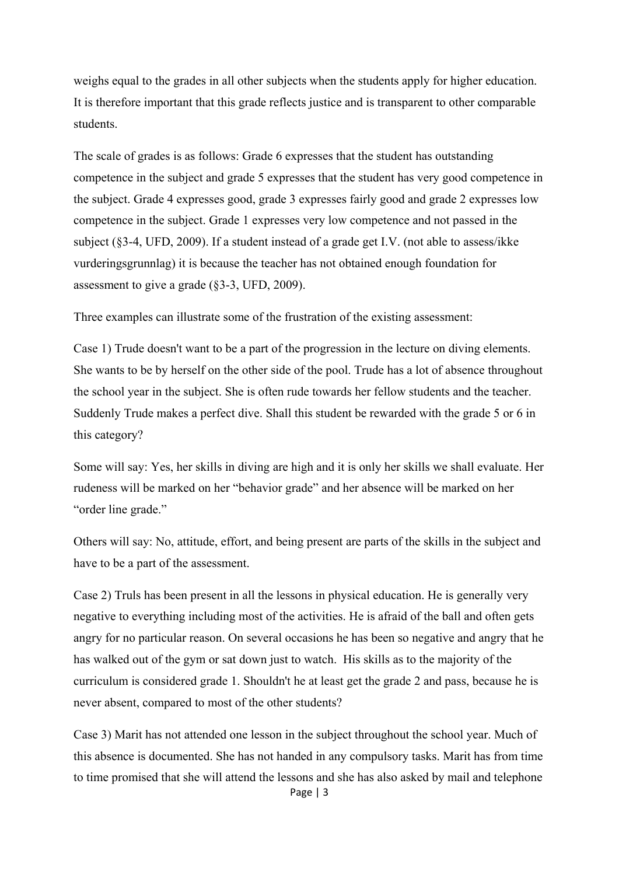weighs equal to the grades in all other subjects when the students apply for higher education. It is therefore important that this grade reflects justice and is transparent to other comparable students.

The scale of grades is as follows: Grade 6 expresses that the student has outstanding competence in the subject and grade 5 expresses that the student has very good competence in the subject. Grade 4 expresses good, grade 3 expresses fairly good and grade 2 expresses low competence in the subject. Grade 1 expresses very low competence and not passed in the subject (§3-4, UFD, 2009). If a student instead of a grade get I.V. (not able to assess/ikke vurderingsgrunnlag) it is because the teacher has not obtained enough foundation for assessment to give a grade (§3-3, UFD, 2009).

Three examples can illustrate some of the frustration of the existing assessment:

Case 1) Trude doesn't want to be a part of the progression in the lecture on diving elements. She wants to be by herself on the other side of the pool. Trude has a lot of absence throughout the school year in the subject. She is often rude towards her fellow students and the teacher. Suddenly Trude makes a perfect dive. Shall this student be rewarded with the grade 5 or 6 in this category?

Some will say: Yes, her skills in diving are high and it is only her skills we shall evaluate. Her rudeness will be marked on her "behavior grade" and her absence will be marked on her "order line grade."

Others will say: No, attitude, effort, and being present are parts of the skills in the subject and have to be a part of the assessment.

Case 2) Truls has been present in all the lessons in physical education. He is generally very negative to everything including most of the activities. He is afraid of the ball and often gets angry for no particular reason. On several occasions he has been so negative and angry that he has walked out of the gym or sat down just to watch. His skills as to the majority of the curriculum is considered grade 1. Shouldn't he at least get the grade 2 and pass, because he is never absent, compared to most of the other students?

Case 3) Marit has not attended one lesson in the subject throughout the school year. Much of this absence is documented. She has not handed in any compulsory tasks. Marit has from time to time promised that she will attend the lessons and she has also asked by mail and telephone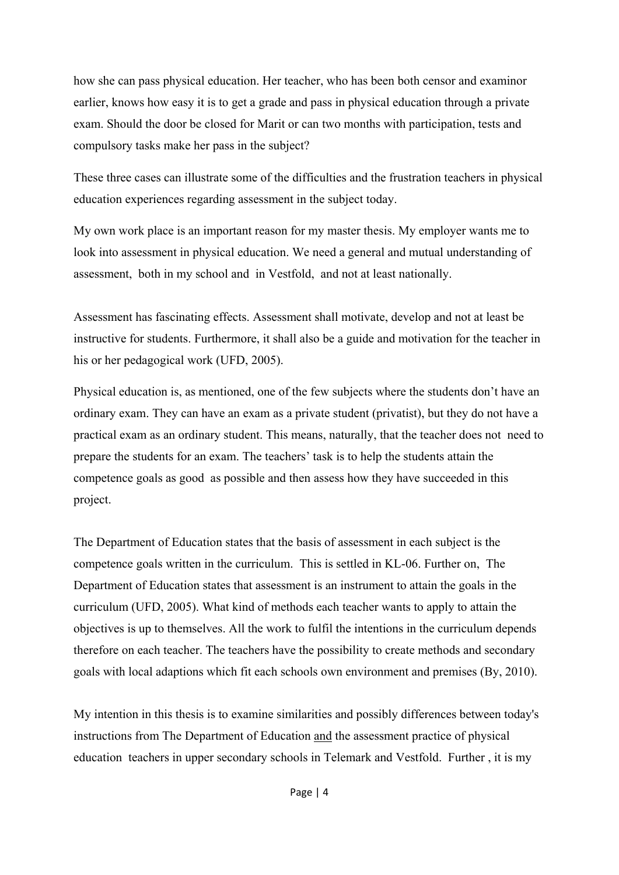how she can pass physical education. Her teacher, who has been both censor and examinor earlier, knows how easy it is to get a grade and pass in physical education through a private exam. Should the door be closed for Marit or can two months with participation, tests and compulsory tasks make her pass in the subject?

These three cases can illustrate some of the difficulties and the frustration teachers in physical education experiences regarding assessment in the subject today.

My own work place is an important reason for my master thesis. My employer wants me to look into assessment in physical education. We need a general and mutual understanding of assessment, both in my school and in Vestfold, and not at least nationally.

Assessment has fascinating effects. Assessment shall motivate, develop and not at least be instructive for students. Furthermore, it shall also be a guide and motivation for the teacher in his or her pedagogical work (UFD, 2005).

Physical education is, as mentioned, one of the few subjects where the students don't have an ordinary exam. They can have an exam as a private student (privatist), but they do not have a practical exam as an ordinary student. This means, naturally, that the teacher does not need to prepare the students for an exam. The teachers' task is to help the students attain the competence goals as good as possible and then assess how they have succeeded in this project.

The Department of Education states that the basis of assessment in each subject is the competence goals written in the curriculum. This is settled in KL-06. Further on, The Department of Education states that assessment is an instrument to attain the goals in the curriculum (UFD, 2005). What kind of methods each teacher wants to apply to attain the objectives is up to themselves. All the work to fulfil the intentions in the curriculum depends therefore on each teacher. The teachers have the possibility to create methods and secondary goals with local adaptions which fit each schools own environment and premises (By, 2010).

My intention in this thesis is to examine similarities and possibly differences between today's instructions from The Department of Education and the assessment practice of physical education teachers in upper secondary schools in Telemark and Vestfold. Further , it is my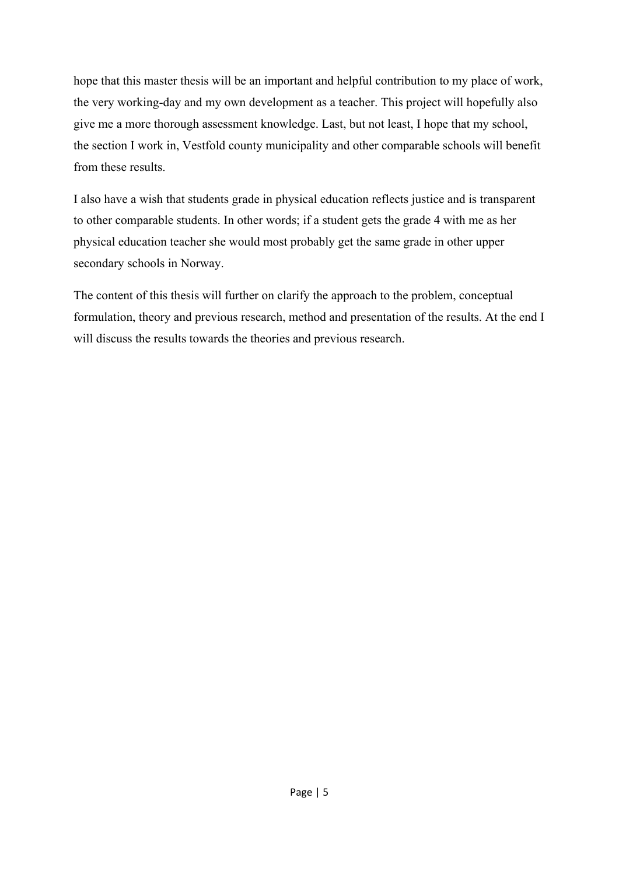hope that this master thesis will be an important and helpful contribution to my place of work, the very working-day and my own development as a teacher. This project will hopefully also give me a more thorough assessment knowledge. Last, but not least, I hope that my school, the section I work in, Vestfold county municipality and other comparable schools will benefit from these results.

I also have a wish that students grade in physical education reflects justice and is transparent to other comparable students. In other words; if a student gets the grade 4 with me as her physical education teacher she would most probably get the same grade in other upper secondary schools in Norway.

The content of this thesis will further on clarify the approach to the problem, conceptual formulation, theory and previous research, method and presentation of the results. At the end I will discuss the results towards the theories and previous research.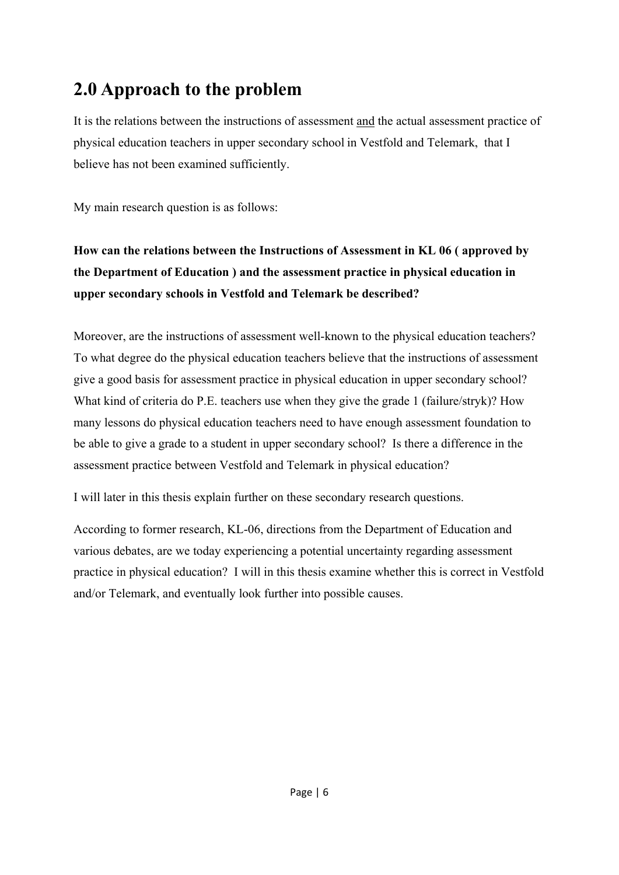# **2.0 Approach to the problem**

It is the relations between the instructions of assessment and the actual assessment practice of physical education teachers in upper secondary school in Vestfold and Telemark, that I believe has not been examined sufficiently.

My main research question is as follows:

# **How can the relations between the Instructions of Assessment in KL 06 ( approved by the Department of Education ) and the assessment practice in physical education in upper secondary schools in Vestfold and Telemark be described?**

Moreover, are the instructions of assessment well-known to the physical education teachers? To what degree do the physical education teachers believe that the instructions of assessment give a good basis for assessment practice in physical education in upper secondary school? What kind of criteria do P.E. teachers use when they give the grade 1 (failure/stryk)? How many lessons do physical education teachers need to have enough assessment foundation to be able to give a grade to a student in upper secondary school? Is there a difference in the assessment practice between Vestfold and Telemark in physical education?

I will later in this thesis explain further on these secondary research questions.

According to former research, KL-06, directions from the Department of Education and various debates, are we today experiencing a potential uncertainty regarding assessment practice in physical education? I will in this thesis examine whether this is correct in Vestfold and/or Telemark, and eventually look further into possible causes.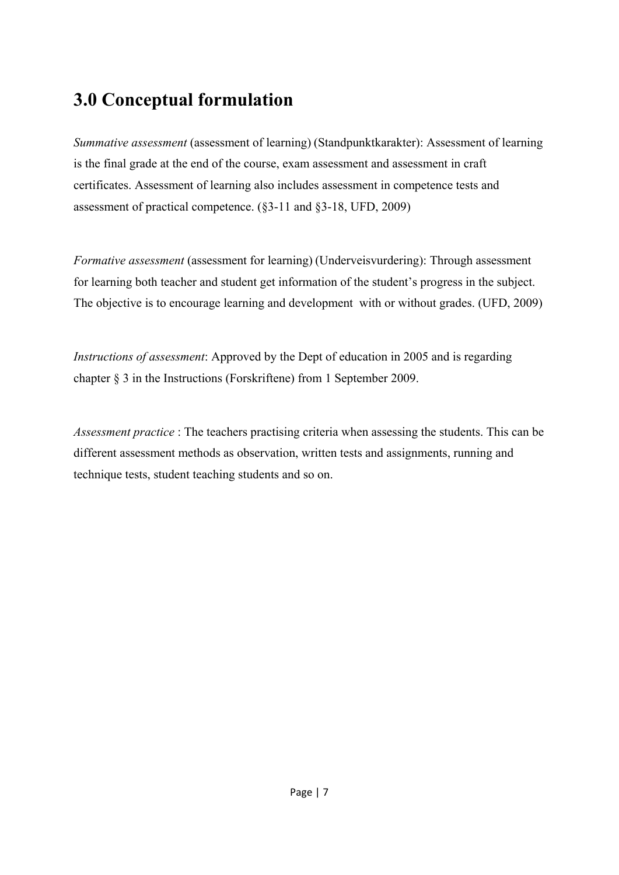# **3.0 Conceptual formulation**

*Summative assessment* (assessment of learning) (Standpunktkarakter): Assessment of learning is the final grade at the end of the course, exam assessment and assessment in craft certificates. Assessment of learning also includes assessment in competence tests and assessment of practical competence. (§3-11 and §3-18, UFD, 2009)

*Formative assessment* (assessment for learning) (Underveisvurdering): Through assessment for learning both teacher and student get information of the student's progress in the subject. The objective is to encourage learning and development with or without grades. (UFD, 2009)

*Instructions of assessment*: Approved by the Dept of education in 2005 and is regarding chapter § 3 in the Instructions (Forskriftene) from 1 September 2009.

*Assessment practice* : The teachers practising criteria when assessing the students. This can be different assessment methods as observation, written tests and assignments, running and technique tests, student teaching students and so on.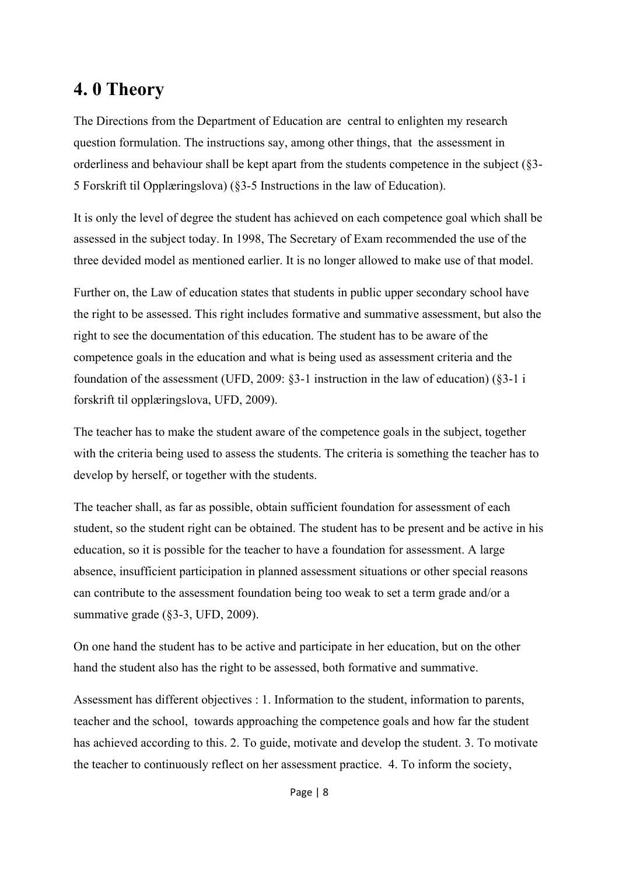# **4. 0 Theory**

The Directions from the Department of Education are central to enlighten my research question formulation. The instructions say, among other things, that the assessment in orderliness and behaviour shall be kept apart from the students competence in the subject (§3- 5 Forskrift til Opplæringslova) (§3-5 Instructions in the law of Education).

It is only the level of degree the student has achieved on each competence goal which shall be assessed in the subject today. In 1998, The Secretary of Exam recommended the use of the three devided model as mentioned earlier. It is no longer allowed to make use of that model.

Further on, the Law of education states that students in public upper secondary school have the right to be assessed. This right includes formative and summative assessment, but also the right to see the documentation of this education. The student has to be aware of the competence goals in the education and what is being used as assessment criteria and the foundation of the assessment (UFD, 2009: §3-1 instruction in the law of education) (§3-1 i forskrift til opplæringslova, UFD, 2009).

The teacher has to make the student aware of the competence goals in the subject, together with the criteria being used to assess the students. The criteria is something the teacher has to develop by herself, or together with the students.

The teacher shall, as far as possible, obtain sufficient foundation for assessment of each student, so the student right can be obtained. The student has to be present and be active in his education, so it is possible for the teacher to have a foundation for assessment. A large absence, insufficient participation in planned assessment situations or other special reasons can contribute to the assessment foundation being too weak to set a term grade and/or a summative grade (§3-3, UFD, 2009).

On one hand the student has to be active and participate in her education, but on the other hand the student also has the right to be assessed, both formative and summative.

Assessment has different objectives : 1. Information to the student, information to parents, teacher and the school, towards approaching the competence goals and how far the student has achieved according to this. 2. To guide, motivate and develop the student. 3. To motivate the teacher to continuously reflect on her assessment practice. 4. To inform the society,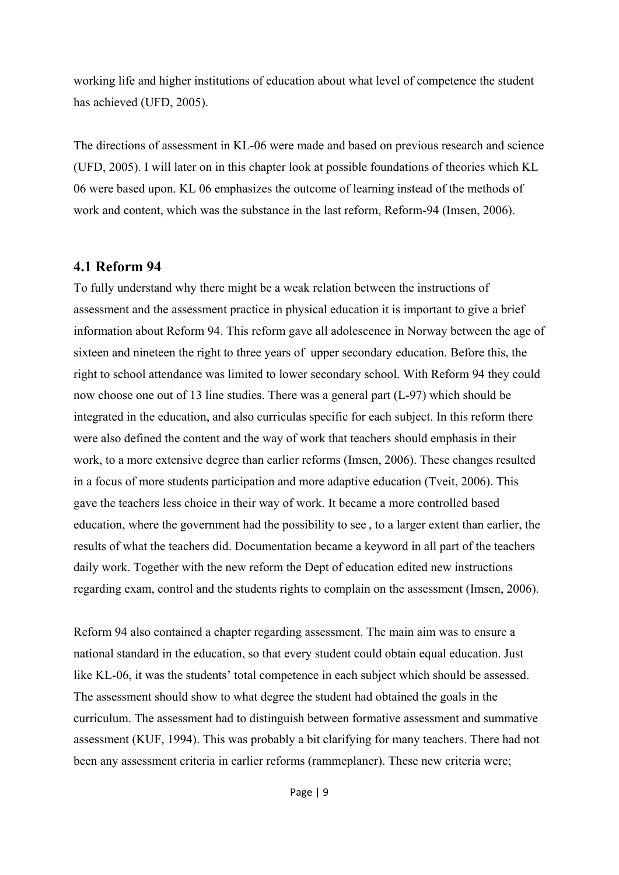working life and higher institutions of education about what level of competence the student has achieved (UFD, 2005).

The directions of assessment in KL-06 were made and based on previous research and science (UFD, 2005). I will later on in this chapter look at possible foundations of theories which KL 06 were based upon. KL 06 emphasizes the outcome of learning instead of the methods of work and content, which was the substance in the last reform, Reform-94 (Imsen, 2006).

### **4.1 Reform 94**

To fully understand why there might be a weak relation between the instructions of assessment and the assessment practice in physical education it is important to give a brief information about Reform 94. This reform gave all adolescence in Norway between the age of sixteen and nineteen the right to three years of upper secondary education. Before this, the right to school attendance was limited to lower secondary school. With Reform 94 they could now choose one out of 13 line studies. There was a general part (L-97) which should be integrated in the education, and also curriculas specific for each subject. In this reform there were also defined the content and the way of work that teachers should emphasis in their work, to a more extensive degree than earlier reforms (Imsen, 2006). These changes resulted in a focus of more students participation and more adaptive education (Tveit, 2006). This gave the teachers less choice in their way of work. It became a more controlled based education, where the government had the possibility to see , to a larger extent than earlier, the results of what the teachers did. Documentation became a keyword in all part of the teachers daily work. Together with the new reform the Dept of education edited new instructions regarding exam, control and the students rights to complain on the assessment (Imsen, 2006).

Reform 94 also contained a chapter regarding assessment. The main aim was to ensure a national standard in the education, so that every student could obtain equal education. Just like KL-06, it was the students' total competence in each subject which should be assessed. The assessment should show to what degree the student had obtained the goals in the curriculum. The assessment had to distinguish between formative assessment and summative assessment (KUF, 1994). This was probably a bit clarifying for many teachers. There had not been any assessment criteria in earlier reforms (rammeplaner). These new criteria were;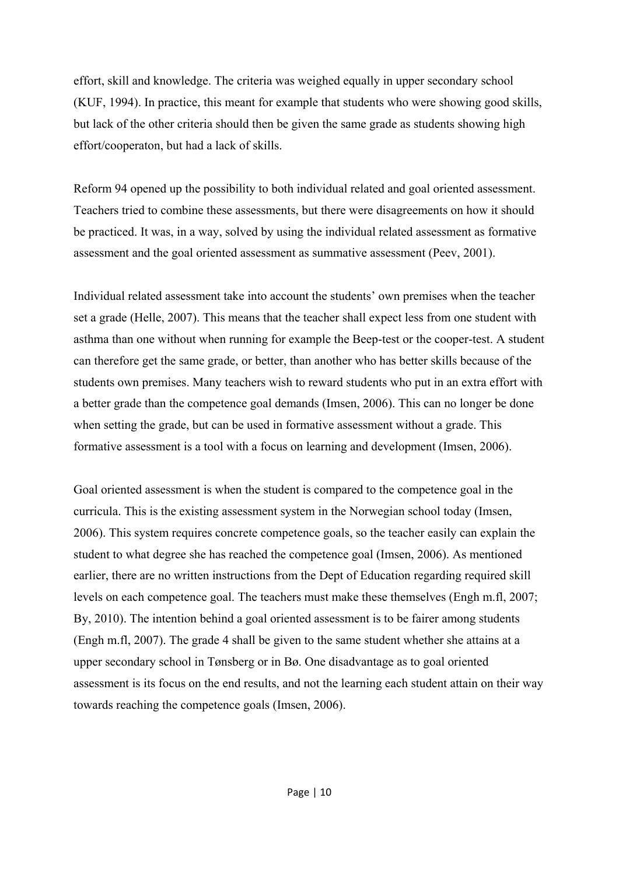effort, skill and knowledge. The criteria was weighed equally in upper secondary school (KUF, 1994). In practice, this meant for example that students who were showing good skills, but lack of the other criteria should then be given the same grade as students showing high effort/cooperaton, but had a lack of skills.

Reform 94 opened up the possibility to both individual related and goal oriented assessment. Teachers tried to combine these assessments, but there were disagreements on how it should be practiced. It was, in a way, solved by using the individual related assessment as formative assessment and the goal oriented assessment as summative assessment (Peev, 2001).

Individual related assessment take into account the students' own premises when the teacher set a grade (Helle, 2007). This means that the teacher shall expect less from one student with asthma than one without when running for example the Beep-test or the cooper-test. A student can therefore get the same grade, or better, than another who has better skills because of the students own premises. Many teachers wish to reward students who put in an extra effort with a better grade than the competence goal demands (Imsen, 2006). This can no longer be done when setting the grade, but can be used in formative assessment without a grade. This formative assessment is a tool with a focus on learning and development (Imsen, 2006).

Goal oriented assessment is when the student is compared to the competence goal in the curricula. This is the existing assessment system in the Norwegian school today (Imsen, 2006). This system requires concrete competence goals, so the teacher easily can explain the student to what degree she has reached the competence goal (Imsen, 2006). As mentioned earlier, there are no written instructions from the Dept of Education regarding required skill levels on each competence goal. The teachers must make these themselves (Engh m.fl, 2007; By, 2010). The intention behind a goal oriented assessment is to be fairer among students (Engh m.fl, 2007). The grade 4 shall be given to the same student whether she attains at a upper secondary school in Tønsberg or in Bø. One disadvantage as to goal oriented assessment is its focus on the end results, and not the learning each student attain on their way towards reaching the competence goals (Imsen, 2006).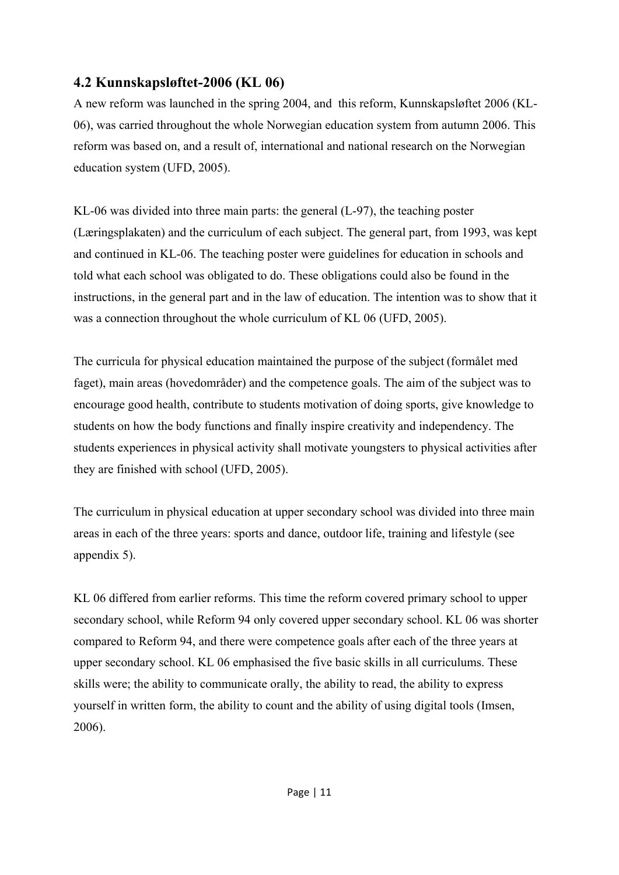## **4.2 Kunnskapsløftet-2006 (KL 06)**

A new reform was launched in the spring 2004, and this reform, Kunnskapsløftet 2006 (KL-06), was carried throughout the whole Norwegian education system from autumn 2006. This reform was based on, and a result of, international and national research on the Norwegian education system (UFD, 2005).

KL-06 was divided into three main parts: the general (L-97), the teaching poster (Læringsplakaten) and the curriculum of each subject. The general part, from 1993, was kept and continued in KL-06. The teaching poster were guidelines for education in schools and told what each school was obligated to do. These obligations could also be found in the instructions, in the general part and in the law of education. The intention was to show that it was a connection throughout the whole curriculum of KL 06 (UFD, 2005).

The curricula for physical education maintained the purpose of the subject (formålet med faget), main areas (hovedområder) and the competence goals. The aim of the subject was to encourage good health, contribute to students motivation of doing sports, give knowledge to students on how the body functions and finally inspire creativity and independency. The students experiences in physical activity shall motivate youngsters to physical activities after they are finished with school (UFD, 2005).

The curriculum in physical education at upper secondary school was divided into three main areas in each of the three years: sports and dance, outdoor life, training and lifestyle (see appendix 5).

KL 06 differed from earlier reforms. This time the reform covered primary school to upper secondary school, while Reform 94 only covered upper secondary school. KL 06 was shorter compared to Reform 94, and there were competence goals after each of the three years at upper secondary school. KL 06 emphasised the five basic skills in all curriculums. These skills were; the ability to communicate orally, the ability to read, the ability to express yourself in written form, the ability to count and the ability of using digital tools (Imsen, 2006).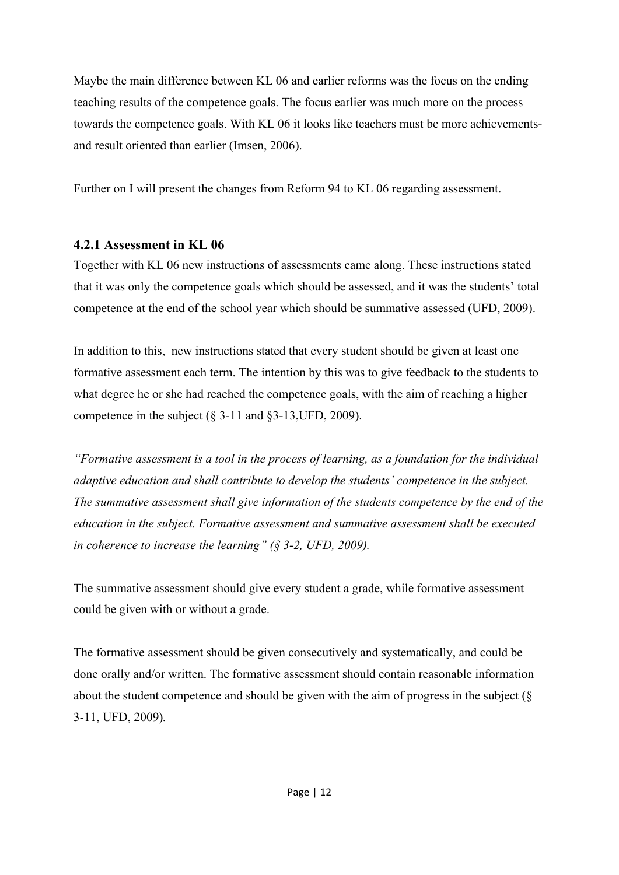Maybe the main difference between KL 06 and earlier reforms was the focus on the ending teaching results of the competence goals. The focus earlier was much more on the process towards the competence goals. With KL 06 it looks like teachers must be more achievementsand result oriented than earlier (Imsen, 2006).

Further on I will present the changes from Reform 94 to KL 06 regarding assessment.

#### **4.2.1 Assessment in KL 06**

Together with KL 06 new instructions of assessments came along. These instructions stated that it was only the competence goals which should be assessed, and it was the students' total competence at the end of the school year which should be summative assessed (UFD, 2009).

In addition to this, new instructions stated that every student should be given at least one formative assessment each term. The intention by this was to give feedback to the students to what degree he or she had reached the competence goals, with the aim of reaching a higher competence in the subject (§ 3-11 and §3-13,UFD, 2009).

*"Formative assessment is a tool in the process of learning, as a foundation for the individual adaptive education and shall contribute to develop the students' competence in the subject. The summative assessment shall give information of the students competence by the end of the education in the subject. Formative assessment and summative assessment shall be executed in coherence to increase the learning" (§ 3-2, UFD, 2009).* 

The summative assessment should give every student a grade, while formative assessment could be given with or without a grade.

The formative assessment should be given consecutively and systematically, and could be done orally and/or written. The formative assessment should contain reasonable information about the student competence and should be given with the aim of progress in the subject (§ 3-11, UFD, 2009)*.*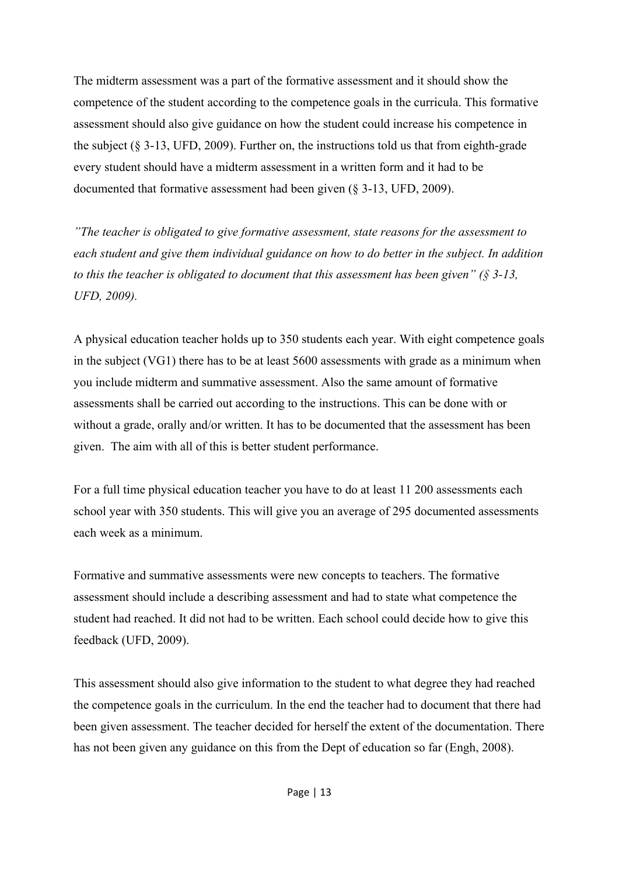The midterm assessment was a part of the formative assessment and it should show the competence of the student according to the competence goals in the curricula. This formative assessment should also give guidance on how the student could increase his competence in the subject  $(\S 3-13, UFD, 2009)$ . Further on, the instructions told us that from eighth-grade every student should have a midterm assessment in a written form and it had to be documented that formative assessment had been given (§ 3-13, UFD, 2009).

*"The teacher is obligated to give formative assessment, state reasons for the assessment to each student and give them individual guidance on how to do better in the subject. In addition to this the teacher is obligated to document that this assessment has been given" (§ 3-13, UFD, 2009).* 

A physical education teacher holds up to 350 students each year. With eight competence goals in the subject (VG1) there has to be at least 5600 assessments with grade as a minimum when you include midterm and summative assessment. Also the same amount of formative assessments shall be carried out according to the instructions. This can be done with or without a grade, orally and/or written. It has to be documented that the assessment has been given. The aim with all of this is better student performance.

For a full time physical education teacher you have to do at least 11 200 assessments each school year with 350 students. This will give you an average of 295 documented assessments each week as a minimum.

Formative and summative assessments were new concepts to teachers. The formative assessment should include a describing assessment and had to state what competence the student had reached. It did not had to be written. Each school could decide how to give this feedback (UFD, 2009).

This assessment should also give information to the student to what degree they had reached the competence goals in the curriculum. In the end the teacher had to document that there had been given assessment. The teacher decided for herself the extent of the documentation. There has not been given any guidance on this from the Dept of education so far (Engh, 2008).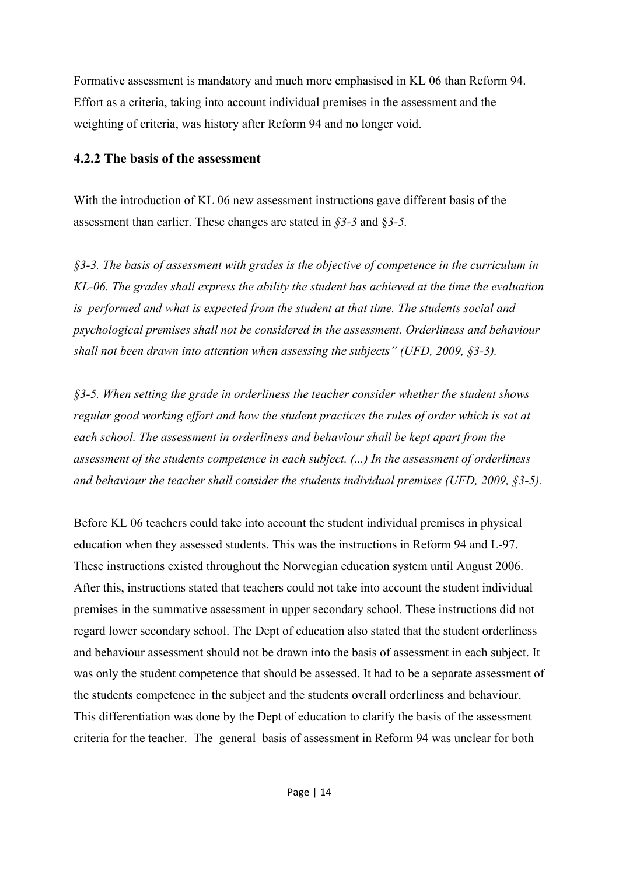Formative assessment is mandatory and much more emphasised in KL 06 than Reform 94. Effort as a criteria, taking into account individual premises in the assessment and the weighting of criteria, was history after Reform 94 and no longer void.

### **4.2.2 The basis of the assessment**

With the introduction of KL 06 new assessment instructions gave different basis of the assessment than earlier. These changes are stated in *§3-3* and §*3-5.* 

*§3-3. The basis of assessment with grades is the objective of competence in the curriculum in KL-06. The grades shall express the ability the student has achieved at the time the evaluation is performed and what is expected from the student at that time. The students social and psychological premises shall not be considered in the assessment. Orderliness and behaviour shall not been drawn into attention when assessing the subjects" (UFD, 2009, §3-3).* 

*§3-5. When setting the grade in orderliness the teacher consider whether the student shows regular good working effort and how the student practices the rules of order which is sat at each school. The assessment in orderliness and behaviour shall be kept apart from the assessment of the students competence in each subject. (...) In the assessment of orderliness and behaviour the teacher shall consider the students individual premises (UFD, 2009, §3-5).* 

Before KL 06 teachers could take into account the student individual premises in physical education when they assessed students. This was the instructions in Reform 94 and L-97. These instructions existed throughout the Norwegian education system until August 2006. After this, instructions stated that teachers could not take into account the student individual premises in the summative assessment in upper secondary school. These instructions did not regard lower secondary school. The Dept of education also stated that the student orderliness and behaviour assessment should not be drawn into the basis of assessment in each subject. It was only the student competence that should be assessed. It had to be a separate assessment of the students competence in the subject and the students overall orderliness and behaviour. This differentiation was done by the Dept of education to clarify the basis of the assessment criteria for the teacher. The general basis of assessment in Reform 94 was unclear for both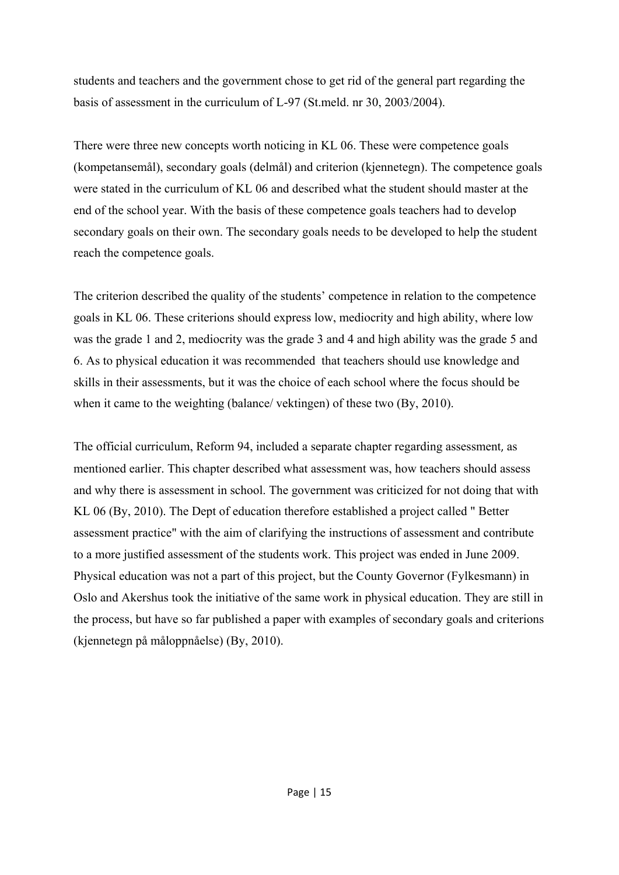students and teachers and the government chose to get rid of the general part regarding the basis of assessment in the curriculum of L-97 (St.meld. nr 30, 2003/2004).

There were three new concepts worth noticing in KL 06. These were competence goals (kompetansemål), secondary goals (delmål) and criterion (kjennetegn). The competence goals were stated in the curriculum of KL 06 and described what the student should master at the end of the school year. With the basis of these competence goals teachers had to develop secondary goals on their own. The secondary goals needs to be developed to help the student reach the competence goals.

The criterion described the quality of the students' competence in relation to the competence goals in KL 06. These criterions should express low, mediocrity and high ability, where low was the grade 1 and 2, mediocrity was the grade 3 and 4 and high ability was the grade 5 and 6. As to physical education it was recommended that teachers should use knowledge and skills in their assessments, but it was the choice of each school where the focus should be when it came to the weighting (balance/ vektingen) of these two (By, 2010).

The official curriculum, Reform 94, included a separate chapter regarding assessment, as mentioned earlier. This chapter described what assessment was, how teachers should assess and why there is assessment in school. The government was criticized for not doing that with KL 06 (By, 2010). The Dept of education therefore established a project called " Better assessment practice" with the aim of clarifying the instructions of assessment and contribute to a more justified assessment of the students work. This project was ended in June 2009. Physical education was not a part of this project, but the County Governor (Fylkesmann) in Oslo and Akershus took the initiative of the same work in physical education. They are still in the process, but have so far published a paper with examples of secondary goals and criterions (kjennetegn på måloppnåelse) (By, 2010).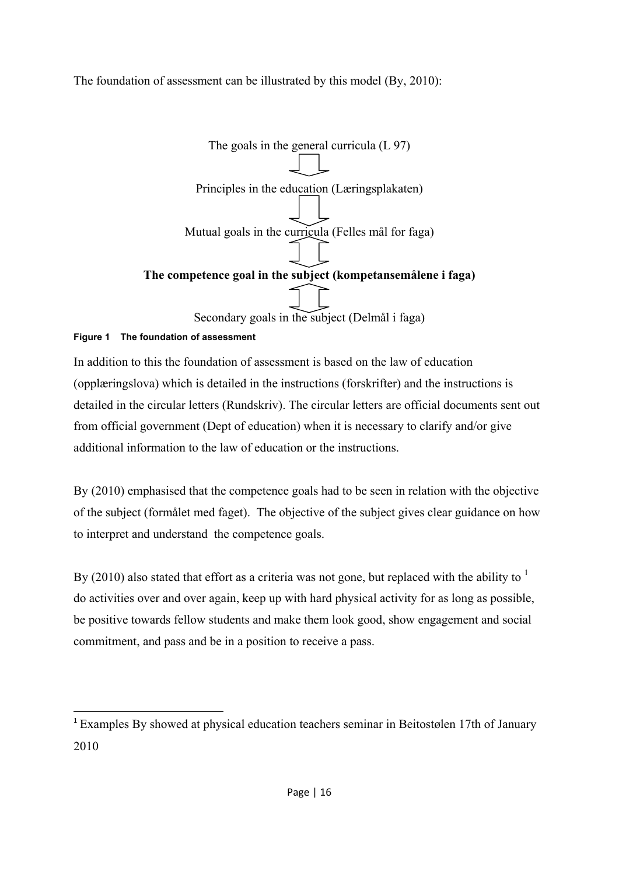### The foundation of assessment can be illustrated by this model (By, 2010):



### **Figure 1 The foundation of assessment**

In addition to this the foundation of assessment is based on the law of education (opplæringslova) which is detailed in the instructions (forskrifter) and the instructions is detailed in the circular letters (Rundskriv). The circular letters are official documents sent out from official government (Dept of education) when it is necessary to clarify and/or give additional information to the law of education or the instructions.

By (2010) emphasised that the competence goals had to be seen in relation with the objective of the subject (formålet med faget). The objective of the subject gives clear guidance on how to interpret and understand the competence goals.

By (2010) also stated that effort as a criteria was not gone, but replaced with the ability to  $<sup>1</sup>$ </sup> do activities over and over again, keep up with hard physical activity for as long as possible, be positive towards fellow students and make them look good, show engagement and social commitment, and pass and be in a position to receive a pass.

<sup>1</sup> Examples By showed at physical education teachers seminar in Beitostølen 17th of January 2010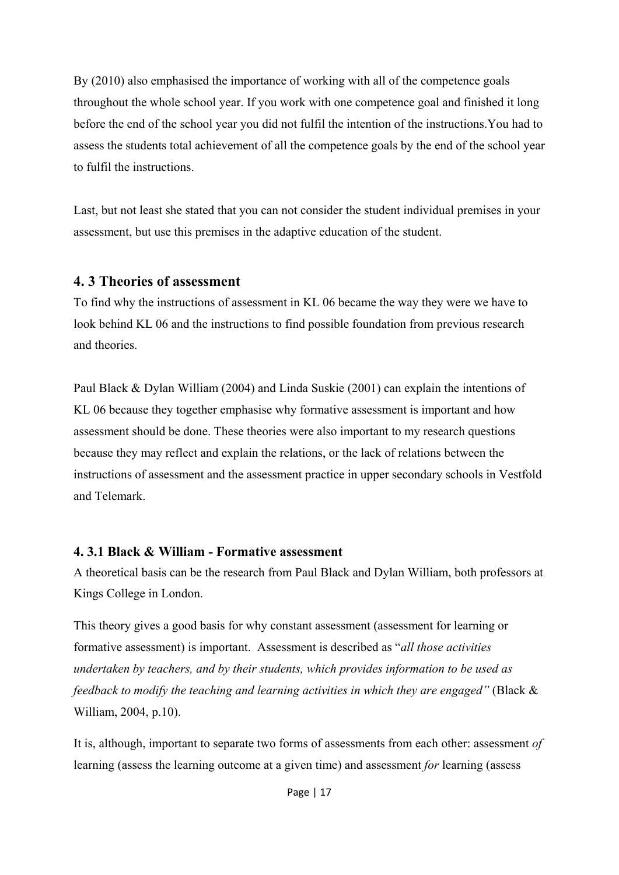By (2010) also emphasised the importance of working with all of the competence goals throughout the whole school year. If you work with one competence goal and finished it long before the end of the school year you did not fulfil the intention of the instructions.You had to assess the students total achievement of all the competence goals by the end of the school year to fulfil the instructions.

Last, but not least she stated that you can not consider the student individual premises in your assessment, but use this premises in the adaptive education of the student.

### **4. 3 Theories of assessment**

To find why the instructions of assessment in KL 06 became the way they were we have to look behind KL 06 and the instructions to find possible foundation from previous research and theories.

Paul Black & Dylan William (2004) and Linda Suskie (2001) can explain the intentions of KL 06 because they together emphasise why formative assessment is important and how assessment should be done. These theories were also important to my research questions because they may reflect and explain the relations, or the lack of relations between the instructions of assessment and the assessment practice in upper secondary schools in Vestfold and Telemark.

#### **4. 3.1 Black & William - Formative assessment**

A theoretical basis can be the research from Paul Black and Dylan William, both professors at Kings College in London.

This theory gives a good basis for why constant assessment (assessment for learning or formative assessment) is important. Assessment is described as "*all those activities undertaken by teachers, and by their students, which provides information to be used as feedback to modify the teaching and learning activities in which they are engaged"* (Black & William, 2004, p.10).

It is, although, important to separate two forms of assessments from each other: assessment *of* learning (assess the learning outcome at a given time) and assessment *for* learning (assess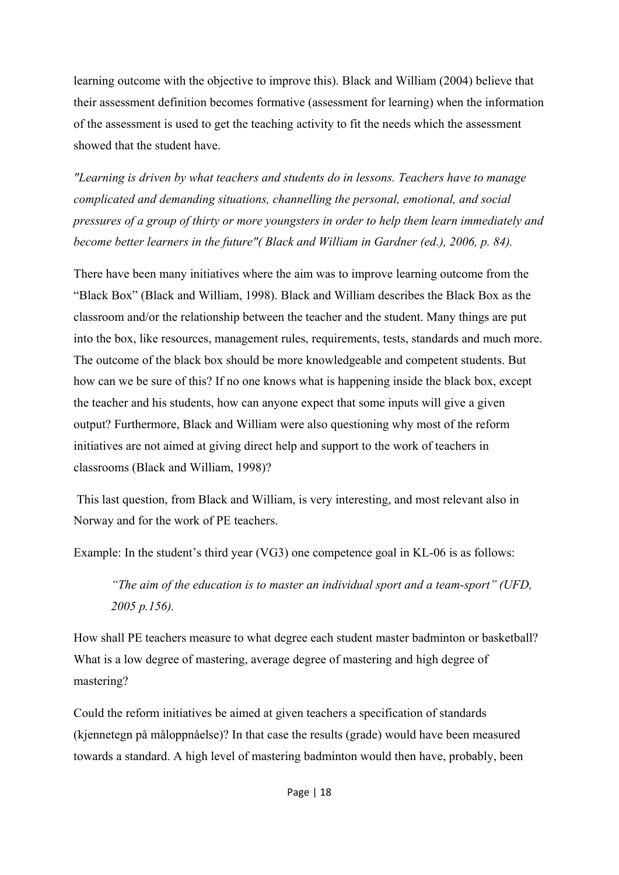learning outcome with the objective to improve this). Black and William (2004) believe that their assessment definition becomes formative (assessment for learning) when the information of the assessment is used to get the teaching activity to fit the needs which the assessment showed that the student have.

*"Learning is driven by what teachers and students do in lessons. Teachers have to manage complicated and demanding situations, channelling the personal, emotional, and social pressures of a group of thirty or more youngsters in order to help them learn immediately and become better learners in the future"( Black and William in Gardner (ed.), 2006, p. 84).* 

There have been many initiatives where the aim was to improve learning outcome from the "Black Box" (Black and William, 1998). Black and William describes the Black Box as the classroom and/or the relationship between the teacher and the student. Many things are put into the box, like resources, management rules, requirements, tests, standards and much more. The outcome of the black box should be more knowledgeable and competent students. But how can we be sure of this? If no one knows what is happening inside the black box, except the teacher and his students, how can anyone expect that some inputs will give a given output? Furthermore, Black and William were also questioning why most of the reform initiatives are not aimed at giving direct help and support to the work of teachers in classrooms (Black and William, 1998)?

 This last question, from Black and William, is very interesting, and most relevant also in Norway and for the work of PE teachers.

Example: In the student's third year (VG3) one competence goal in KL-06 is as follows:

*"The aim of the education is to master an individual sport and a team-sport" (UFD, 2005 p.156).* 

How shall PE teachers measure to what degree each student master badminton or basketball? What is a low degree of mastering, average degree of mastering and high degree of mastering?

Could the reform initiatives be aimed at given teachers a specification of standards (kjennetegn på måloppnåelse)? In that case the results (grade) would have been measured towards a standard. A high level of mastering badminton would then have, probably, been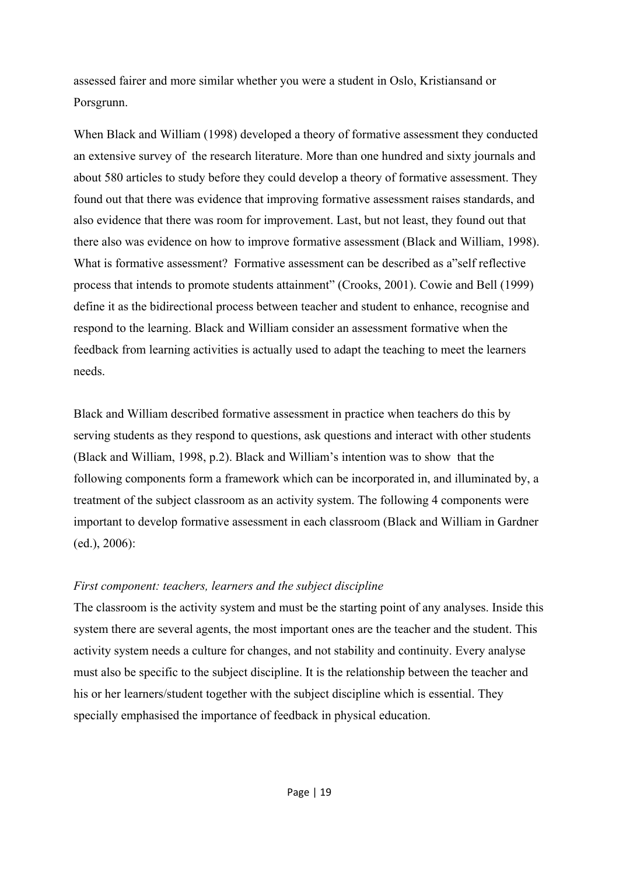assessed fairer and more similar whether you were a student in Oslo, Kristiansand or Porsgrunn.

When Black and William (1998) developed a theory of formative assessment they conducted an extensive survey of the research literature. More than one hundred and sixty journals and about 580 articles to study before they could develop a theory of formative assessment. They found out that there was evidence that improving formative assessment raises standards, and also evidence that there was room for improvement. Last, but not least, they found out that there also was evidence on how to improve formative assessment (Black and William, 1998). What is formative assessment? Formative assessment can be described as a"self reflective process that intends to promote students attainment" (Crooks, 2001). Cowie and Bell (1999) define it as the bidirectional process between teacher and student to enhance, recognise and respond to the learning. Black and William consider an assessment formative when the feedback from learning activities is actually used to adapt the teaching to meet the learners needs.

Black and William described formative assessment in practice when teachers do this by serving students as they respond to questions, ask questions and interact with other students (Black and William, 1998, p.2). Black and William's intention was to show that the following components form a framework which can be incorporated in, and illuminated by, a treatment of the subject classroom as an activity system. The following 4 components were important to develop formative assessment in each classroom (Black and William in Gardner (ed.), 2006):

#### *First component: teachers, learners and the subject discipline*

The classroom is the activity system and must be the starting point of any analyses. Inside this system there are several agents, the most important ones are the teacher and the student. This activity system needs a culture for changes, and not stability and continuity. Every analyse must also be specific to the subject discipline. It is the relationship between the teacher and his or her learners/student together with the subject discipline which is essential. They specially emphasised the importance of feedback in physical education.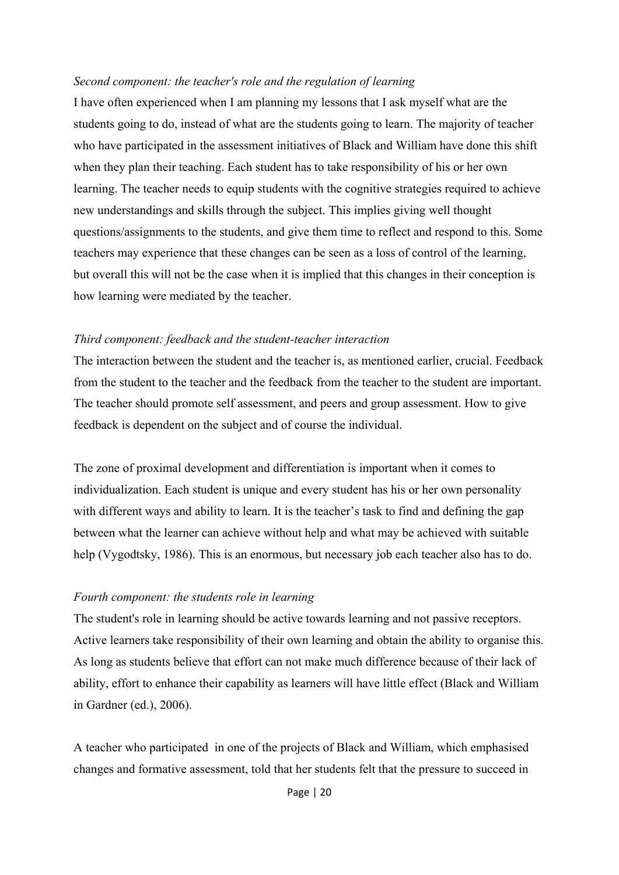#### *Second component: the teacher's role and the regulation of learning*

I have often experienced when I am planning my lessons that I ask myself what are the students going to do, instead of what are the students going to learn. The majority of teacher who have participated in the assessment initiatives of Black and William have done this shift when they plan their teaching. Each student has to take responsibility of his or her own learning. The teacher needs to equip students with the cognitive strategies required to achieve new understandings and skills through the subject. This implies giving well thought questions/assignments to the students, and give them time to reflect and respond to this. Some teachers may experience that these changes can be seen as a loss of control of the learning, but overall this will not be the case when it is implied that this changes in their conception is how learning were mediated by the teacher.

#### *Third component: feedback and the student-teacher interaction*

The interaction between the student and the teacher is, as mentioned earlier, crucial. Feedback from the student to the teacher and the feedback from the teacher to the student are important. The teacher should promote self assessment, and peers and group assessment. How to give feedback is dependent on the subject and of course the individual.

The zone of proximal development and differentiation is important when it comes to individualization. Each student is unique and every student has his or her own personality with different ways and ability to learn. It is the teacher's task to find and defining the gap between what the learner can achieve without help and what may be achieved with suitable help (Vygodtsky, 1986). This is an enormous, but necessary job each teacher also has to do.

#### *Fourth component: the students role in learning*

The student's role in learning should be active towards learning and not passive receptors. Active learners take responsibility of their own learning and obtain the ability to organise this. As long as students believe that effort can not make much difference because of their lack of ability, effort to enhance their capability as learners will have little effect (Black and William in Gardner (ed.), 2006).

A teacher who participated in one of the projects of Black and William, which emphasised changes and formative assessment, told that her students felt that the pressure to succeed in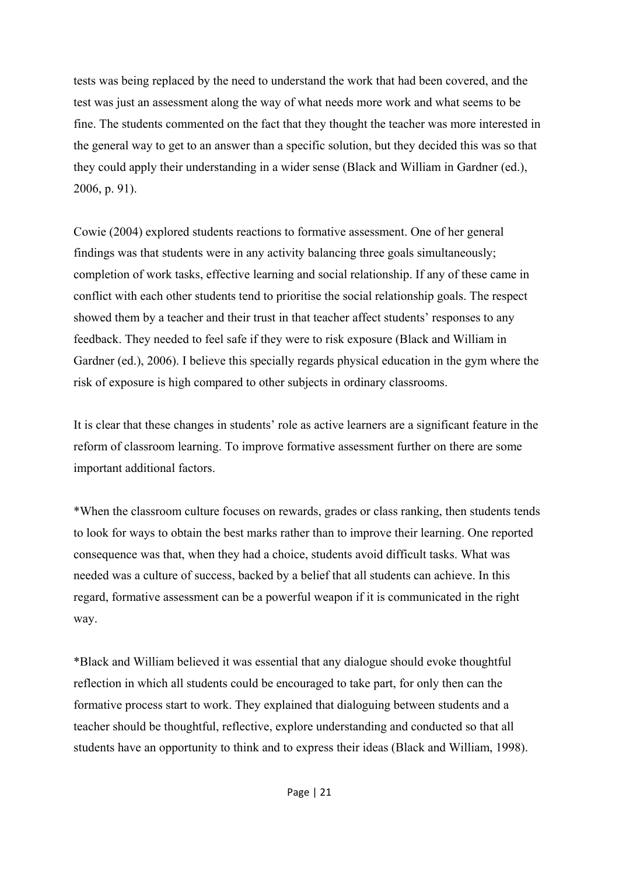tests was being replaced by the need to understand the work that had been covered, and the test was just an assessment along the way of what needs more work and what seems to be fine. The students commented on the fact that they thought the teacher was more interested in the general way to get to an answer than a specific solution, but they decided this was so that they could apply their understanding in a wider sense (Black and William in Gardner (ed.), 2006, p. 91).

Cowie (2004) explored students reactions to formative assessment. One of her general findings was that students were in any activity balancing three goals simultaneously; completion of work tasks, effective learning and social relationship. If any of these came in conflict with each other students tend to prioritise the social relationship goals. The respect showed them by a teacher and their trust in that teacher affect students' responses to any feedback. They needed to feel safe if they were to risk exposure (Black and William in Gardner (ed.), 2006). I believe this specially regards physical education in the gym where the risk of exposure is high compared to other subjects in ordinary classrooms.

It is clear that these changes in students' role as active learners are a significant feature in the reform of classroom learning. To improve formative assessment further on there are some important additional factors.

\*When the classroom culture focuses on rewards, grades or class ranking, then students tends to look for ways to obtain the best marks rather than to improve their learning. One reported consequence was that, when they had a choice, students avoid difficult tasks. What was needed was a culture of success, backed by a belief that all students can achieve. In this regard, formative assessment can be a powerful weapon if it is communicated in the right way.

\*Black and William believed it was essential that any dialogue should evoke thoughtful reflection in which all students could be encouraged to take part, for only then can the formative process start to work. They explained that dialoguing between students and a teacher should be thoughtful, reflective, explore understanding and conducted so that all students have an opportunity to think and to express their ideas (Black and William, 1998).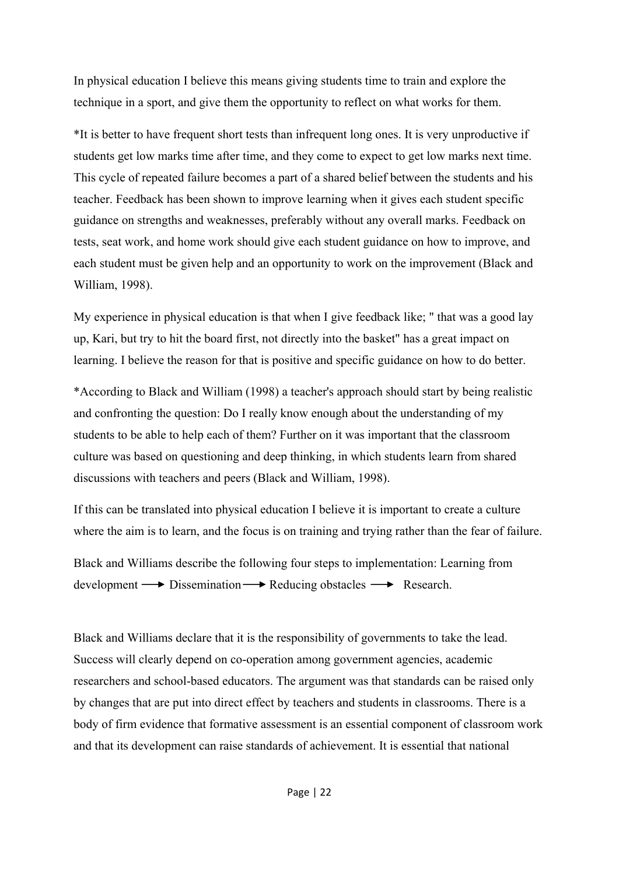In physical education I believe this means giving students time to train and explore the technique in a sport, and give them the opportunity to reflect on what works for them.

\*It is better to have frequent short tests than infrequent long ones. It is very unproductive if students get low marks time after time, and they come to expect to get low marks next time. This cycle of repeated failure becomes a part of a shared belief between the students and his teacher. Feedback has been shown to improve learning when it gives each student specific guidance on strengths and weaknesses, preferably without any overall marks. Feedback on tests, seat work, and home work should give each student guidance on how to improve, and each student must be given help and an opportunity to work on the improvement (Black and William, 1998).

My experience in physical education is that when I give feedback like; " that was a good lay up, Kari, but try to hit the board first, not directly into the basket" has a great impact on learning. I believe the reason for that is positive and specific guidance on how to do better.

\*According to Black and William (1998) a teacher's approach should start by being realistic and confronting the question: Do I really know enough about the understanding of my students to be able to help each of them? Further on it was important that the classroom culture was based on questioning and deep thinking, in which students learn from shared discussions with teachers and peers (Black and William, 1998).

If this can be translated into physical education I believe it is important to create a culture where the aim is to learn, and the focus is on training and trying rather than the fear of failure.

Black and Williams describe the following four steps to implementation: Learning from  $development \longrightarrow Dissemination \longrightarrow Reducing obstacles \longrightarrow Research.$ 

Black and Williams declare that it is the responsibility of governments to take the lead. Success will clearly depend on co-operation among government agencies, academic researchers and school-based educators. The argument was that standards can be raised only by changes that are put into direct effect by teachers and students in classrooms. There is a body of firm evidence that formative assessment is an essential component of classroom work and that its development can raise standards of achievement. It is essential that national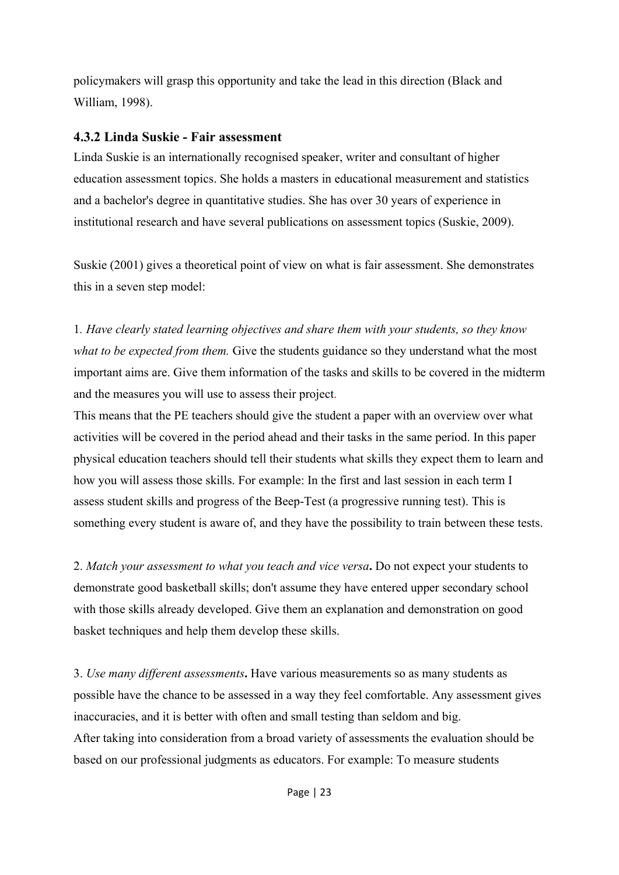policymakers will grasp this opportunity and take the lead in this direction (Black and William, 1998).

#### **4.3.2 Linda Suskie - Fair assessment**

Linda Suskie is an internationally recognised speaker, writer and consultant of higher education assessment topics. She holds a masters in educational measurement and statistics and a bachelor's degree in quantitative studies. She has over 30 years of experience in institutional research and have several publications on assessment topics (Suskie, 2009).

Suskie (2001) gives a theoretical point of view on what is fair assessment. She demonstrates this in a seven step model:

1*. Have clearly stated learning objectives and share them with your students, so they know what to be expected from them.* Give the students guidance so they understand what the most important aims are. Give them information of the tasks and skills to be covered in the midterm and the measures you will use to assess their project.

This means that the PE teachers should give the student a paper with an overview over what activities will be covered in the period ahead and their tasks in the same period. In this paper physical education teachers should tell their students what skills they expect them to learn and how you will assess those skills. For example: In the first and last session in each term I assess student skills and progress of the Beep-Test (a progressive running test). This is something every student is aware of, and they have the possibility to train between these tests.

2. *Match your assessment to what you teach and vice versa***.** Do not expect your students to demonstrate good basketball skills; don't assume they have entered upper secondary school with those skills already developed. Give them an explanation and demonstration on good basket techniques and help them develop these skills.

3. *Use many different assessments***.** Have various measurements so as many students as possible have the chance to be assessed in a way they feel comfortable. Any assessment gives inaccuracies, and it is better with often and small testing than seldom and big. After taking into consideration from a broad variety of assessments the evaluation should be based on our professional judgments as educators. For example: To measure students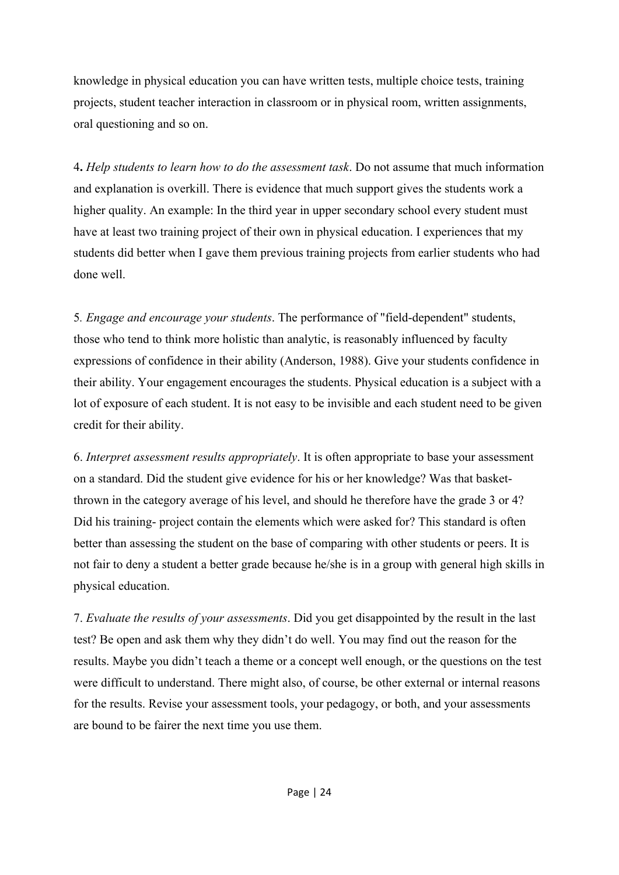knowledge in physical education you can have written tests, multiple choice tests, training projects, student teacher interaction in classroom or in physical room, written assignments, oral questioning and so on.

4**.** *Help students to learn how to do the assessment task*. Do not assume that much information and explanation is overkill. There is evidence that much support gives the students work a higher quality. An example: In the third year in upper secondary school every student must have at least two training project of their own in physical education. I experiences that my students did better when I gave them previous training projects from earlier students who had done well.

5*. Engage and encourage your students*. The performance of "field-dependent" students, those who tend to think more holistic than analytic, is reasonably influenced by faculty expressions of confidence in their ability (Anderson, 1988). Give your students confidence in their ability. Your engagement encourages the students. Physical education is a subject with a lot of exposure of each student. It is not easy to be invisible and each student need to be given credit for their ability.

6. *Interpret assessment results appropriately*. It is often appropriate to base your assessment on a standard. Did the student give evidence for his or her knowledge? Was that basketthrown in the category average of his level, and should he therefore have the grade 3 or 4? Did his training- project contain the elements which were asked for? This standard is often better than assessing the student on the base of comparing with other students or peers. It is not fair to deny a student a better grade because he/she is in a group with general high skills in physical education.

7. *Evaluate the results of your assessments*. Did you get disappointed by the result in the last test? Be open and ask them why they didn't do well. You may find out the reason for the results. Maybe you didn't teach a theme or a concept well enough, or the questions on the test were difficult to understand. There might also, of course, be other external or internal reasons for the results. Revise your assessment tools, your pedagogy, or both, and your assessments are bound to be fairer the next time you use them.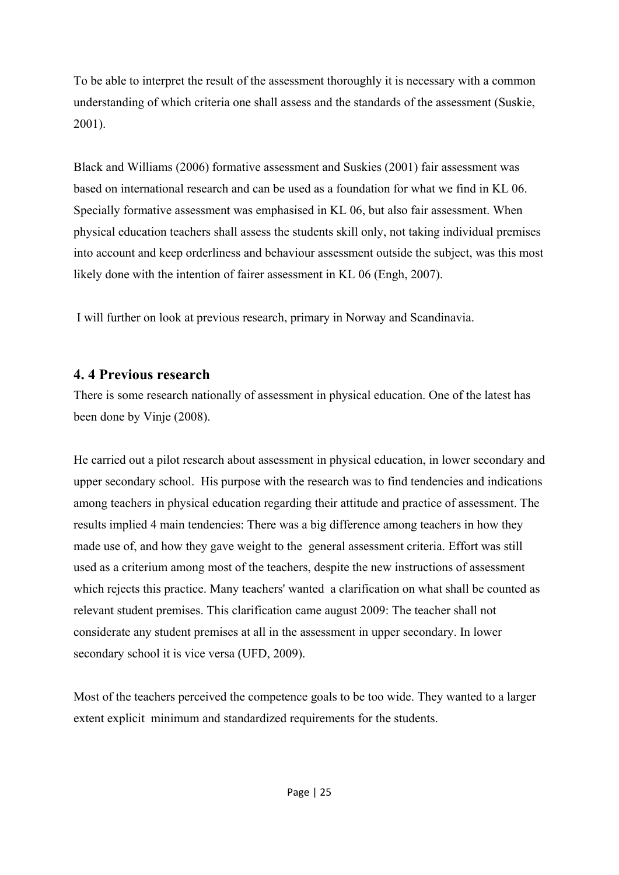To be able to interpret the result of the assessment thoroughly it is necessary with a common understanding of which criteria one shall assess and the standards of the assessment (Suskie, 2001).

Black and Williams (2006) formative assessment and Suskies (2001) fair assessment was based on international research and can be used as a foundation for what we find in KL 06. Specially formative assessment was emphasised in KL 06, but also fair assessment. When physical education teachers shall assess the students skill only, not taking individual premises into account and keep orderliness and behaviour assessment outside the subject, was this most likely done with the intention of fairer assessment in KL 06 (Engh, 2007).

I will further on look at previous research, primary in Norway and Scandinavia.

## **4. 4 Previous research**

There is some research nationally of assessment in physical education. One of the latest has been done by Vinje (2008).

He carried out a pilot research about assessment in physical education, in lower secondary and upper secondary school. His purpose with the research was to find tendencies and indications among teachers in physical education regarding their attitude and practice of assessment. The results implied 4 main tendencies: There was a big difference among teachers in how they made use of, and how they gave weight to the general assessment criteria. Effort was still used as a criterium among most of the teachers, despite the new instructions of assessment which rejects this practice. Many teachers' wanted a clarification on what shall be counted as relevant student premises. This clarification came august 2009: The teacher shall not considerate any student premises at all in the assessment in upper secondary. In lower secondary school it is vice versa (UFD, 2009).

Most of the teachers perceived the competence goals to be too wide. They wanted to a larger extent explicit minimum and standardized requirements for the students.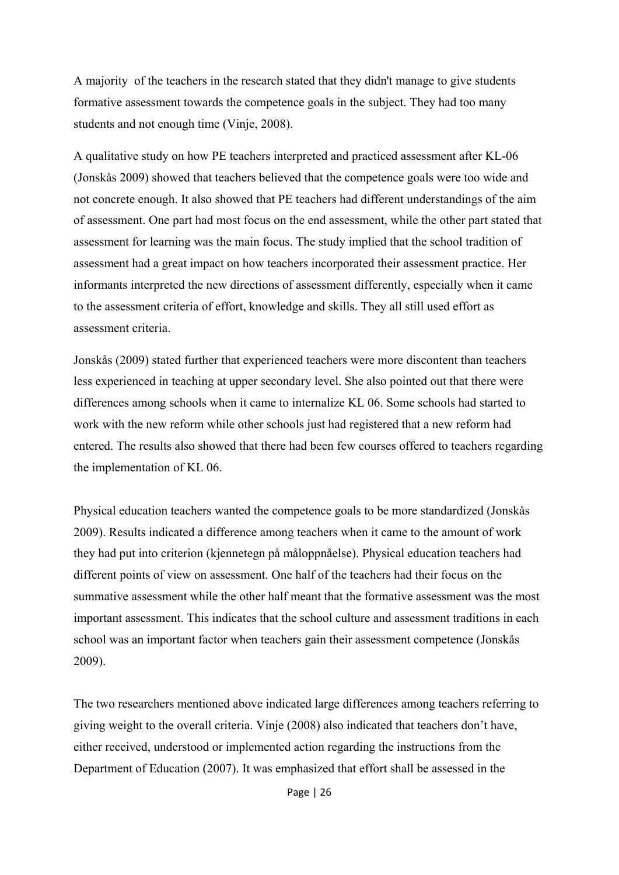A majority of the teachers in the research stated that they didn't manage to give students formative assessment towards the competence goals in the subject. They had too many students and not enough time (Vinje, 2008).

A qualitative study on how PE teachers interpreted and practiced assessment after KL-06 (Jonskås 2009) showed that teachers believed that the competence goals were too wide and not concrete enough. It also showed that PE teachers had different understandings of the aim of assessment. One part had most focus on the end assessment, while the other part stated that assessment for learning was the main focus. The study implied that the school tradition of assessment had a great impact on how teachers incorporated their assessment practice. Her informants interpreted the new directions of assessment differently, especially when it came to the assessment criteria of effort, knowledge and skills. They all still used effort as assessment criteria.

Jonskås (2009) stated further that experienced teachers were more discontent than teachers less experienced in teaching at upper secondary level. She also pointed out that there were differences among schools when it came to internalize KL 06. Some schools had started to work with the new reform while other schools just had registered that a new reform had entered. The results also showed that there had been few courses offered to teachers regarding the implementation of KL 06.

Physical education teachers wanted the competence goals to be more standardized (Jonskås 2009). Results indicated a difference among teachers when it came to the amount of work they had put into criterion (kjennetegn på måloppnåelse). Physical education teachers had different points of view on assessment. One half of the teachers had their focus on the summative assessment while the other half meant that the formative assessment was the most important assessment. This indicates that the school culture and assessment traditions in each school was an important factor when teachers gain their assessment competence (Jonskås 2009).

The two researchers mentioned above indicated large differences among teachers referring to giving weight to the overall criteria. Vinje (2008) also indicated that teachers don't have, either received, understood or implemented action regarding the instructions from the Department of Education (2007). It was emphasized that effort shall be assessed in the

Page | 26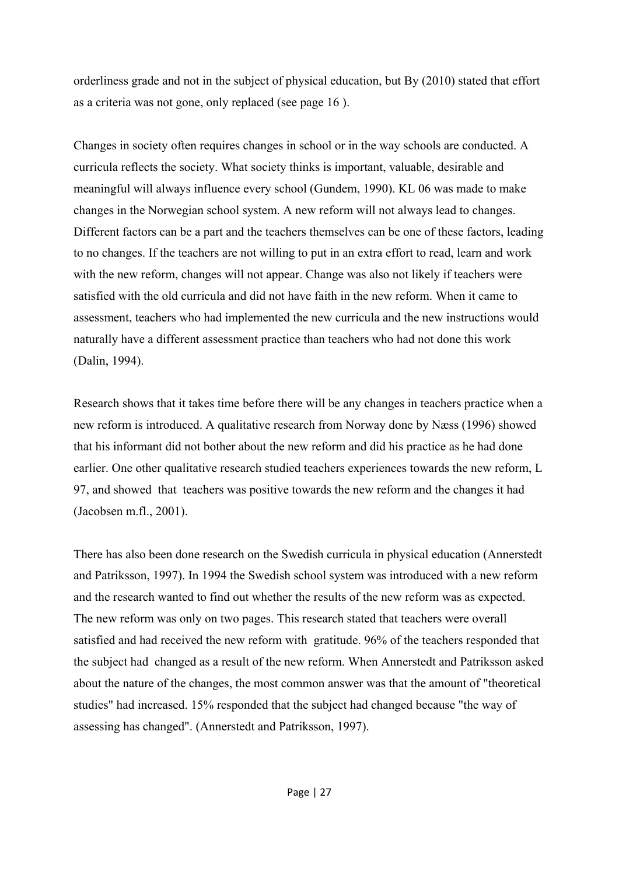orderliness grade and not in the subject of physical education, but By (2010) stated that effort as a criteria was not gone, only replaced (see page 16 ).

Changes in society often requires changes in school or in the way schools are conducted. A curricula reflects the society. What society thinks is important, valuable, desirable and meaningful will always influence every school (Gundem, 1990). KL 06 was made to make changes in the Norwegian school system. A new reform will not always lead to changes. Different factors can be a part and the teachers themselves can be one of these factors, leading to no changes. If the teachers are not willing to put in an extra effort to read, learn and work with the new reform, changes will not appear. Change was also not likely if teachers were satisfied with the old curricula and did not have faith in the new reform. When it came to assessment, teachers who had implemented the new curricula and the new instructions would naturally have a different assessment practice than teachers who had not done this work (Dalin, 1994).

Research shows that it takes time before there will be any changes in teachers practice when a new reform is introduced. A qualitative research from Norway done by Næss (1996) showed that his informant did not bother about the new reform and did his practice as he had done earlier. One other qualitative research studied teachers experiences towards the new reform, L 97, and showed that teachers was positive towards the new reform and the changes it had (Jacobsen m.fl., 2001).

There has also been done research on the Swedish curricula in physical education (Annerstedt and Patriksson, 1997). In 1994 the Swedish school system was introduced with a new reform and the research wanted to find out whether the results of the new reform was as expected. The new reform was only on two pages. This research stated that teachers were overall satisfied and had received the new reform with gratitude. 96% of the teachers responded that the subject had changed as a result of the new reform. When Annerstedt and Patriksson asked about the nature of the changes, the most common answer was that the amount of "theoretical studies" had increased. 15% responded that the subject had changed because "the way of assessing has changed". (Annerstedt and Patriksson, 1997).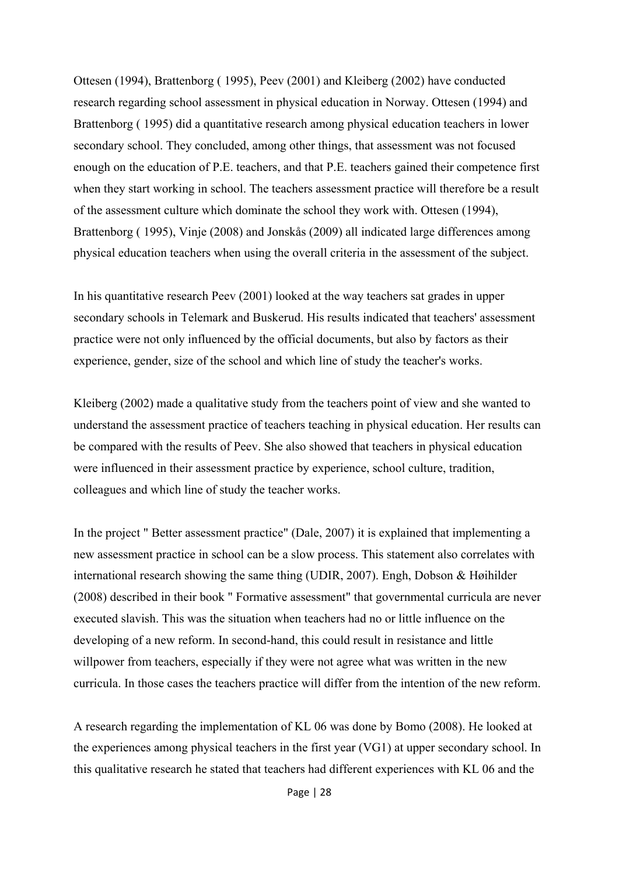Ottesen (1994), Brattenborg ( 1995), Peev (2001) and Kleiberg (2002) have conducted research regarding school assessment in physical education in Norway. Ottesen (1994) and Brattenborg ( 1995) did a quantitative research among physical education teachers in lower secondary school. They concluded, among other things, that assessment was not focused enough on the education of P.E. teachers, and that P.E. teachers gained their competence first when they start working in school. The teachers assessment practice will therefore be a result of the assessment culture which dominate the school they work with. Ottesen (1994), Brattenborg ( 1995), Vinje (2008) and Jonskås (2009) all indicated large differences among physical education teachers when using the overall criteria in the assessment of the subject.

In his quantitative research Peev (2001) looked at the way teachers sat grades in upper secondary schools in Telemark and Buskerud. His results indicated that teachers' assessment practice were not only influenced by the official documents, but also by factors as their experience, gender, size of the school and which line of study the teacher's works.

Kleiberg (2002) made a qualitative study from the teachers point of view and she wanted to understand the assessment practice of teachers teaching in physical education. Her results can be compared with the results of Peev. She also showed that teachers in physical education were influenced in their assessment practice by experience, school culture, tradition, colleagues and which line of study the teacher works.

In the project " Better assessment practice" (Dale, 2007) it is explained that implementing a new assessment practice in school can be a slow process. This statement also correlates with international research showing the same thing (UDIR, 2007). Engh, Dobson & Høihilder (2008) described in their book " Formative assessment" that governmental curricula are never executed slavish. This was the situation when teachers had no or little influence on the developing of a new reform. In second-hand, this could result in resistance and little willpower from teachers, especially if they were not agree what was written in the new curricula. In those cases the teachers practice will differ from the intention of the new reform.

A research regarding the implementation of KL 06 was done by Bomo (2008). He looked at the experiences among physical teachers in the first year (VG1) at upper secondary school. In this qualitative research he stated that teachers had different experiences with KL 06 and the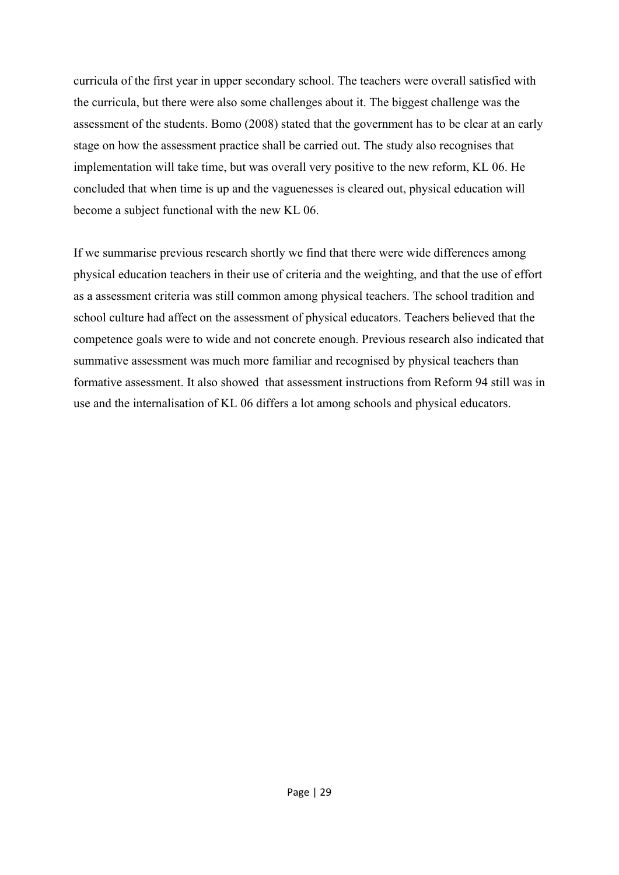curricula of the first year in upper secondary school. The teachers were overall satisfied with the curricula, but there were also some challenges about it. The biggest challenge was the assessment of the students. Bomo (2008) stated that the government has to be clear at an early stage on how the assessment practice shall be carried out. The study also recognises that implementation will take time, but was overall very positive to the new reform, KL 06. He concluded that when time is up and the vaguenesses is cleared out, physical education will become a subject functional with the new KL 06.

If we summarise previous research shortly we find that there were wide differences among physical education teachers in their use of criteria and the weighting, and that the use of effort as a assessment criteria was still common among physical teachers. The school tradition and school culture had affect on the assessment of physical educators. Teachers believed that the competence goals were to wide and not concrete enough. Previous research also indicated that summative assessment was much more familiar and recognised by physical teachers than formative assessment. It also showed that assessment instructions from Reform 94 still was in use and the internalisation of KL 06 differs a lot among schools and physical educators.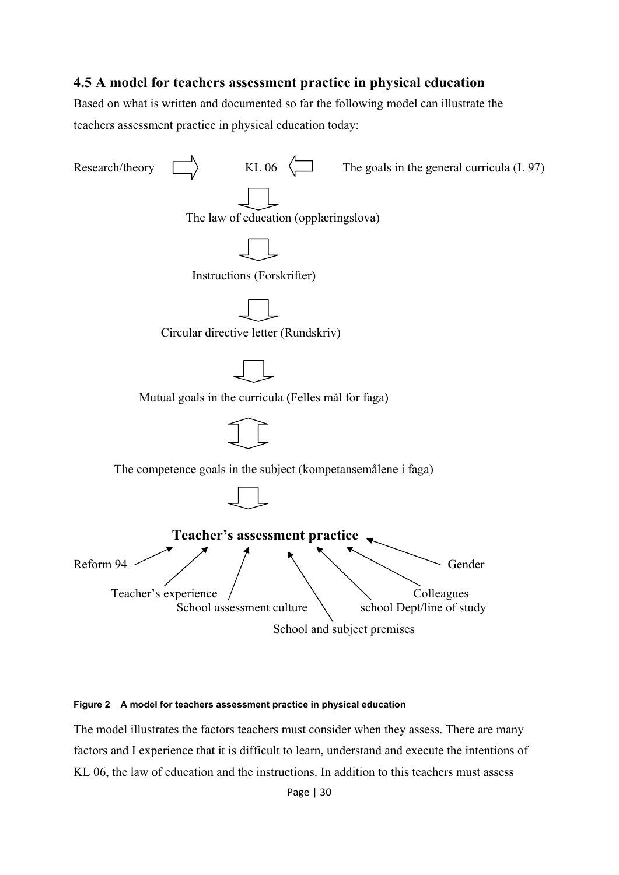#### **4.5 A model for teachers assessment practice in physical education**

Based on what is written and documented so far the following model can illustrate the teachers assessment practice in physical education today:



#### **Figure 2 A model for teachers assessment practice in physical education**

The model illustrates the factors teachers must consider when they assess. There are many factors and I experience that it is difficult to learn, understand and execute the intentions of KL 06, the law of education and the instructions. In addition to this teachers must assess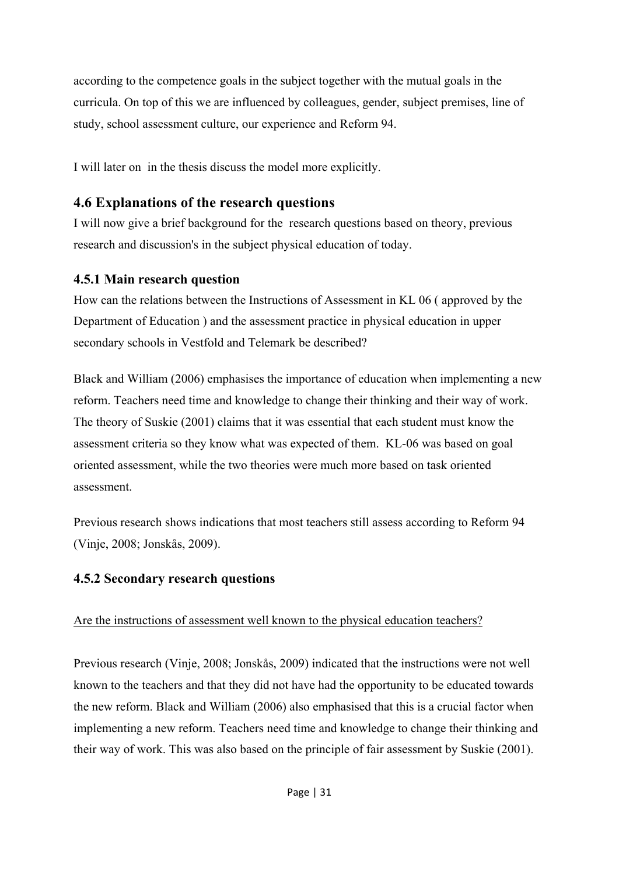according to the competence goals in the subject together with the mutual goals in the curricula. On top of this we are influenced by colleagues, gender, subject premises, line of study, school assessment culture, our experience and Reform 94.

I will later on in the thesis discuss the model more explicitly.

## **4.6 Explanations of the research questions**

I will now give a brief background for the research questions based on theory, previous research and discussion's in the subject physical education of today.

## **4.5.1 Main research question**

How can the relations between the Instructions of Assessment in KL 06 ( approved by the Department of Education ) and the assessment practice in physical education in upper secondary schools in Vestfold and Telemark be described?

Black and William (2006) emphasises the importance of education when implementing a new reform. Teachers need time and knowledge to change their thinking and their way of work. The theory of Suskie (2001) claims that it was essential that each student must know the assessment criteria so they know what was expected of them. KL-06 was based on goal oriented assessment, while the two theories were much more based on task oriented assessment.

Previous research shows indications that most teachers still assess according to Reform 94 (Vinje, 2008; Jonskås, 2009).

## **4.5.2 Secondary research questions**

## Are the instructions of assessment well known to the physical education teachers?

Previous research (Vinje, 2008; Jonskås, 2009) indicated that the instructions were not well known to the teachers and that they did not have had the opportunity to be educated towards the new reform. Black and William (2006) also emphasised that this is a crucial factor when implementing a new reform. Teachers need time and knowledge to change their thinking and their way of work. This was also based on the principle of fair assessment by Suskie (2001).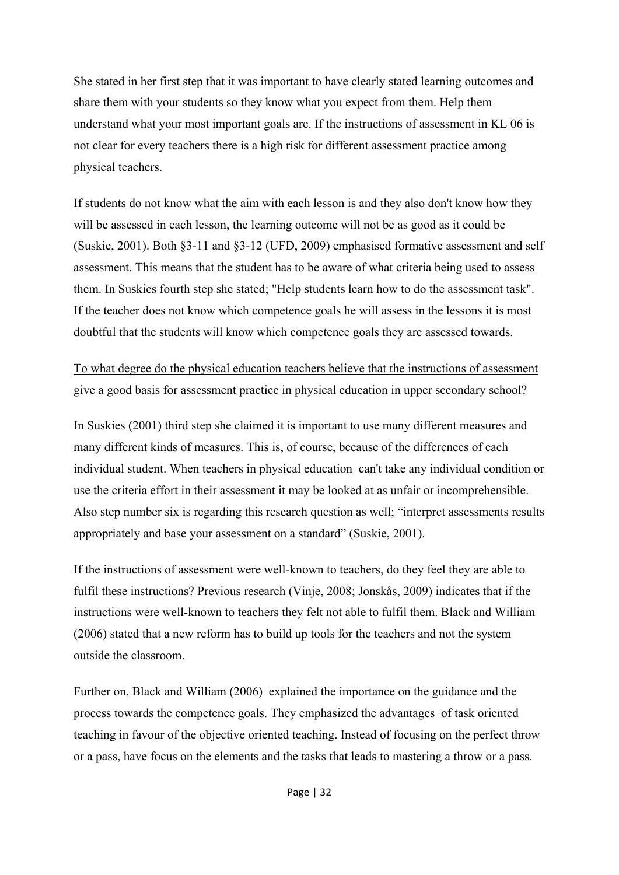She stated in her first step that it was important to have clearly stated learning outcomes and share them with your students so they know what you expect from them. Help them understand what your most important goals are. If the instructions of assessment in KL 06 is not clear for every teachers there is a high risk for different assessment practice among physical teachers.

If students do not know what the aim with each lesson is and they also don't know how they will be assessed in each lesson, the learning outcome will not be as good as it could be (Suskie, 2001). Both §3-11 and §3-12 (UFD, 2009) emphasised formative assessment and self assessment. This means that the student has to be aware of what criteria being used to assess them. In Suskies fourth step she stated; "Help students learn how to do the assessment task". If the teacher does not know which competence goals he will assess in the lessons it is most doubtful that the students will know which competence goals they are assessed towards.

To what degree do the physical education teachers believe that the instructions of assessment give a good basis for assessment practice in physical education in upper secondary school?

In Suskies (2001) third step she claimed it is important to use many different measures and many different kinds of measures. This is, of course, because of the differences of each individual student. When teachers in physical education can't take any individual condition or use the criteria effort in their assessment it may be looked at as unfair or incomprehensible. Also step number six is regarding this research question as well; "interpret assessments results appropriately and base your assessment on a standard" (Suskie, 2001).

If the instructions of assessment were well-known to teachers, do they feel they are able to fulfil these instructions? Previous research (Vinje, 2008; Jonskås, 2009) indicates that if the instructions were well-known to teachers they felt not able to fulfil them. Black and William (2006) stated that a new reform has to build up tools for the teachers and not the system outside the classroom.

Further on, Black and William (2006) explained the importance on the guidance and the process towards the competence goals. They emphasized the advantages of task oriented teaching in favour of the objective oriented teaching. Instead of focusing on the perfect throw or a pass, have focus on the elements and the tasks that leads to mastering a throw or a pass.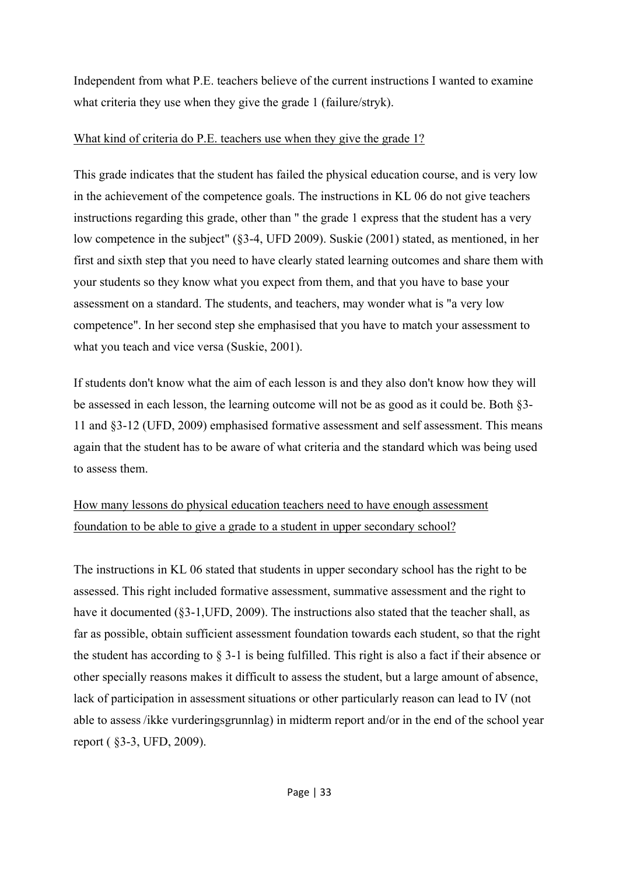Independent from what P.E. teachers believe of the current instructions I wanted to examine what criteria they use when they give the grade 1 (failure/stryk).

#### What kind of criteria do P.E. teachers use when they give the grade 1?

This grade indicates that the student has failed the physical education course, and is very low in the achievement of the competence goals. The instructions in KL 06 do not give teachers instructions regarding this grade, other than " the grade 1 express that the student has a very low competence in the subject" (§3-4, UFD 2009). Suskie (2001) stated, as mentioned, in her first and sixth step that you need to have clearly stated learning outcomes and share them with your students so they know what you expect from them, and that you have to base your assessment on a standard. The students, and teachers, may wonder what is "a very low competence". In her second step she emphasised that you have to match your assessment to what you teach and vice versa (Suskie, 2001).

If students don't know what the aim of each lesson is and they also don't know how they will be assessed in each lesson, the learning outcome will not be as good as it could be. Both §3- 11 and §3-12 (UFD, 2009) emphasised formative assessment and self assessment. This means again that the student has to be aware of what criteria and the standard which was being used to assess them.

# How many lessons do physical education teachers need to have enough assessment foundation to be able to give a grade to a student in upper secondary school?

The instructions in KL 06 stated that students in upper secondary school has the right to be assessed. This right included formative assessment, summative assessment and the right to have it documented (§3-1, UFD, 2009). The instructions also stated that the teacher shall, as far as possible, obtain sufficient assessment foundation towards each student, so that the right the student has according to § 3-1 is being fulfilled. This right is also a fact if their absence or other specially reasons makes it difficult to assess the student, but a large amount of absence, lack of participation in assessment situations or other particularly reason can lead to IV (not able to assess /ikke vurderingsgrunnlag) in midterm report and/or in the end of the school year report ( §3-3, UFD, 2009).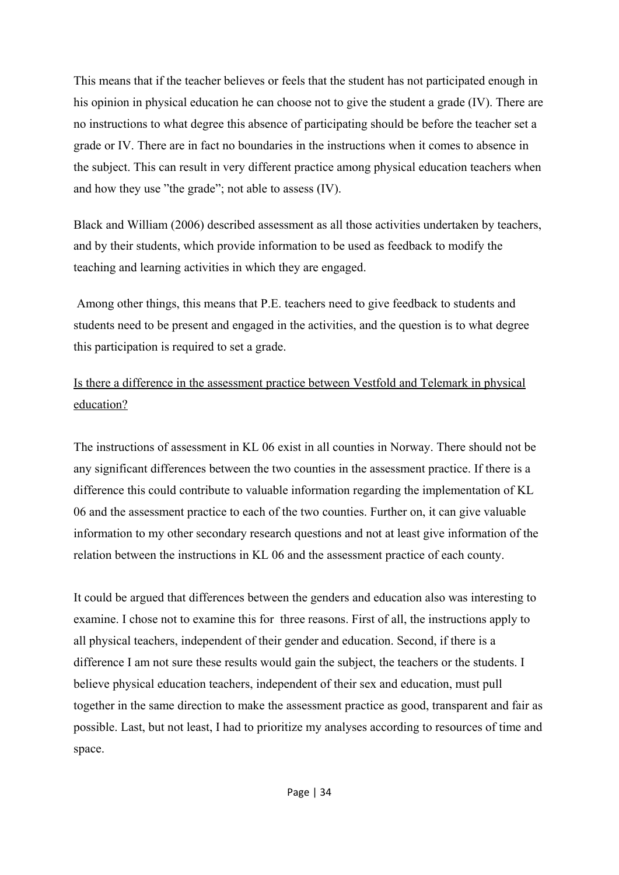This means that if the teacher believes or feels that the student has not participated enough in his opinion in physical education he can choose not to give the student a grade (IV). There are no instructions to what degree this absence of participating should be before the teacher set a grade or IV. There are in fact no boundaries in the instructions when it comes to absence in the subject. This can result in very different practice among physical education teachers when and how they use "the grade"; not able to assess (IV).

Black and William (2006) described assessment as all those activities undertaken by teachers, and by their students, which provide information to be used as feedback to modify the teaching and learning activities in which they are engaged.

 Among other things, this means that P.E. teachers need to give feedback to students and students need to be present and engaged in the activities, and the question is to what degree this participation is required to set a grade.

# Is there a difference in the assessment practice between Vestfold and Telemark in physical education?

The instructions of assessment in KL 06 exist in all counties in Norway. There should not be any significant differences between the two counties in the assessment practice. If there is a difference this could contribute to valuable information regarding the implementation of KL 06 and the assessment practice to each of the two counties. Further on, it can give valuable information to my other secondary research questions and not at least give information of the relation between the instructions in KL 06 and the assessment practice of each county.

It could be argued that differences between the genders and education also was interesting to examine. I chose not to examine this for three reasons. First of all, the instructions apply to all physical teachers, independent of their gender and education. Second, if there is a difference I am not sure these results would gain the subject, the teachers or the students. I believe physical education teachers, independent of their sex and education, must pull together in the same direction to make the assessment practice as good, transparent and fair as possible. Last, but not least, I had to prioritize my analyses according to resources of time and space.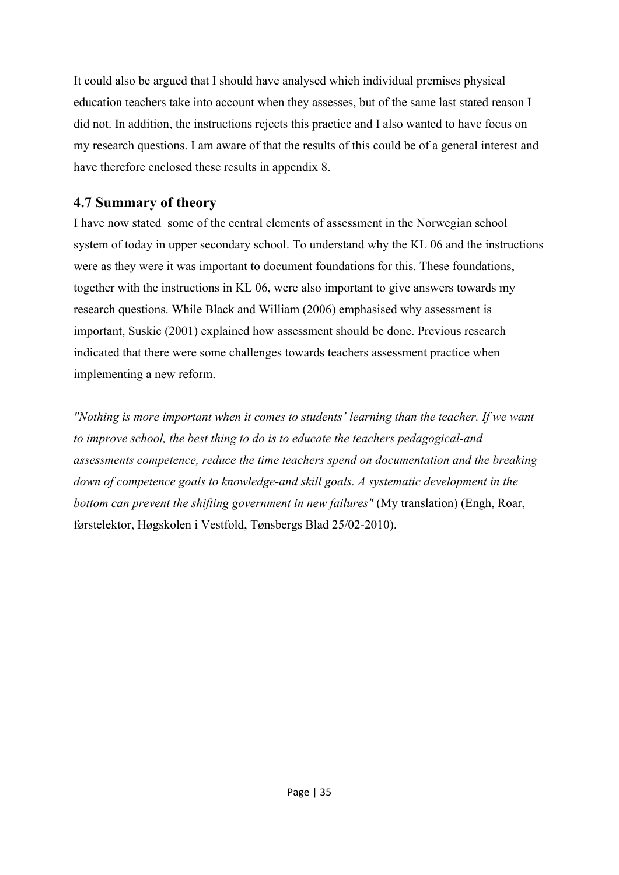It could also be argued that I should have analysed which individual premises physical education teachers take into account when they assesses, but of the same last stated reason I did not. In addition, the instructions rejects this practice and I also wanted to have focus on my research questions. I am aware of that the results of this could be of a general interest and have therefore enclosed these results in appendix 8.

## **4.7 Summary of theory**

I have now stated some of the central elements of assessment in the Norwegian school system of today in upper secondary school. To understand why the KL 06 and the instructions were as they were it was important to document foundations for this. These foundations, together with the instructions in KL 06, were also important to give answers towards my research questions. While Black and William (2006) emphasised why assessment is important, Suskie (2001) explained how assessment should be done. Previous research indicated that there were some challenges towards teachers assessment practice when implementing a new reform.

*"Nothing is more important when it comes to students' learning than the teacher. If we want to improve school, the best thing to do is to educate the teachers pedagogical-and assessments competence, reduce the time teachers spend on documentation and the breaking down of competence goals to knowledge-and skill goals. A systematic development in the bottom can prevent the shifting government in new failures"* (My translation) (Engh, Roar, førstelektor, Høgskolen i Vestfold, Tønsbergs Blad 25/02-2010).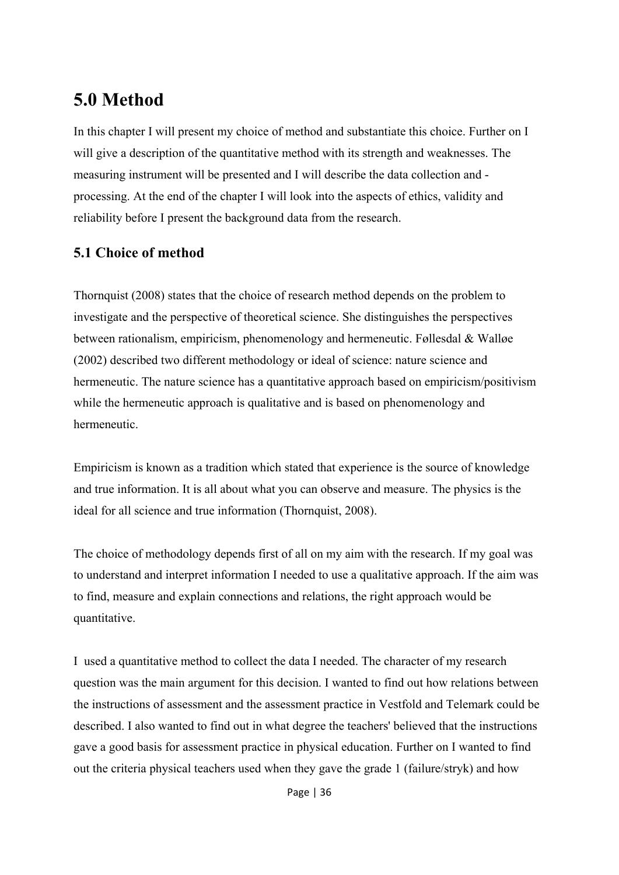# **5.0 Method**

In this chapter I will present my choice of method and substantiate this choice. Further on I will give a description of the quantitative method with its strength and weaknesses. The measuring instrument will be presented and I will describe the data collection and processing. At the end of the chapter I will look into the aspects of ethics, validity and reliability before I present the background data from the research.

# **5.1 Choice of method**

Thornquist (2008) states that the choice of research method depends on the problem to investigate and the perspective of theoretical science. She distinguishes the perspectives between rationalism, empiricism, phenomenology and hermeneutic. Føllesdal & Walløe (2002) described two different methodology or ideal of science: nature science and hermeneutic. The nature science has a quantitative approach based on empiricism/positivism while the hermeneutic approach is qualitative and is based on phenomenology and hermeneutic.

Empiricism is known as a tradition which stated that experience is the source of knowledge and true information. It is all about what you can observe and measure. The physics is the ideal for all science and true information (Thornquist, 2008).

The choice of methodology depends first of all on my aim with the research. If my goal was to understand and interpret information I needed to use a qualitative approach. If the aim was to find, measure and explain connections and relations, the right approach would be quantitative.

I used a quantitative method to collect the data I needed. The character of my research question was the main argument for this decision. I wanted to find out how relations between the instructions of assessment and the assessment practice in Vestfold and Telemark could be described. I also wanted to find out in what degree the teachers' believed that the instructions gave a good basis for assessment practice in physical education. Further on I wanted to find out the criteria physical teachers used when they gave the grade 1 (failure/stryk) and how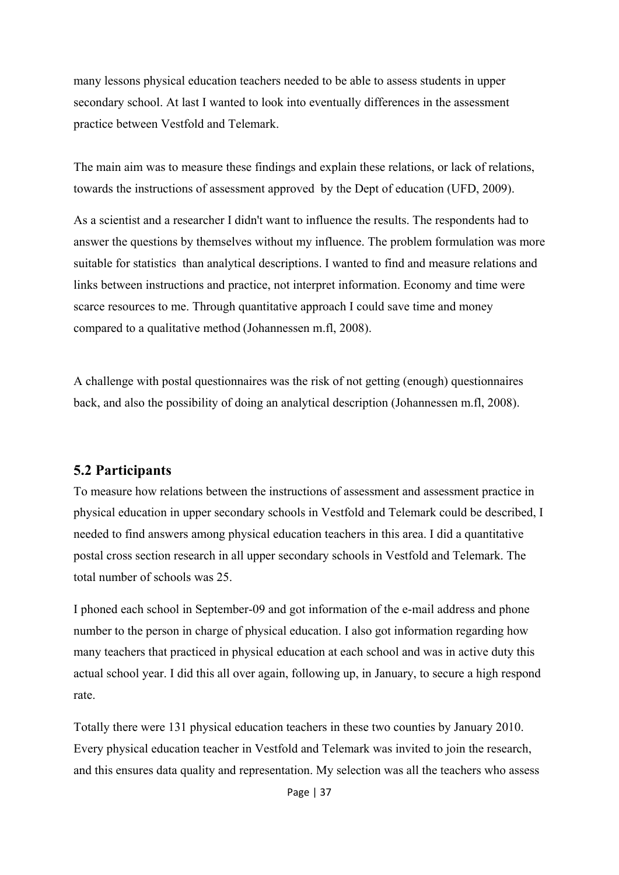many lessons physical education teachers needed to be able to assess students in upper secondary school. At last I wanted to look into eventually differences in the assessment practice between Vestfold and Telemark.

The main aim was to measure these findings and explain these relations, or lack of relations, towards the instructions of assessment approved by the Dept of education (UFD, 2009).

As a scientist and a researcher I didn't want to influence the results. The respondents had to answer the questions by themselves without my influence. The problem formulation was more suitable for statistics than analytical descriptions. I wanted to find and measure relations and links between instructions and practice, not interpret information. Economy and time were scarce resources to me. Through quantitative approach I could save time and money compared to a qualitative method (Johannessen m.fl, 2008).

A challenge with postal questionnaires was the risk of not getting (enough) questionnaires back, and also the possibility of doing an analytical description (Johannessen m.fl, 2008).

#### **5.2 Participants**

To measure how relations between the instructions of assessment and assessment practice in physical education in upper secondary schools in Vestfold and Telemark could be described, I needed to find answers among physical education teachers in this area. I did a quantitative postal cross section research in all upper secondary schools in Vestfold and Telemark. The total number of schools was 25.

I phoned each school in September-09 and got information of the e-mail address and phone number to the person in charge of physical education. I also got information regarding how many teachers that practiced in physical education at each school and was in active duty this actual school year. I did this all over again, following up, in January, to secure a high respond rate.

Totally there were 131 physical education teachers in these two counties by January 2010. Every physical education teacher in Vestfold and Telemark was invited to join the research, and this ensures data quality and representation. My selection was all the teachers who assess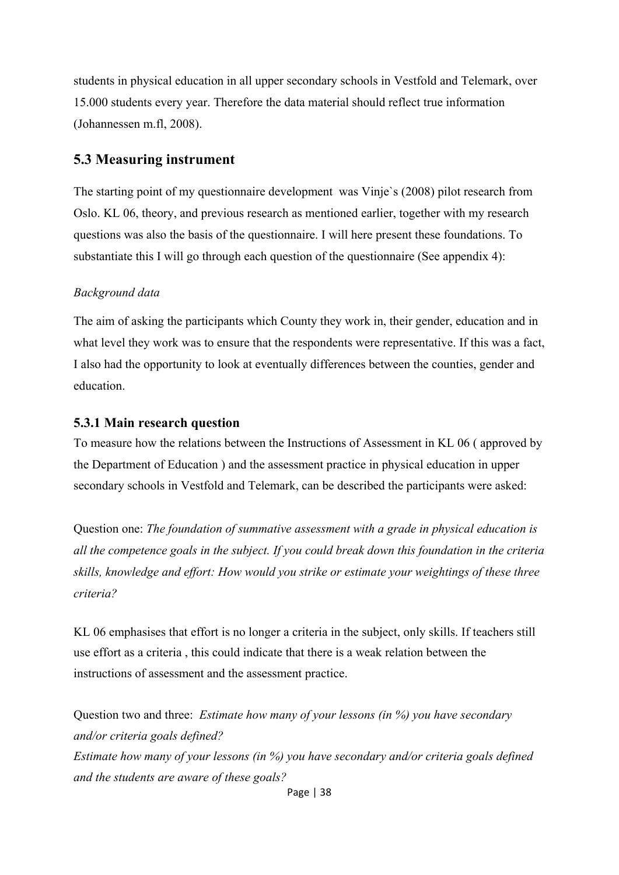students in physical education in all upper secondary schools in Vestfold and Telemark, over 15.000 students every year. Therefore the data material should reflect true information (Johannessen m.fl, 2008).

#### **5.3 Measuring instrument**

The starting point of my questionnaire development was Vinje`s (2008) pilot research from Oslo. KL 06, theory, and previous research as mentioned earlier, together with my research questions was also the basis of the questionnaire. I will here present these foundations. To substantiate this I will go through each question of the questionnaire (See appendix 4):

#### *Background data*

The aim of asking the participants which County they work in, their gender, education and in what level they work was to ensure that the respondents were representative. If this was a fact, I also had the opportunity to look at eventually differences between the counties, gender and education.

#### **5.3.1 Main research question**

To measure how the relations between the Instructions of Assessment in KL 06 ( approved by the Department of Education ) and the assessment practice in physical education in upper secondary schools in Vestfold and Telemark, can be described the participants were asked:

Question one: *The foundation of summative assessment with a grade in physical education is all the competence goals in the subject. If you could break down this foundation in the criteria skills, knowledge and effort: How would you strike or estimate your weightings of these three criteria?*

KL 06 emphasises that effort is no longer a criteria in the subject, only skills. If teachers still use effort as a criteria , this could indicate that there is a weak relation between the instructions of assessment and the assessment practice.

Question two and three:*Estimate how many of your lessons (in %) you have secondary and/or criteria goals defined? Estimate how many of your lessons (in %) you have secondary and/or criteria goals defined and the students are aware of these goals?*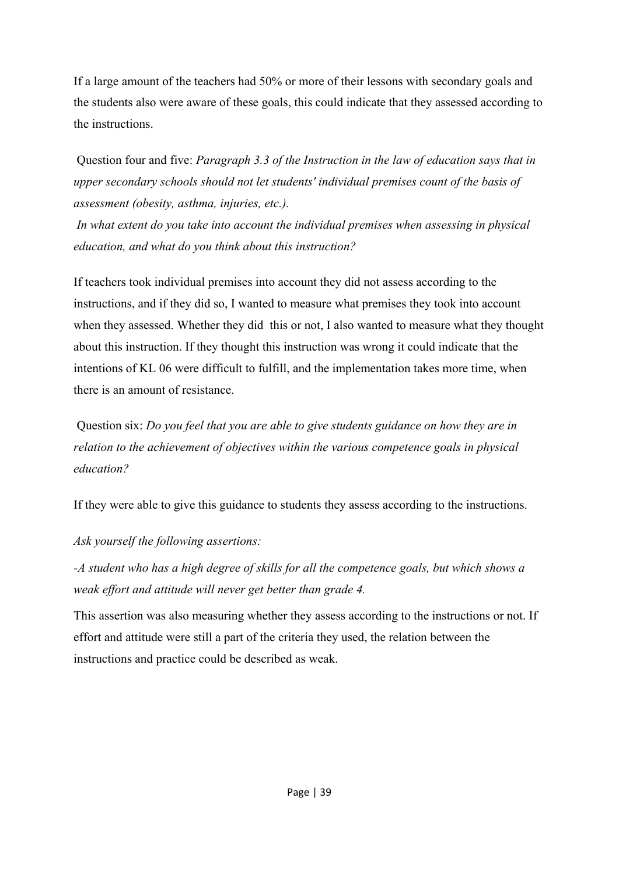If a large amount of the teachers had 50% or more of their lessons with secondary goals and the students also were aware of these goals, this could indicate that they assessed according to the instructions.

 Question four and five: *Paragraph 3.3 of the Instruction in the law of education says that in upper secondary schools should not let students' individual premises count of the basis of assessment (obesity, asthma, injuries, etc.).* 

 *In what extent do you take into account the individual premises when assessing in physical education, and what do you think about this instruction?* 

If teachers took individual premises into account they did not assess according to the instructions, and if they did so, I wanted to measure what premises they took into account when they assessed. Whether they did this or not, I also wanted to measure what they thought about this instruction. If they thought this instruction was wrong it could indicate that the intentions of KL 06 were difficult to fulfill, and the implementation takes more time, when there is an amount of resistance.

 Question six: *Do you feel that you are able to give students guidance on how they are in relation to the achievement of objectives within the various competence goals in physical education?* 

If they were able to give this guidance to students they assess according to the instructions.

#### *Ask yourself the following assertions:*

*-A student who has a high degree of skills for all the competence goals, but which shows a weak effort and attitude will never get better than grade 4.*

This assertion was also measuring whether they assess according to the instructions or not. If effort and attitude were still a part of the criteria they used, the relation between the instructions and practice could be described as weak.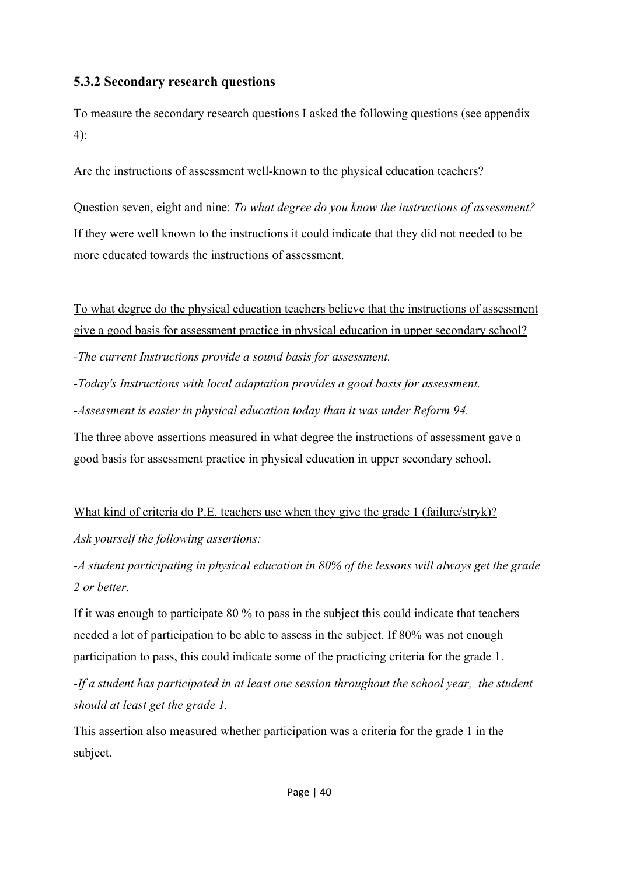#### **5.3.2 Secondary research questions**

To measure the secondary research questions I asked the following questions (see appendix 4):

Are the instructions of assessment well-known to the physical education teachers?

Question seven, eight and nine: *To what degree do you know the instructions of assessment?* If they were well known to the instructions it could indicate that they did not needed to be more educated towards the instructions of assessment.

To what degree do the physical education teachers believe that the instructions of assessment give a good basis for assessment practice in physical education in upper secondary school? *-The current Instructions provide a sound basis for assessment.* 

*-Today's Instructions with local adaptation provides a good basis for assessment.* 

*-Assessment is easier in physical education today than it was under Reform 94.* 

The three above assertions measured in what degree the instructions of assessment gave a good basis for assessment practice in physical education in upper secondary school.

## What kind of criteria do P.E. teachers use when they give the grade 1 (failure/stryk)?

*Ask yourself the following assertions:*

*-A student participating in physical education in 80% of the lessons will always get the grade 2 or better.* 

If it was enough to participate 80 % to pass in the subject this could indicate that teachers needed a lot of participation to be able to assess in the subject. If 80% was not enough participation to pass, this could indicate some of the practicing criteria for the grade 1.

*-If a student has participated in at least one session throughout the school year, the student should at least get the grade 1.*

This assertion also measured whether participation was a criteria for the grade 1 in the subject.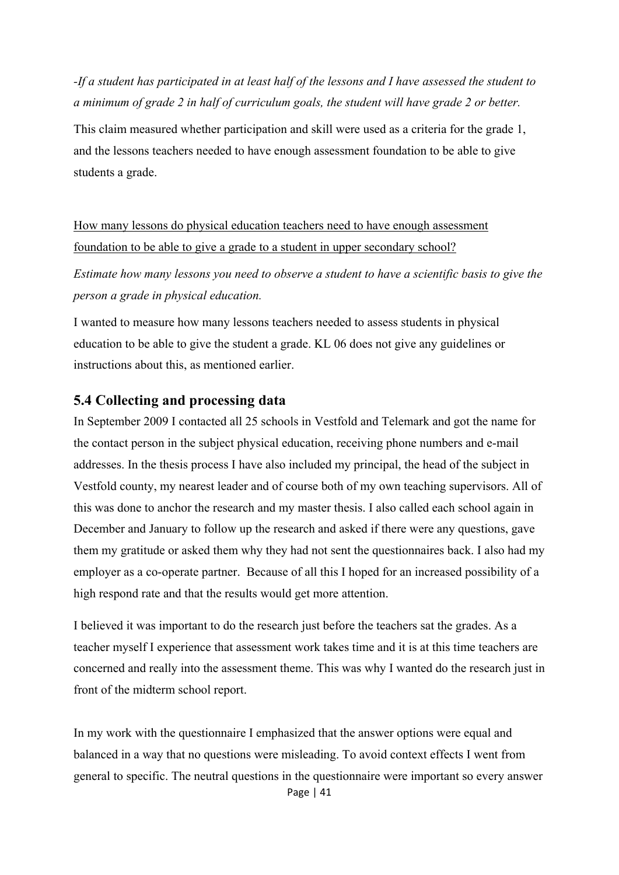*-If a student has participated in at least half of the lessons and I have assessed the student to a minimum of grade 2 in half of curriculum goals, the student will have grade 2 or better.*

This claim measured whether participation and skill were used as a criteria for the grade 1, and the lessons teachers needed to have enough assessment foundation to be able to give students a grade.

How many lessons do physical education teachers need to have enough assessment foundation to be able to give a grade to a student in upper secondary school?

*Estimate how many lessons you need to observe a student to have a scientific basis to give the person a grade in physical education.*

I wanted to measure how many lessons teachers needed to assess students in physical education to be able to give the student a grade. KL 06 does not give any guidelines or instructions about this, as mentioned earlier.

#### **5.4 Collecting and processing data**

In September 2009 I contacted all 25 schools in Vestfold and Telemark and got the name for the contact person in the subject physical education, receiving phone numbers and e-mail addresses. In the thesis process I have also included my principal, the head of the subject in Vestfold county, my nearest leader and of course both of my own teaching supervisors. All of this was done to anchor the research and my master thesis. I also called each school again in December and January to follow up the research and asked if there were any questions, gave them my gratitude or asked them why they had not sent the questionnaires back. I also had my employer as a co-operate partner. Because of all this I hoped for an increased possibility of a high respond rate and that the results would get more attention.

I believed it was important to do the research just before the teachers sat the grades. As a teacher myself I experience that assessment work takes time and it is at this time teachers are concerned and really into the assessment theme. This was why I wanted do the research just in front of the midterm school report.

In my work with the questionnaire I emphasized that the answer options were equal and balanced in a way that no questions were misleading. To avoid context effects I went from general to specific. The neutral questions in the questionnaire were important so every answer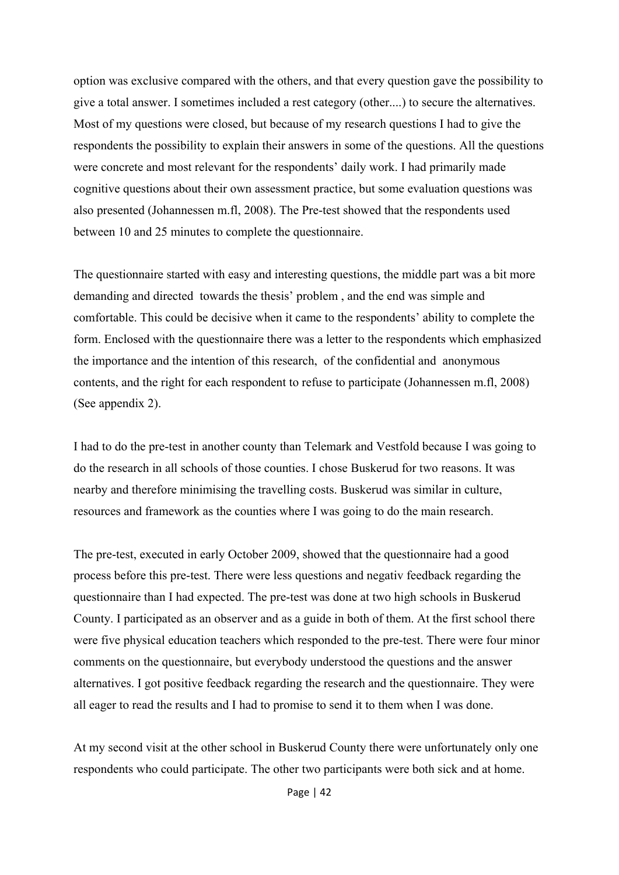option was exclusive compared with the others, and that every question gave the possibility to give a total answer. I sometimes included a rest category (other....) to secure the alternatives. Most of my questions were closed, but because of my research questions I had to give the respondents the possibility to explain their answers in some of the questions. All the questions were concrete and most relevant for the respondents' daily work. I had primarily made cognitive questions about their own assessment practice, but some evaluation questions was also presented (Johannessen m.fl, 2008). The Pre-test showed that the respondents used between 10 and 25 minutes to complete the questionnaire.

The questionnaire started with easy and interesting questions, the middle part was a bit more demanding and directed towards the thesis' problem , and the end was simple and comfortable. This could be decisive when it came to the respondents' ability to complete the form. Enclosed with the questionnaire there was a letter to the respondents which emphasized the importance and the intention of this research, of the confidential and anonymous contents, and the right for each respondent to refuse to participate (Johannessen m.fl, 2008) (See appendix 2).

I had to do the pre-test in another county than Telemark and Vestfold because I was going to do the research in all schools of those counties. I chose Buskerud for two reasons. It was nearby and therefore minimising the travelling costs. Buskerud was similar in culture, resources and framework as the counties where I was going to do the main research.

The pre-test, executed in early October 2009, showed that the questionnaire had a good process before this pre-test. There were less questions and negativ feedback regarding the questionnaire than I had expected. The pre-test was done at two high schools in Buskerud County. I participated as an observer and as a guide in both of them. At the first school there were five physical education teachers which responded to the pre-test. There were four minor comments on the questionnaire, but everybody understood the questions and the answer alternatives. I got positive feedback regarding the research and the questionnaire. They were all eager to read the results and I had to promise to send it to them when I was done.

At my second visit at the other school in Buskerud County there were unfortunately only one respondents who could participate. The other two participants were both sick and at home.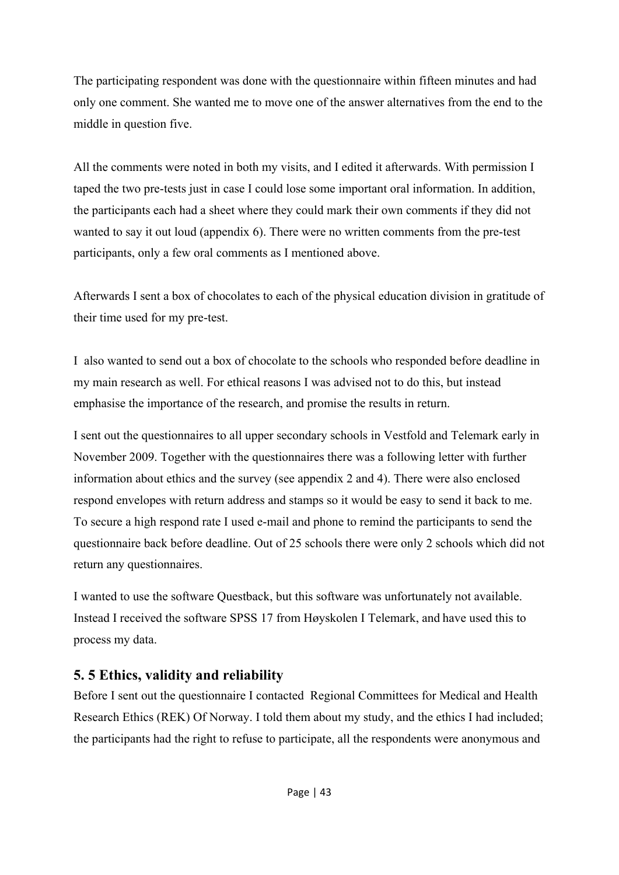The participating respondent was done with the questionnaire within fifteen minutes and had only one comment. She wanted me to move one of the answer alternatives from the end to the middle in question five.

All the comments were noted in both my visits, and I edited it afterwards. With permission I taped the two pre-tests just in case I could lose some important oral information. In addition, the participants each had a sheet where they could mark their own comments if they did not wanted to say it out loud (appendix 6). There were no written comments from the pre-test participants, only a few oral comments as I mentioned above.

Afterwards I sent a box of chocolates to each of the physical education division in gratitude of their time used for my pre-test.

I also wanted to send out a box of chocolate to the schools who responded before deadline in my main research as well. For ethical reasons I was advised not to do this, but instead emphasise the importance of the research, and promise the results in return.

I sent out the questionnaires to all upper secondary schools in Vestfold and Telemark early in November 2009. Together with the questionnaires there was a following letter with further information about ethics and the survey (see appendix 2 and 4). There were also enclosed respond envelopes with return address and stamps so it would be easy to send it back to me. To secure a high respond rate I used e-mail and phone to remind the participants to send the questionnaire back before deadline. Out of 25 schools there were only 2 schools which did not return any questionnaires.

I wanted to use the software Questback, but this software was unfortunately not available. Instead I received the software SPSS 17 from Høyskolen I Telemark, and have used this to process my data.

## **5. 5 Ethics, validity and reliability**

Before I sent out the questionnaire I contacted Regional Committees for Medical and Health Research Ethics (REK) Of Norway. I told them about my study, and the ethics I had included; the participants had the right to refuse to participate, all the respondents were anonymous and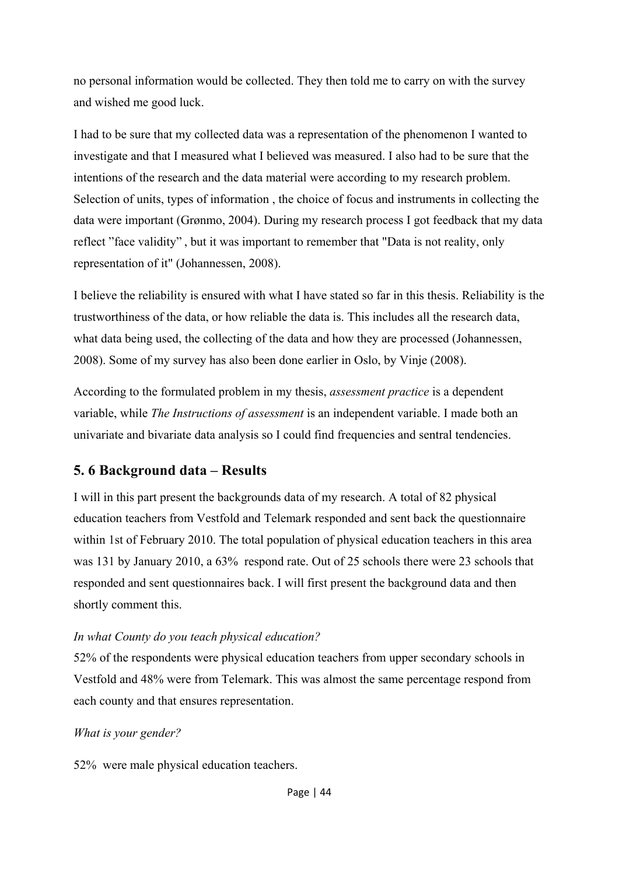no personal information would be collected. They then told me to carry on with the survey and wished me good luck.

I had to be sure that my collected data was a representation of the phenomenon I wanted to investigate and that I measured what I believed was measured. I also had to be sure that the intentions of the research and the data material were according to my research problem. Selection of units, types of information , the choice of focus and instruments in collecting the data were important (Grønmo, 2004). During my research process I got feedback that my data reflect "face validity" , but it was important to remember that "Data is not reality, only representation of it" (Johannessen, 2008).

I believe the reliability is ensured with what I have stated so far in this thesis. Reliability is the trustworthiness of the data, or how reliable the data is. This includes all the research data, what data being used, the collecting of the data and how they are processed (Johannessen, 2008). Some of my survey has also been done earlier in Oslo, by Vinje (2008).

According to the formulated problem in my thesis, *assessment practice* is a dependent variable, while *The Instructions of assessment* is an independent variable. I made both an univariate and bivariate data analysis so I could find frequencies and sentral tendencies.

## **5. 6 Background data – Results**

I will in this part present the backgrounds data of my research. A total of 82 physical education teachers from Vestfold and Telemark responded and sent back the questionnaire within 1st of February 2010. The total population of physical education teachers in this area was 131 by January 2010, a 63% respond rate. Out of 25 schools there were 23 schools that responded and sent questionnaires back. I will first present the background data and then shortly comment this.

#### *In what County do you teach physical education?*

52% of the respondents were physical education teachers from upper secondary schools in Vestfold and 48% were from Telemark. This was almost the same percentage respond from each county and that ensures representation.

#### *What is your gender?*

52% were male physical education teachers.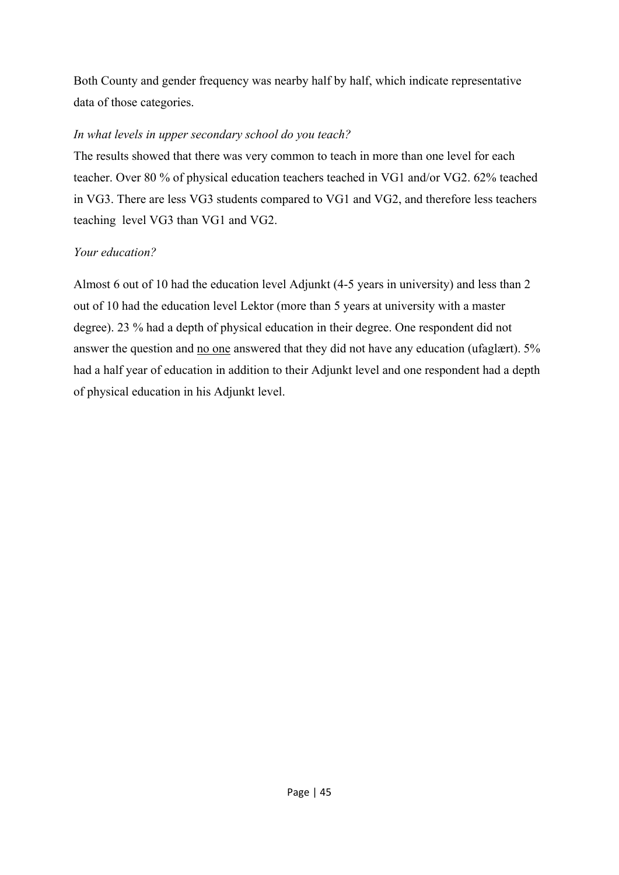Both County and gender frequency was nearby half by half, which indicate representative data of those categories.

#### *In what levels in upper secondary school do you teach?*

The results showed that there was very common to teach in more than one level for each teacher. Over 80 % of physical education teachers teached in VG1 and/or VG2. 62% teached in VG3. There are less VG3 students compared to VG1 and VG2, and therefore less teachers teaching level VG3 than VG1 and VG2.

## *Your education?*

Almost 6 out of 10 had the education level Adjunkt (4-5 years in university) and less than 2 out of 10 had the education level Lektor (more than 5 years at university with a master degree). 23 % had a depth of physical education in their degree. One respondent did not answer the question and no one answered that they did not have any education (ufaglært). 5% had a half year of education in addition to their Adjunkt level and one respondent had a depth of physical education in his Adjunkt level.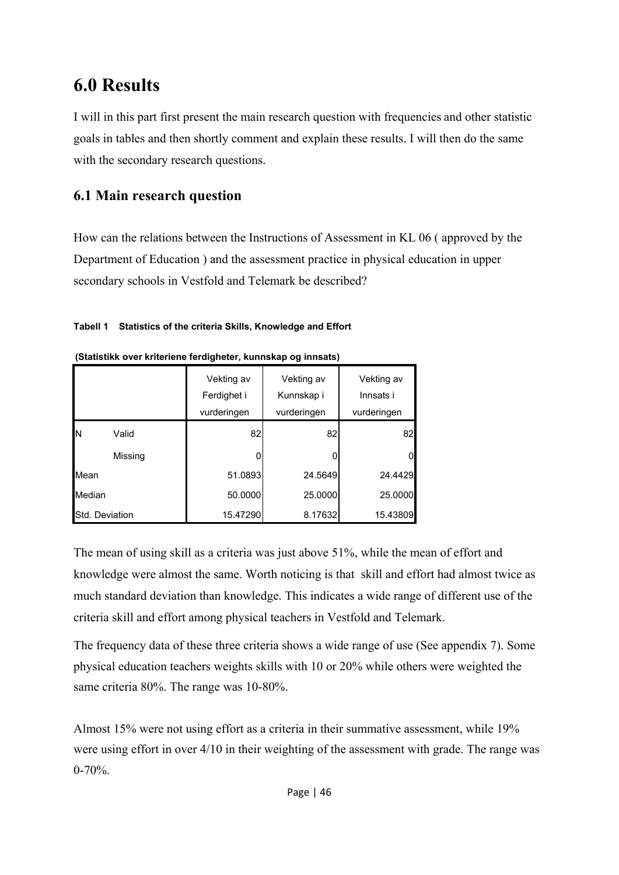# **6.0 Results**

I will in this part first present the main research question with frequencies and other statistic goals in tables and then shortly comment and explain these results. I will then do the same with the secondary research questions.

## **6.1 Main research question**

How can the relations between the Instructions of Assessment in KL 06 ( approved by the Department of Education ) and the assessment practice in physical education in upper secondary schools in Vestfold and Telemark be described?

#### **Tabell 1 Statistics of the criteria Skills, Knowledge and Effort**

|        |                | Vekting av<br>Ferdighet i<br>vurderingen | Vekting av<br>Kunnskap i<br>vurderingen | Vekting av<br>Innsats i<br>vurderingen |
|--------|----------------|------------------------------------------|-----------------------------------------|----------------------------------------|
| IN     | Valid          | 82                                       | 82                                      | 82                                     |
|        | Missing        |                                          |                                         |                                        |
| Mean   |                | 51.0893                                  | 24.5649                                 | 24.4429                                |
| Median |                | 50.0000                                  | 25,0000                                 | 25.0000                                |
|        | Std. Deviation | 15.47290                                 | 8.17632                                 | 15.43809                               |

| (Statistikk over kriteriene ferdigheter, kunnskap og innsats) |  |  |
|---------------------------------------------------------------|--|--|
|                                                               |  |  |

The mean of using skill as a criteria was just above 51%, while the mean of effort and knowledge were almost the same. Worth noticing is that skill and effort had almost twice as much standard deviation than knowledge. This indicates a wide range of different use of the criteria skill and effort among physical teachers in Vestfold and Telemark.

The frequency data of these three criteria shows a wide range of use (See appendix 7). Some physical education teachers weights skills with 10 or 20% while others were weighted the same criteria 80%. The range was 10-80%.

Almost 15% were not using effort as a criteria in their summative assessment, while 19% were using effort in over 4/10 in their weighting of the assessment with grade. The range was  $0 - 70\%$ .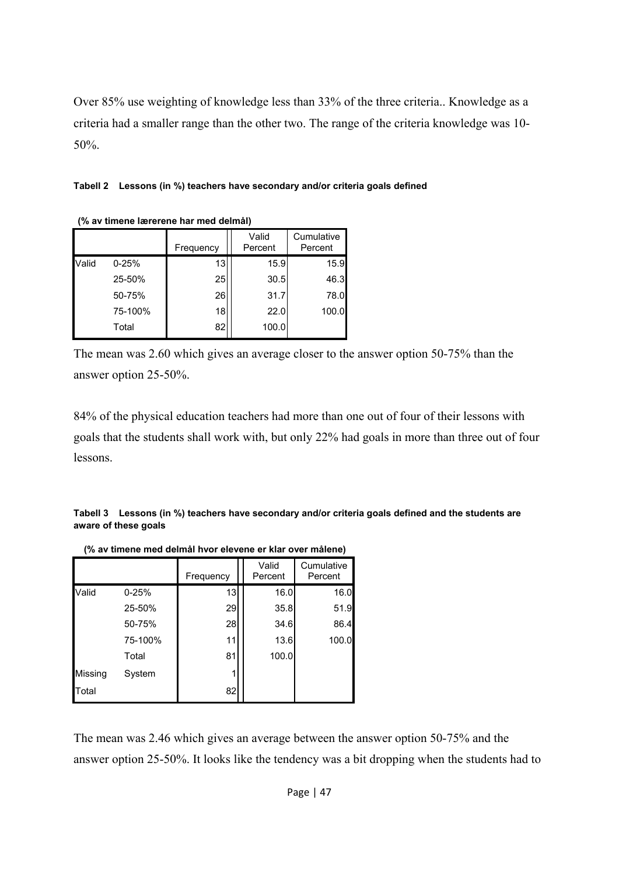Over 85% use weighting of knowledge less than 33% of the three criteria.. Knowledge as a criteria had a smaller range than the other two. The range of the criteria knowledge was 10- 50%.

|  |  |  | Tabell 2 Lessons (in %) teachers have secondary and/or criteria goals defined |
|--|--|--|-------------------------------------------------------------------------------|
|--|--|--|-------------------------------------------------------------------------------|

| <u>O UV MINOID IQUOTOID IIUI IIIDU UDIIIIUI </u> |           |           |                  |                       |  |  |
|--------------------------------------------------|-----------|-----------|------------------|-----------------------|--|--|
|                                                  |           | Frequency | Valid<br>Percent | Cumulative<br>Percent |  |  |
| Valid                                            | $0 - 25%$ | 13        | 15.9             | 15.9                  |  |  |
|                                                  | 25-50%    | 25        | 30.5             | 46.3                  |  |  |
|                                                  | 50-75%    | 26        | 31.7             | 78.0                  |  |  |
|                                                  | 75-100%   | 18        | 22.0             | 100.0                 |  |  |
|                                                  | Total     | 82        | 100.0            |                       |  |  |
|                                                  |           |           |                  |                       |  |  |

 **(% av timene lærerene har med delmål)**

The mean was 2.60 which gives an average closer to the answer option 50-75% than the answer option 25-50%.

84% of the physical education teachers had more than one out of four of their lessons with goals that the students shall work with, but only 22% had goals in more than three out of four lessons.

**Tabell 3 Lessons (in %) teachers have secondary and/or criteria goals defined and the students are aware of these goals** 

|         |           | Frequency | Valid<br>Percent | Cumulative<br>Percent |
|---------|-----------|-----------|------------------|-----------------------|
| Valid   | $0 - 25%$ | 13        | 16.0             | 16.0                  |
|         | 25-50%    | 29        | 35.8             | 51.9                  |
|         | 50-75%    | 28        | 34.6             | 86.4                  |
|         | 75-100%   | 11        | 13.6             | 100.0                 |
|         | Total     | 81        | 100.0            |                       |
| Missing | System    |           |                  |                       |
| Total   |           | 82        |                  |                       |

 **(% av timene med delmål hvor elevene er klar over målene)**

The mean was 2.46 which gives an average between the answer option 50-75% and the answer option 25-50%. It looks like the tendency was a bit dropping when the students had to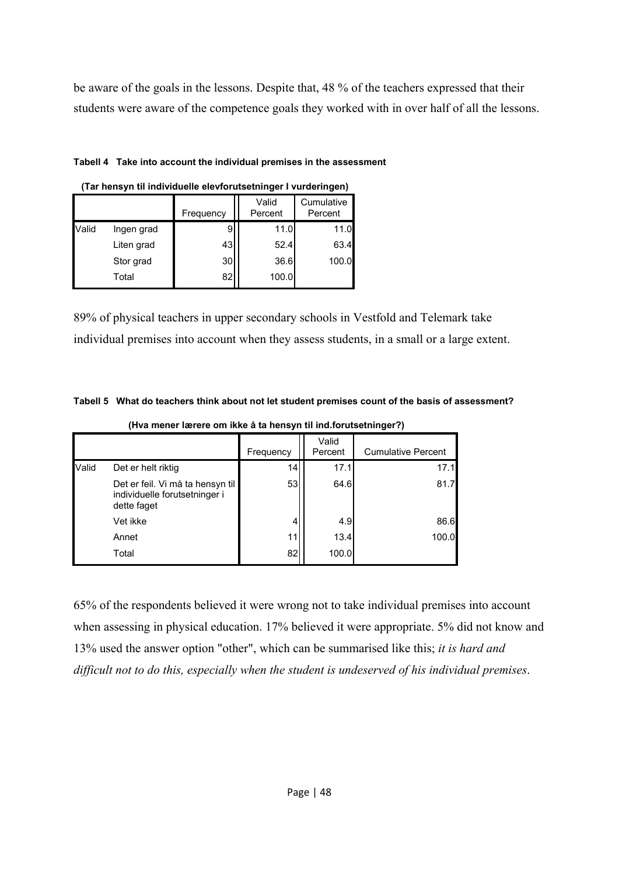be aware of the goals in the lessons. Despite that, 48 % of the teachers expressed that their students were aware of the competence goals they worked with in over half of all the lessons.

#### **Tabell 4 Take into account the individual premises in the assessment**

|       |            | Frequency | Valid<br>Percent | Cumulative<br>Percent |
|-------|------------|-----------|------------------|-----------------------|
| Valid | Ingen grad | 9         | 11.0             | 11.0                  |
|       | Liten grad | 43        | 52.4             | 63.4                  |
|       | Stor grad  | 30        | 36.6             | 100.0                 |
|       | Total      | 82        | 100.0            |                       |

|  | (Tar hensyn til individuelle elevforutsetninger I vurderingen) |  |  |  |
|--|----------------------------------------------------------------|--|--|--|
|  |                                                                |  |  |  |

89% of physical teachers in upper secondary schools in Vestfold and Telemark take individual premises into account when they assess students, in a small or a large extent.

|  |  |  | Tabell 5 What do teachers think about not let student premises count of the basis of assessment? |
|--|--|--|--------------------------------------------------------------------------------------------------|
|--|--|--|--------------------------------------------------------------------------------------------------|

|       |                                                                                  | Frequency | Valid<br>Percent | <b>Cumulative Percent</b> |
|-------|----------------------------------------------------------------------------------|-----------|------------------|---------------------------|
| Valid | Det er helt riktig                                                               | 14        | 17.1             | 17.1                      |
|       | Det er feil. Vi må ta hensyn til<br>individuelle forutsetninger i<br>dette faget | 53        | 64.6             | 81.7                      |
|       | Vet ikke                                                                         |           | 4.9              | 86.6                      |
|       | Annet                                                                            | 11        | 13.4             | 100.0                     |
|       | Total                                                                            | 82        | 100.0            |                           |

 **(Hva mener lærere om ikke å ta hensyn til ind.forutsetninger?)**

65% of the respondents believed it were wrong not to take individual premises into account when assessing in physical education. 17% believed it were appropriate. 5% did not know and 13% used the answer option "other", which can be summarised like this; *it is hard and difficult not to do this, especially when the student is undeserved of his individual premises*.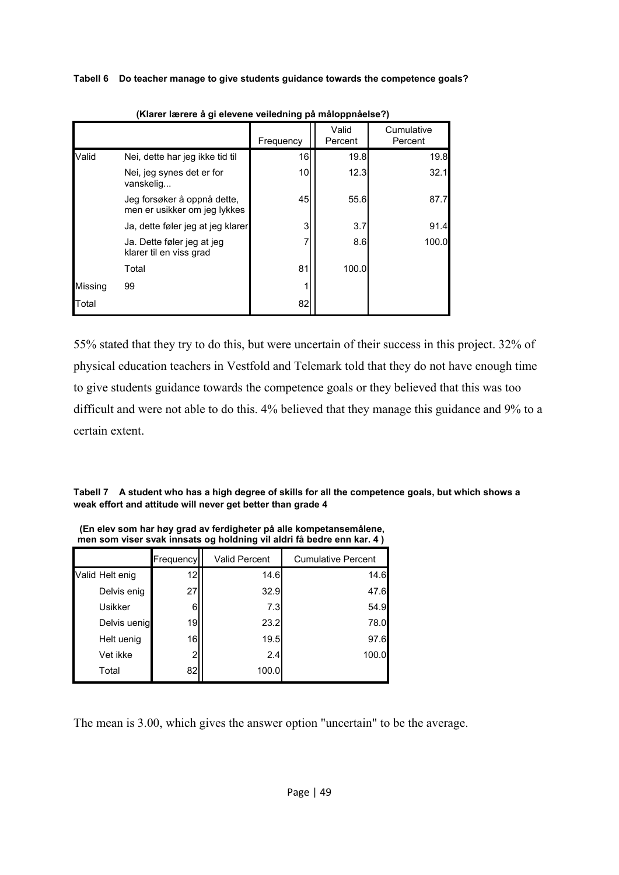**Tabell 6 Do teacher manage to give students guidance towards the competence goals?** 

|         |                                                             | Frequency | Valid<br>Percent | Cumulative<br>Percent |
|---------|-------------------------------------------------------------|-----------|------------------|-----------------------|
| Valid   | Nei, dette har jeg ikke tid til                             | 16        | 19.8             | 19.8                  |
|         | Nei, jeg synes det er for<br>vanskelig                      | 10        | 12.3             | 32.1                  |
|         | Jeg forsøker å oppnå dette,<br>men er usikker om jeg lykkes | 45        | 55.6             | 87.7                  |
|         | Ja, dette føler jeg at jeg klarer                           | 3         | 3.7              | 91.4                  |
|         | Ja. Dette føler jeg at jeg<br>klarer til en viss grad       | 7         | 8.6              | 100.0                 |
|         | Total                                                       | 81        | 100.0            |                       |
| Missing | 99                                                          |           |                  |                       |
| Total   |                                                             | 82        |                  |                       |

 **(Klarer lærere å gi elevene veiledning på måloppnåelse?)**

55% stated that they try to do this, but were uncertain of their success in this project. 32% of physical education teachers in Vestfold and Telemark told that they do not have enough time to give students guidance towards the competence goals or they believed that this was too difficult and were not able to do this. 4% believed that they manage this guidance and 9% to a certain extent.

**Tabell 7 A student who has a high degree of skills for all the competence goals, but which shows a weak effort and attitude will never get better than grade 4** 

|                 | Frequency      | <b>Valid Percent</b> | <b>Cumulative Percent</b> |  |  |  |
|-----------------|----------------|----------------------|---------------------------|--|--|--|
| Valid Helt enig | 12             | 14.6                 | 14.6                      |  |  |  |
| Delvis enig     | 27             | 32.9                 | 47.6                      |  |  |  |
| Usikker         | 6              | 7.3                  | 54.9                      |  |  |  |
| Delvis uenig    | 19             | 23.2                 | 78.0                      |  |  |  |
| Helt uenig      | 16             | 19.5                 | 97.6                      |  |  |  |
| Vet ikke        | $\overline{2}$ | 2.4                  | 100.0                     |  |  |  |
| Total           | 82             | 100.0                |                           |  |  |  |

 **(En elev som har høy grad av ferdigheter på alle kompetansemålene, men som viser svak innsats og holdning vil aldri få bedre enn kar. 4 )**

The mean is 3.00, which gives the answer option "uncertain" to be the average.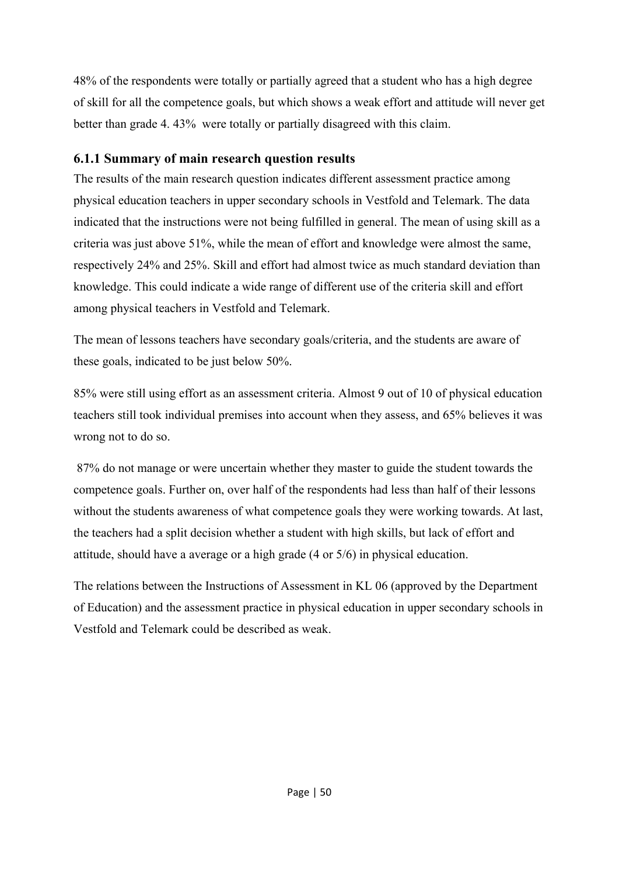48% of the respondents were totally or partially agreed that a student who has a high degree of skill for all the competence goals, but which shows a weak effort and attitude will never get better than grade 4. 43% were totally or partially disagreed with this claim.

## **6.1.1 Summary of main research question results**

The results of the main research question indicates different assessment practice among physical education teachers in upper secondary schools in Vestfold and Telemark. The data indicated that the instructions were not being fulfilled in general. The mean of using skill as a criteria was just above 51%, while the mean of effort and knowledge were almost the same, respectively 24% and 25%. Skill and effort had almost twice as much standard deviation than knowledge. This could indicate a wide range of different use of the criteria skill and effort among physical teachers in Vestfold and Telemark.

The mean of lessons teachers have secondary goals/criteria, and the students are aware of these goals, indicated to be just below 50%.

85% were still using effort as an assessment criteria. Almost 9 out of 10 of physical education teachers still took individual premises into account when they assess, and 65% believes it was wrong not to do so.

 87% do not manage or were uncertain whether they master to guide the student towards the competence goals. Further on, over half of the respondents had less than half of their lessons without the students awareness of what competence goals they were working towards. At last, the teachers had a split decision whether a student with high skills, but lack of effort and attitude, should have a average or a high grade (4 or 5/6) in physical education.

The relations between the Instructions of Assessment in KL 06 (approved by the Department of Education) and the assessment practice in physical education in upper secondary schools in Vestfold and Telemark could be described as weak.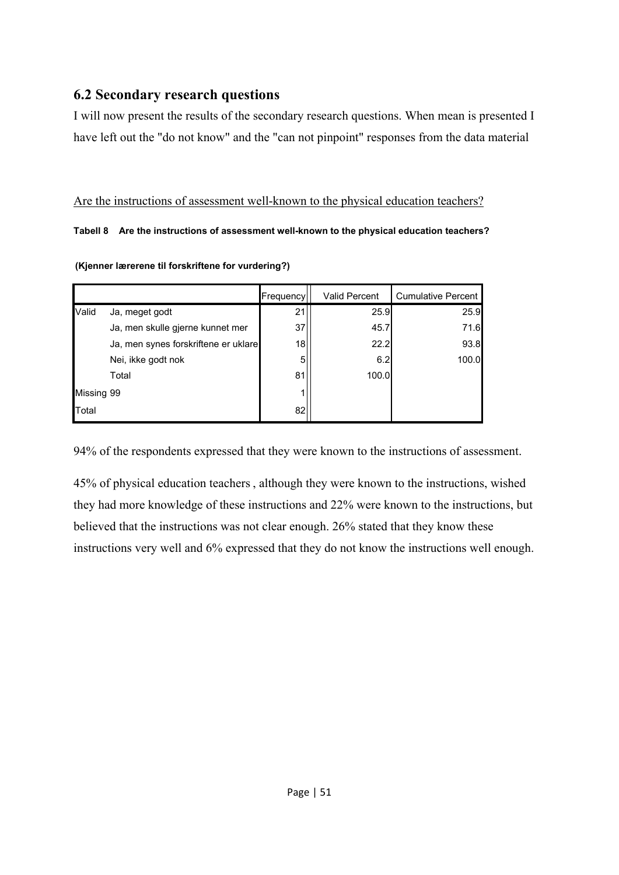## **6.2 Secondary research questions**

I will now present the results of the secondary research questions. When mean is presented I have left out the "do not know" and the "can not pinpoint" responses from the data material

#### Are the instructions of assessment well-known to the physical education teachers?

#### **Tabell 8 Are the instructions of assessment well-known to the physical education teachers?**

**(Kjenner lærerene til forskriftene for vurdering?)** 

|            |                                      | Frequency | <b>Valid Percent</b> | <b>Cumulative Percent</b> |
|------------|--------------------------------------|-----------|----------------------|---------------------------|
| Valid      | Ja, meget godt                       | 21        | 25.9                 | 25.9                      |
|            | Ja, men skulle gjerne kunnet mer     | 37        | 45.7                 | 71.6                      |
|            | Ja, men synes forskriftene er uklare | 18        | 22.2                 | 93.8                      |
|            | Nei, ikke godt nok                   | 5         | 6.2                  | 100.0                     |
|            | Total                                | 81        | 100.0                |                           |
| Missing 99 |                                      |           |                      |                           |
| Total      |                                      | 82        |                      |                           |

94% of the respondents expressed that they were known to the instructions of assessment.

45% of physical education teachers , although they were known to the instructions, wished they had more knowledge of these instructions and 22% were known to the instructions, but believed that the instructions was not clear enough. 26% stated that they know these instructions very well and 6% expressed that they do not know the instructions well enough.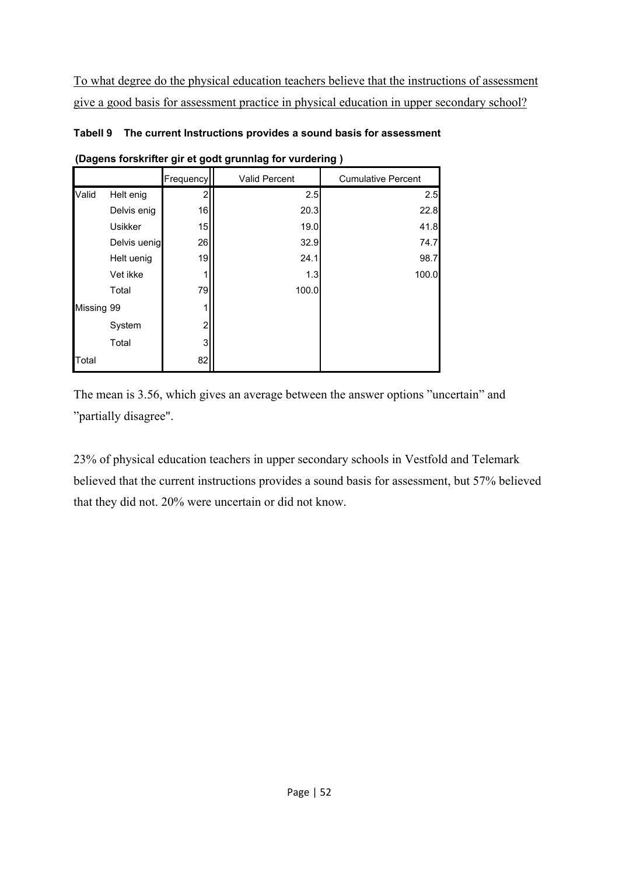To what degree do the physical education teachers believe that the instructions of assessment give a good basis for assessment practice in physical education in upper secondary school?

|            | (Dagens forskrifter gir et godt grunnlag for vurdering) |           |                      |                           |  |  |
|------------|---------------------------------------------------------|-----------|----------------------|---------------------------|--|--|
|            |                                                         | Frequency | <b>Valid Percent</b> | <b>Cumulative Percent</b> |  |  |
| Valid      | Helt enig                                               |           | 2.5                  | 2.5                       |  |  |
|            | Delvis enig                                             | 16        | 20.3                 | 22.8                      |  |  |
|            | <b>Usikker</b>                                          | 15        | 19.0                 | 41.8                      |  |  |
|            | Delvis uenig                                            | 26        | 32.9                 | 74.7                      |  |  |
|            | Helt uenig                                              | 19        | 24.1                 | 98.7                      |  |  |
|            | Vet ikke                                                |           | 1.3                  | 100.0                     |  |  |
|            | Total                                                   | 79        | 100.0                |                           |  |  |
| Missing 99 |                                                         |           |                      |                           |  |  |
|            | System                                                  | 2         |                      |                           |  |  |
|            | Total                                                   | 3         |                      |                           |  |  |
| Total      |                                                         | 82        |                      |                           |  |  |

**Tabell 9 The current Instructions provides a sound basis for assessment** 

The mean is 3.56, which gives an average between the answer options "uncertain" and "partially disagree".

23% of physical education teachers in upper secondary schools in Vestfold and Telemark believed that the current instructions provides a sound basis for assessment, but 57% believed that they did not. 20% were uncertain or did not know.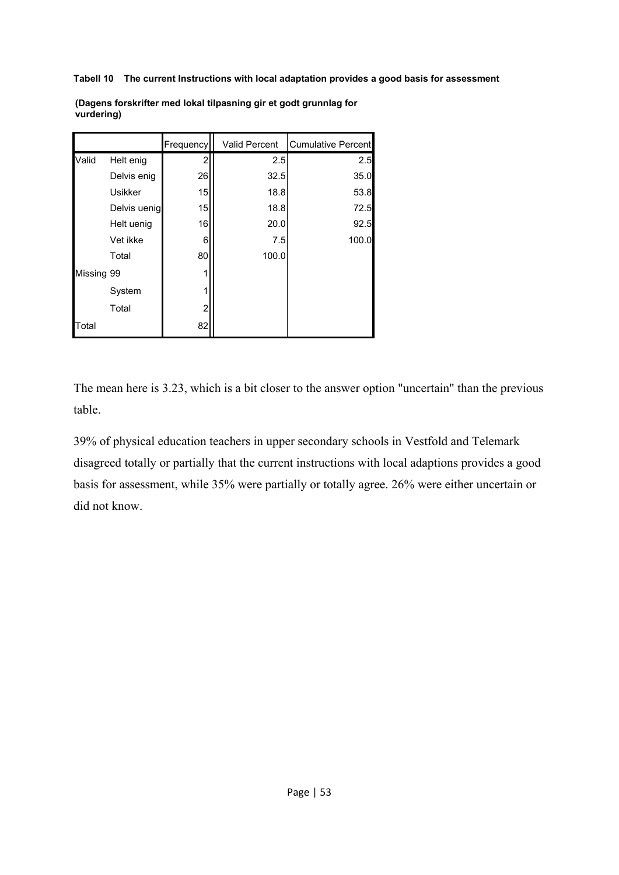**Tabell 10 The current Instructions with local adaptation provides a good basis for assessment** 

|            |                | Frequency | <b>Valid Percent</b> | <b>Cumulative Percent</b> |
|------------|----------------|-----------|----------------------|---------------------------|
| Valid      | Helt enig      | 2         | 2.5                  | 2.5                       |
|            | Delvis enig    | 26        | 32.5                 | 35.0                      |
|            | <b>Usikker</b> | 15        | 18.8                 | 53.8                      |
|            | Delvis uenig   | 15        | 18.8                 | 72.5                      |
|            | Helt uenig     | 16        | 20.0                 | 92.5                      |
|            | Vet ikke       | 6         | 7.5                  | 100.0                     |
|            | Total          | 80        | 100.0                |                           |
| Missing 99 |                |           |                      |                           |
|            | System         |           |                      |                           |
|            | Total          | 2         |                      |                           |
| Total      |                | 82        |                      |                           |

**(Dagens forskrifter med lokal tilpasning gir et godt grunnlag for vurdering)** 

The mean here is 3.23, which is a bit closer to the answer option "uncertain" than the previous table.

39% of physical education teachers in upper secondary schools in Vestfold and Telemark disagreed totally or partially that the current instructions with local adaptions provides a good basis for assessment, while 35% were partially or totally agree. 26% were either uncertain or did not know.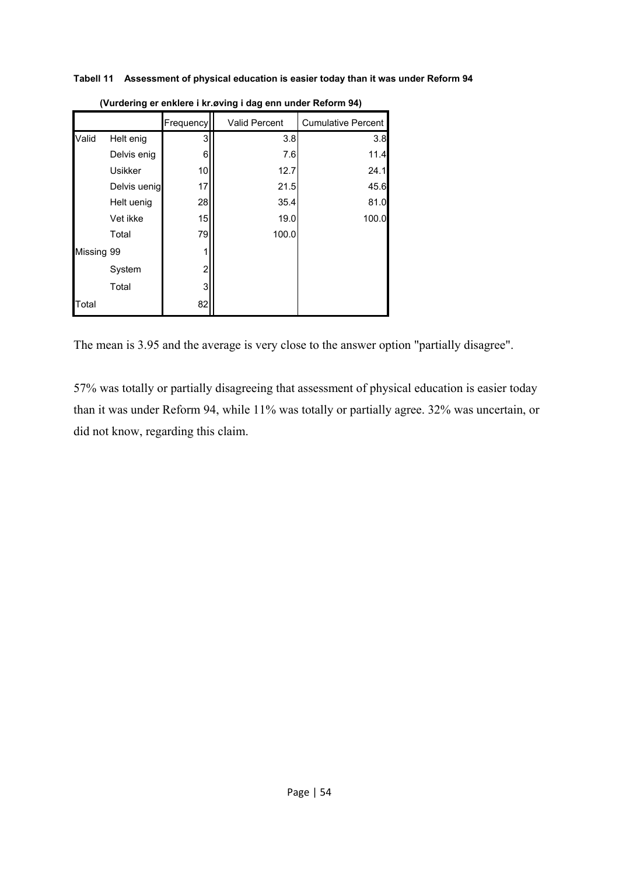**Tabell 11 Assessment of physical education is easier today than it was under Reform 94** 

|            |                | Frequency | <b>Valid Percent</b> | <b>Cumulative Percent</b> |
|------------|----------------|-----------|----------------------|---------------------------|
| Valid      | Helt enig      | 3         | 3.8                  | 3.8                       |
|            | Delvis enig    | 6         | 7.6                  | 11.4                      |
|            | <b>Usikker</b> | 10        | 12.7                 | 24.1                      |
|            | Delvis uenig   | 17        | 21.5                 | 45.6                      |
|            | Helt uenig     | 28        | 35.4                 | 81.0                      |
|            | Vet ikke       | 15        | 19.0                 | 100.0                     |
|            | Total          | 79        | 100.0                |                           |
| Missing 99 |                | 1         |                      |                           |
|            | System         | 2         |                      |                           |
|            | Total          | 3         |                      |                           |
| Total      |                | 82        |                      |                           |

**(Vurdering er enklere i kr.øving i dag enn under Reform 94)**

The mean is 3.95 and the average is very close to the answer option "partially disagree".

57% was totally or partially disagreeing that assessment of physical education is easier today than it was under Reform 94, while 11% was totally or partially agree. 32% was uncertain, or did not know, regarding this claim.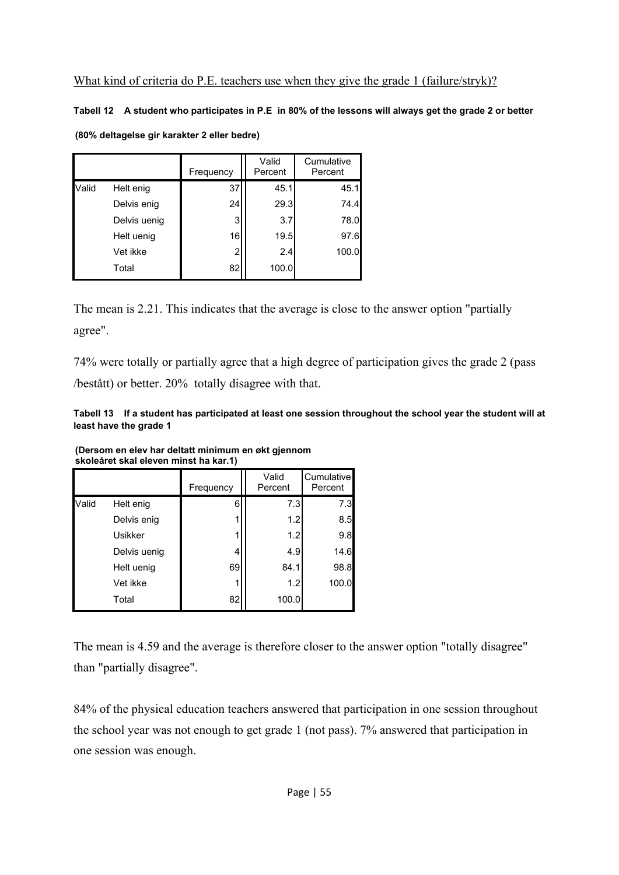**Tabell 12 A student who participates in P.E in 80% of the lessons will always get the grade 2 or better** 

| (80% deltagelse gir karakter 2 eller bedre) |  |  |  |
|---------------------------------------------|--|--|--|
|---------------------------------------------|--|--|--|

|       |              | Frequency | Valid<br>Percent | Cumulative<br>Percent |
|-------|--------------|-----------|------------------|-----------------------|
| Valid | Helt enig    | 37        | 45.1             | 45.1                  |
|       | Delvis enig  | 24        | 29.3             | 74.4                  |
|       | Delvis uenig | 3         | 3.7              | 78.0                  |
|       | Helt uenig   | 16        | 19.5             | 97.6                  |
|       | Vet ikke     | 2         | 2.4              | 100.0                 |
|       | Total        | 82        | 100.0            |                       |

The mean is 2.21. This indicates that the average is close to the answer option "partially agree".

74% were totally or partially agree that a high degree of participation gives the grade 2 (pass /bestått) or better. 20% totally disagree with that.

**Tabell 13 If a student has participated at least one session throughout the school year the student will at least have the grade 1** 

|       |                | Frequency | Valid<br>Percent | Cumulative<br>Percent |  |
|-------|----------------|-----------|------------------|-----------------------|--|
| Valid | Helt enig      | 6         | 7.3              | 7.3                   |  |
|       | Delvis enig    |           | 1.2              | 8.5                   |  |
|       | <b>Usikker</b> |           | 1.2              | 9.8                   |  |
|       | Delvis uenig   | 4         | 4.9              | 14.6                  |  |
|       | Helt uenig     | 69        | 84.1             | 98.8                  |  |
|       | Vet ikke       |           | 1.2              | 100.0                 |  |
|       | Total          | 82        | 100.0            |                       |  |

**(Dersom en elev har deltatt minimum en økt gjennom skoleåret skal eleven minst ha kar.1)** 

The mean is 4.59 and the average is therefore closer to the answer option "totally disagree" than "partially disagree".

84% of the physical education teachers answered that participation in one session throughout the school year was not enough to get grade 1 (not pass). 7% answered that participation in one session was enough.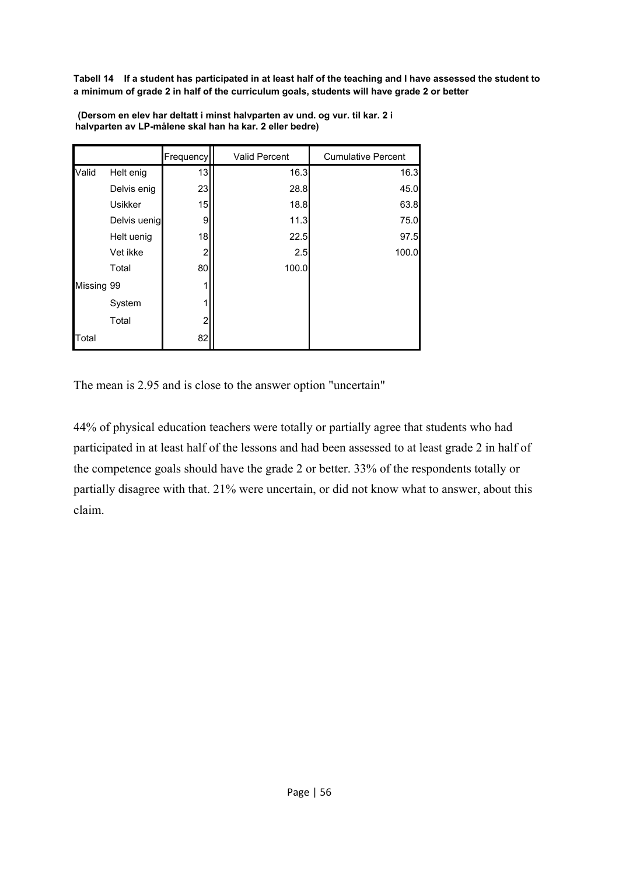**Tabell 14 If a student has participated in at least half of the teaching and I have assessed the student to a minimum of grade 2 in half of the curriculum goals, students will have grade 2 or better** 

|            |                | Frequency      | Valid Percent | <b>Cumulative Percent</b> |
|------------|----------------|----------------|---------------|---------------------------|
| Valid      | Helt enig      | 13             | 16.3          | 16.3                      |
|            | Delvis enig    | 23             | 28.8          | 45.0                      |
|            | <b>Usikker</b> | 15             | 18.8          | 63.8                      |
|            | Delvis uenig   | 9              | 11.3          | 75.0                      |
|            | Helt uenig     | 18             | 22.5          | 97.5                      |
|            | Vet ikke       | 2              | 2.5           | 100.0                     |
|            | Total          | 80             | 100.0         |                           |
| Missing 99 |                |                |               |                           |
|            | System         |                |               |                           |
|            | Total          | $\overline{2}$ |               |                           |
| Total      |                | 82             |               |                           |

 **(Dersom en elev har deltatt i minst halvparten av und. og vur. til kar. 2 i halvparten av LP-målene skal han ha kar. 2 eller bedre)** 

The mean is 2.95 and is close to the answer option "uncertain"

44% of physical education teachers were totally or partially agree that students who had participated in at least half of the lessons and had been assessed to at least grade 2 in half of the competence goals should have the grade 2 or better. 33% of the respondents totally or partially disagree with that. 21% were uncertain, or did not know what to answer, about this claim.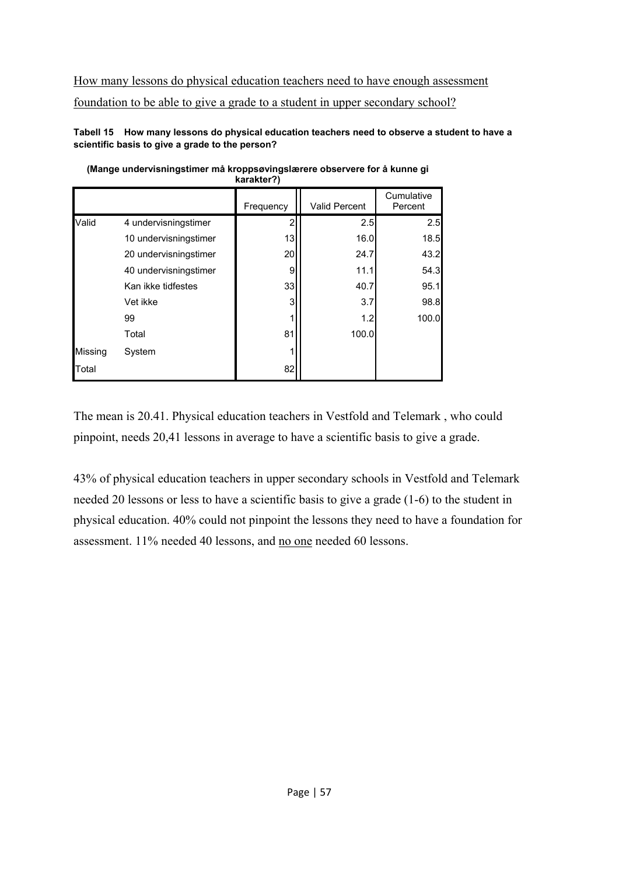# How many lessons do physical education teachers need to have enough assessment foundation to be able to give a grade to a student in upper secondary school?

**Tabell 15 How many lessons do physical education teachers need to observe a student to have a scientific basis to give a grade to the person?** 

| <b>Naidhlei!</b> |                       |           |                      |                       |  |  |
|------------------|-----------------------|-----------|----------------------|-----------------------|--|--|
|                  |                       | Frequency | <b>Valid Percent</b> | Cumulative<br>Percent |  |  |
| Valid            | 4 undervisningstimer  | 2         | 2.5                  | 2.5                   |  |  |
|                  | 10 undervisningstimer | 13        | 16.0                 | 18.5                  |  |  |
|                  | 20 undervisningstimer | 20        | 24.7                 | 43.2                  |  |  |
|                  | 40 undervisningstimer | 9         | 11.1                 | 54.3                  |  |  |
|                  | Kan ikke tidfestes    | 33        | 40.7                 | 95.1                  |  |  |
|                  | Vet ikke              | 3         | 3.7                  | 98.8                  |  |  |
|                  | 99                    |           | 1.2                  | 100.0                 |  |  |
|                  | Total                 | 81        | 100.0                |                       |  |  |
| Missing          | System                |           |                      |                       |  |  |
| Total            |                       | 82        |                      |                       |  |  |

**(Mange undervisningstimer må kroppsøvingslærere observere for å kunne gi karakter?)**

The mean is 20.41. Physical education teachers in Vestfold and Telemark , who could pinpoint, needs 20,41 lessons in average to have a scientific basis to give a grade.

43% of physical education teachers in upper secondary schools in Vestfold and Telemark needed 20 lessons or less to have a scientific basis to give a grade (1-6) to the student in physical education. 40% could not pinpoint the lessons they need to have a foundation for assessment. 11% needed 40 lessons, and no one needed 60 lessons.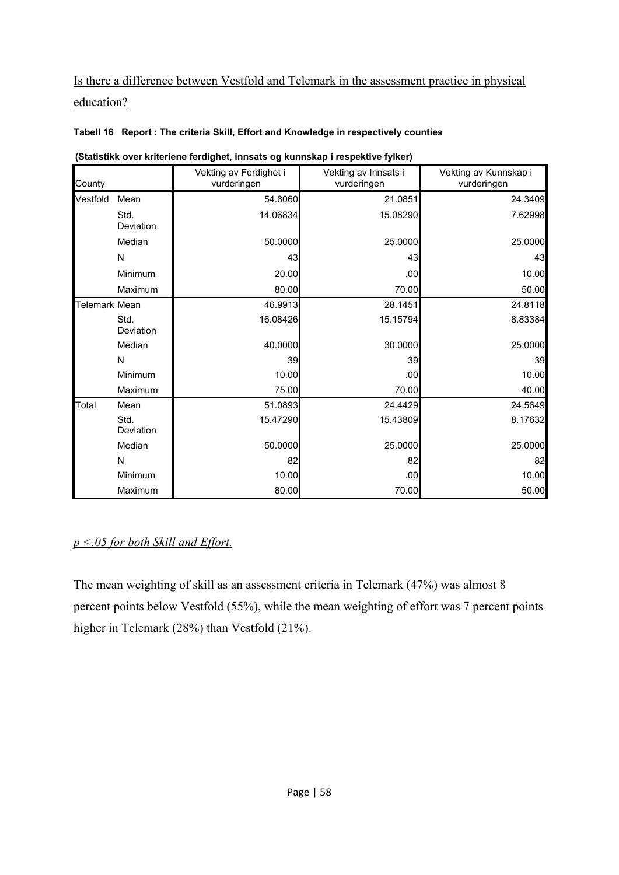## Is there a difference between Vestfold and Telemark in the assessment practice in physical education?

| (Statistikk over kriteriene ferdighet, innsats og kunnskap i respektive fylker) |                   |                                       |                                     |                                      |  |  |
|---------------------------------------------------------------------------------|-------------------|---------------------------------------|-------------------------------------|--------------------------------------|--|--|
| County                                                                          |                   | Vekting av Ferdighet i<br>vurderingen | Vekting av Innsats i<br>vurderingen | Vekting av Kunnskap i<br>vurderingen |  |  |
| Vestfold                                                                        | Mean              | 54.8060                               | 21.0851                             | 24.3409                              |  |  |
|                                                                                 | Std.<br>Deviation | 14.06834                              | 15.08290                            | 7.62998                              |  |  |
|                                                                                 | Median            | 50.0000                               | 25.0000                             | 25.0000                              |  |  |
|                                                                                 | $\mathsf{N}$      | 43                                    | 43                                  | 43                                   |  |  |
|                                                                                 | Minimum           | 20.00                                 | .00                                 | 10.00                                |  |  |
|                                                                                 | Maximum           | 80.00                                 | 70.00                               | 50.00                                |  |  |
| Telemark Mean                                                                   |                   | 46.9913                               | 28.1451                             | 24.8118                              |  |  |
|                                                                                 | Std.<br>Deviation | 16.08426                              | 15.15794                            | 8.83384                              |  |  |
|                                                                                 | Median            | 40.0000                               | 30.0000                             | 25.0000                              |  |  |
|                                                                                 | N                 | 39                                    | 39                                  | 39                                   |  |  |
|                                                                                 | Minimum           | 10.00                                 | .00                                 | 10.00                                |  |  |
|                                                                                 | Maximum           | 75.00                                 | 70.00                               | 40.00                                |  |  |
| Total                                                                           | Mean              | 51.0893                               | 24.4429                             | 24.5649                              |  |  |
|                                                                                 | Std.<br>Deviation | 15.47290                              | 15.43809                            | 8.17632                              |  |  |
|                                                                                 | Median            | 50.0000                               | 25.0000                             | 25.0000                              |  |  |
|                                                                                 | N                 | 82                                    | 82                                  | 82                                   |  |  |
|                                                                                 | Minimum           | 10.00                                 | .00                                 | 10.00                                |  |  |
|                                                                                 | Maximum           | 80.00                                 | 70.00                               | 50.00                                |  |  |

#### **Tabell 16 Report : The criteria Skill, Effort and Knowledge in respectively counties**

#### *p <.05 for both Skill and Effort.*

The mean weighting of skill as an assessment criteria in Telemark (47%) was almost 8 percent points below Vestfold (55%), while the mean weighting of effort was 7 percent points higher in Telemark (28%) than Vestfold (21%).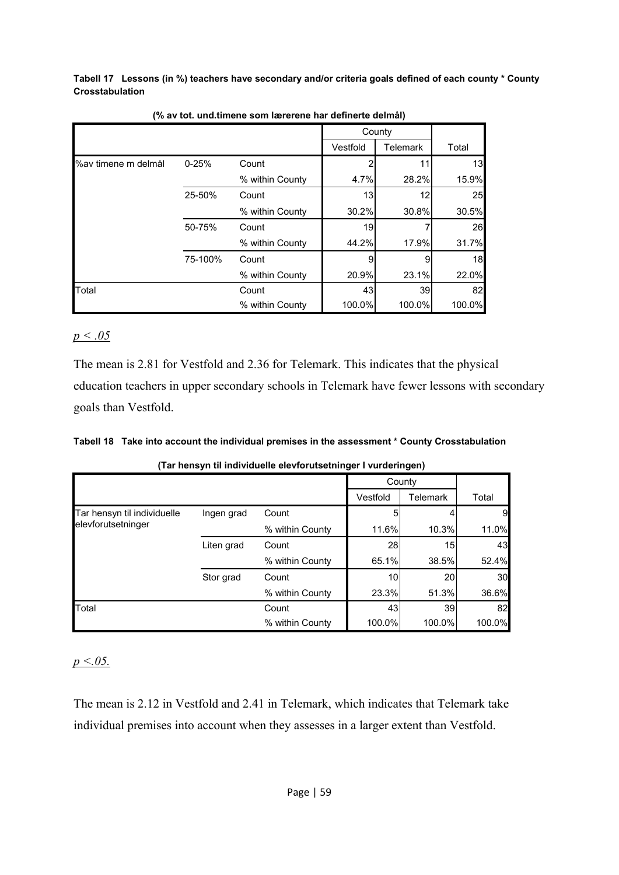**Tabell 17 Lessons (in %) teachers have secondary and/or criteria goals defined of each county \* County Crosstabulation** 

|                     |           |                 | County   |          |        |
|---------------------|-----------|-----------------|----------|----------|--------|
|                     |           |                 | Vestfold | Telemark | Total  |
| %av timene m delmål | $0 - 25%$ | Count           |          | 11       | 13     |
|                     |           | % within County | 4.7%     | 28.2%    | 15.9%  |
|                     | 25-50%    | Count           | 13       | 12       | 25     |
|                     |           | % within County | 30.2%    | 30.8%    | 30.5%  |
|                     | 50-75%    | Count           | 19       |          | 26     |
|                     |           | % within County | 44.2%    | 17.9%    | 31.7%  |
|                     | 75-100%   | Count           | 9        | 9        | 18     |
|                     |           | % within County | 20.9%    | 23.1%    | 22.0%  |
| Total               |           | Count           | 43       | 39       | 82     |
|                     |           | % within County | 100.0%   | 100.0%   | 100.0% |

**(% av tot. und.timene som lærerene har definerte delmål)**

#### *p < .05*

The mean is 2.81 for Vestfold and 2.36 for Telemark. This indicates that the physical education teachers in upper secondary schools in Telemark have fewer lessons with secondary goals than Vestfold.

|  | Tabell 18 Take into account the individual premises in the assessment * County Crosstabulation |  |
|--|------------------------------------------------------------------------------------------------|--|
|--|------------------------------------------------------------------------------------------------|--|

|  |  | (Tar hensyn til individuelle elevforutsetninger I vurderingen) |  |
|--|--|----------------------------------------------------------------|--|
|--|--|----------------------------------------------------------------|--|

|                             |            |                 | County    |          |        |
|-----------------------------|------------|-----------------|-----------|----------|--------|
|                             |            |                 | Vestfold  | Telemark | Total  |
| Tar hensyn til individuelle | Ingen grad | Count           |           |          | 9      |
| elevforutsetninger          |            | % within County | 11.6%     | 10.3%    | 11.0%  |
|                             | Liten grad | Count           | <b>28</b> | 15       | 43     |
|                             |            | % within County | 65.1%     | 38.5%    | 52.4%  |
|                             | Stor grad  | Count           | 10        | 20       | 30     |
|                             |            | % within County | 23.3%     | 51.3%    | 36.6%  |
| Total                       |            | Count           | 43        | 39       | 82     |
|                             |            | % within County | 100.0%    | 100.0%   | 100.0% |

#### *p <.05.*

The mean is 2.12 in Vestfold and 2.41 in Telemark, which indicates that Telemark take individual premises into account when they assesses in a larger extent than Vestfold.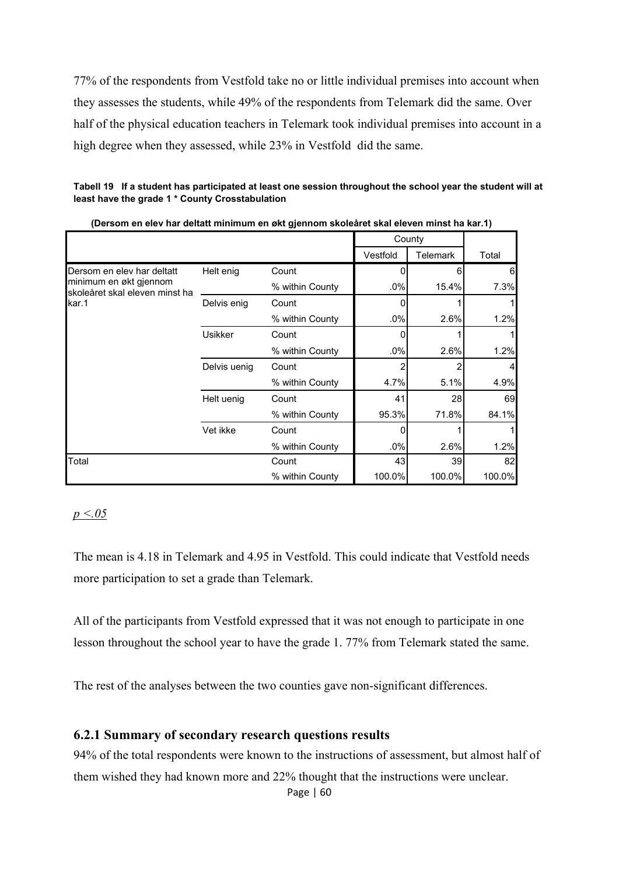77% of the respondents from Vestfold take no or little individual premises into account when they assesses the students, while 49% of the respondents from Telemark did the same. Over half of the physical education teachers in Telemark took individual premises into account in a high degree when they assessed, while 23% in Vestfold did the same.

**Tabell 19 If a student has participated at least one session throughout the school year the student will at least have the grade 1 \* County Crosstabulation** 

| poisoni on olov nar aollait minimani on più gjornioni silologi ol silar biovon minist na kar. I j |                |                 |          |                 |        |
|---------------------------------------------------------------------------------------------------|----------------|-----------------|----------|-----------------|--------|
|                                                                                                   |                |                 | County   |                 |        |
|                                                                                                   |                |                 | Vestfold | <b>Telemark</b> | Total  |
| Dersom en elev har deltatt                                                                        | Helt enig      | Count           |          |                 | 6      |
| minimum en økt gjennom<br>skoleåret skal eleven minst ha                                          |                | % within County | $.0\%$   | 15.4%           | 7.3%   |
| kar.1                                                                                             | Delvis enig    | Count           |          |                 |        |
|                                                                                                   |                | % within County | $.0\%$   | 2.6%            | 1.2%   |
|                                                                                                   | <b>Usikker</b> | Count           | 0        |                 |        |
|                                                                                                   |                | % within County | $.0\%$   | 2.6%            | 1.2%   |
|                                                                                                   | Delvis uenig   | Count           |          |                 |        |
|                                                                                                   |                | % within County | 4.7%     | 5.1%            | 4.9%   |
|                                                                                                   | Helt uenig     | Count           | 41       | 28              | 69     |
|                                                                                                   |                | % within County | 95.3%    | 71.8%           | 84.1%  |
|                                                                                                   | Vet ikke       | Count           |          |                 |        |
|                                                                                                   |                | % within County | $.0\%$   | 2.6%            | 1.2%   |
| Total                                                                                             |                | Count           | 43       | 39              | 82     |
|                                                                                                   |                | % within County | 100.0%   | 100.0%          | 100.0% |

**(Dersom en elev har deltatt minimum en økt gjennom skoleåret skal eleven minst ha kar.1)** 

*p <.05* 

The mean is 4.18 in Telemark and 4.95 in Vestfold. This could indicate that Vestfold needs more participation to set a grade than Telemark.

All of the participants from Vestfold expressed that it was not enough to participate in one lesson throughout the school year to have the grade 1. 77% from Telemark stated the same.

The rest of the analyses between the two counties gave non-significant differences.

#### **6.2.1 Summary of secondary research questions results**

94% of the total respondents were known to the instructions of assessment, but almost half of them wished they had known more and 22% thought that the instructions were unclear.

Page | 60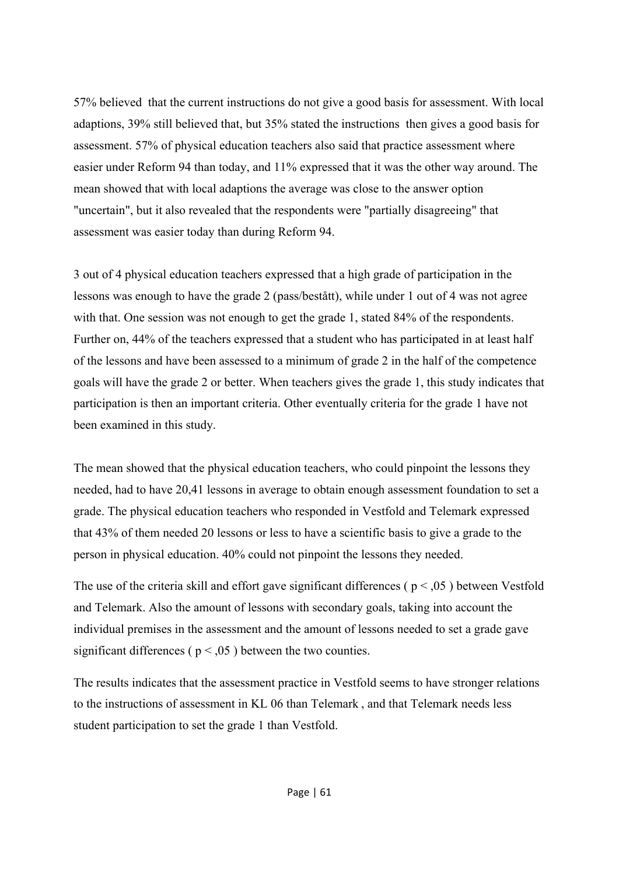57% believed that the current instructions do not give a good basis for assessment. With local adaptions, 39% still believed that, but 35% stated the instructions then gives a good basis for assessment. 57% of physical education teachers also said that practice assessment where easier under Reform 94 than today, and 11% expressed that it was the other way around. The mean showed that with local adaptions the average was close to the answer option "uncertain", but it also revealed that the respondents were "partially disagreeing" that assessment was easier today than during Reform 94.

3 out of 4 physical education teachers expressed that a high grade of participation in the lessons was enough to have the grade 2 (pass/bestått), while under 1 out of 4 was not agree with that. One session was not enough to get the grade 1, stated 84% of the respondents. Further on, 44% of the teachers expressed that a student who has participated in at least half of the lessons and have been assessed to a minimum of grade 2 in the half of the competence goals will have the grade 2 or better. When teachers gives the grade 1, this study indicates that participation is then an important criteria. Other eventually criteria for the grade 1 have not been examined in this study.

The mean showed that the physical education teachers, who could pinpoint the lessons they needed, had to have 20,41 lessons in average to obtain enough assessment foundation to set a grade. The physical education teachers who responded in Vestfold and Telemark expressed that 43% of them needed 20 lessons or less to have a scientific basis to give a grade to the person in physical education. 40% could not pinpoint the lessons they needed.

The use of the criteria skill and effort gave significant differences ( $p < 0.05$ ) between Vestfold and Telemark. Also the amount of lessons with secondary goals, taking into account the individual premises in the assessment and the amount of lessons needed to set a grade gave significant differences ( $p < 0.05$ ) between the two counties.

The results indicates that the assessment practice in Vestfold seems to have stronger relations to the instructions of assessment in KL 06 than Telemark , and that Telemark needs less student participation to set the grade 1 than Vestfold.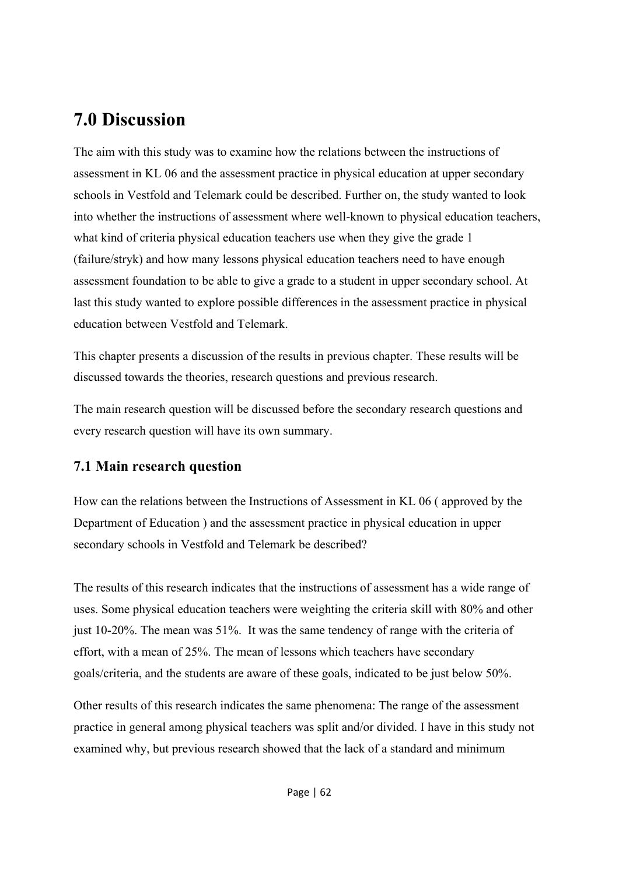# **7.0 Discussion**

The aim with this study was to examine how the relations between the instructions of assessment in KL 06 and the assessment practice in physical education at upper secondary schools in Vestfold and Telemark could be described. Further on, the study wanted to look into whether the instructions of assessment where well-known to physical education teachers, what kind of criteria physical education teachers use when they give the grade 1 (failure/stryk) and how many lessons physical education teachers need to have enough assessment foundation to be able to give a grade to a student in upper secondary school. At last this study wanted to explore possible differences in the assessment practice in physical education between Vestfold and Telemark.

This chapter presents a discussion of the results in previous chapter. These results will be discussed towards the theories, research questions and previous research.

The main research question will be discussed before the secondary research questions and every research question will have its own summary.

## **7.1 Main research question**

How can the relations between the Instructions of Assessment in KL 06 ( approved by the Department of Education ) and the assessment practice in physical education in upper secondary schools in Vestfold and Telemark be described?

The results of this research indicates that the instructions of assessment has a wide range of uses. Some physical education teachers were weighting the criteria skill with 80% and other just 10-20%. The mean was 51%. It was the same tendency of range with the criteria of effort, with a mean of 25%. The mean of lessons which teachers have secondary goals/criteria, and the students are aware of these goals, indicated to be just below 50%.

Other results of this research indicates the same phenomena: The range of the assessment practice in general among physical teachers was split and/or divided. I have in this study not examined why, but previous research showed that the lack of a standard and minimum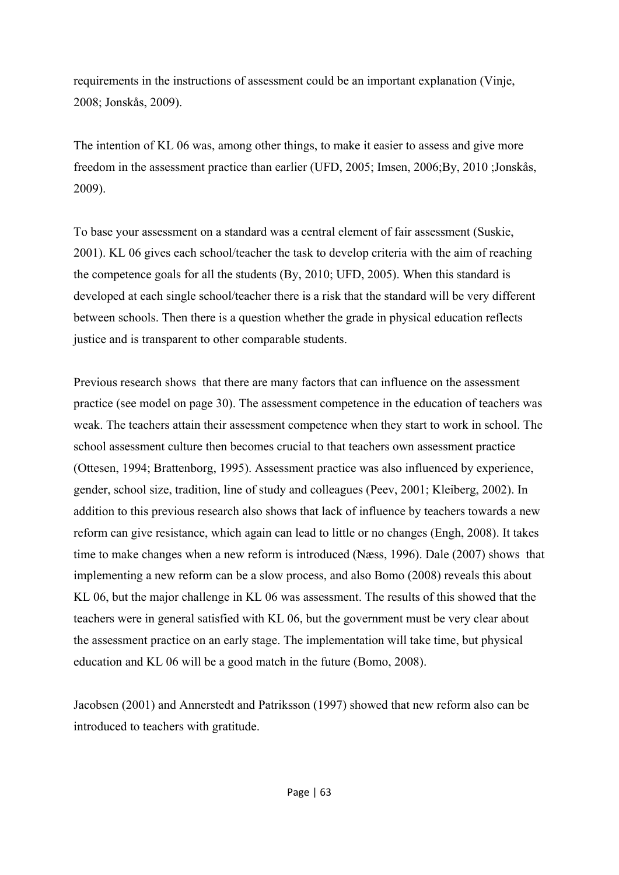requirements in the instructions of assessment could be an important explanation (Vinje, 2008; Jonskås, 2009).

The intention of KL 06 was, among other things, to make it easier to assess and give more freedom in the assessment practice than earlier (UFD, 2005; Imsen, 2006;By, 2010 ;Jonskås, 2009).

To base your assessment on a standard was a central element of fair assessment (Suskie, 2001). KL 06 gives each school/teacher the task to develop criteria with the aim of reaching the competence goals for all the students (By, 2010; UFD, 2005). When this standard is developed at each single school/teacher there is a risk that the standard will be very different between schools. Then there is a question whether the grade in physical education reflects justice and is transparent to other comparable students.

Previous research shows that there are many factors that can influence on the assessment practice (see model on page 30). The assessment competence in the education of teachers was weak. The teachers attain their assessment competence when they start to work in school. The school assessment culture then becomes crucial to that teachers own assessment practice (Ottesen, 1994; Brattenborg, 1995). Assessment practice was also influenced by experience, gender, school size, tradition, line of study and colleagues (Peev, 2001; Kleiberg, 2002). In addition to this previous research also shows that lack of influence by teachers towards a new reform can give resistance, which again can lead to little or no changes (Engh, 2008). It takes time to make changes when a new reform is introduced (Næss, 1996). Dale (2007) shows that implementing a new reform can be a slow process, and also Bomo (2008) reveals this about KL 06, but the major challenge in KL 06 was assessment. The results of this showed that the teachers were in general satisfied with KL 06, but the government must be very clear about the assessment practice on an early stage. The implementation will take time, but physical education and KL 06 will be a good match in the future (Bomo, 2008).

Jacobsen (2001) and Annerstedt and Patriksson (1997) showed that new reform also can be introduced to teachers with gratitude.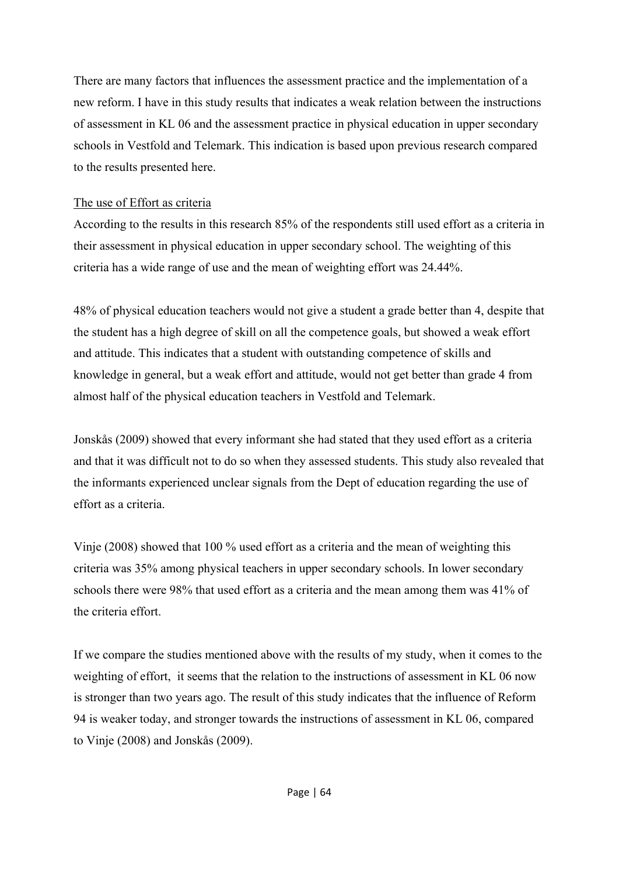There are many factors that influences the assessment practice and the implementation of a new reform. I have in this study results that indicates a weak relation between the instructions of assessment in KL 06 and the assessment practice in physical education in upper secondary schools in Vestfold and Telemark. This indication is based upon previous research compared to the results presented here.

#### The use of Effort as criteria

According to the results in this research 85% of the respondents still used effort as a criteria in their assessment in physical education in upper secondary school. The weighting of this criteria has a wide range of use and the mean of weighting effort was 24.44%.

48% of physical education teachers would not give a student a grade better than 4, despite that the student has a high degree of skill on all the competence goals, but showed a weak effort and attitude. This indicates that a student with outstanding competence of skills and knowledge in general, but a weak effort and attitude, would not get better than grade 4 from almost half of the physical education teachers in Vestfold and Telemark.

Jonskås (2009) showed that every informant she had stated that they used effort as a criteria and that it was difficult not to do so when they assessed students. This study also revealed that the informants experienced unclear signals from the Dept of education regarding the use of effort as a criteria.

Vinje (2008) showed that 100 % used effort as a criteria and the mean of weighting this criteria was 35% among physical teachers in upper secondary schools. In lower secondary schools there were 98% that used effort as a criteria and the mean among them was 41% of the criteria effort.

If we compare the studies mentioned above with the results of my study, when it comes to the weighting of effort, it seems that the relation to the instructions of assessment in KL 06 now is stronger than two years ago. The result of this study indicates that the influence of Reform 94 is weaker today, and stronger towards the instructions of assessment in KL 06, compared to Vinje (2008) and Jonskås (2009).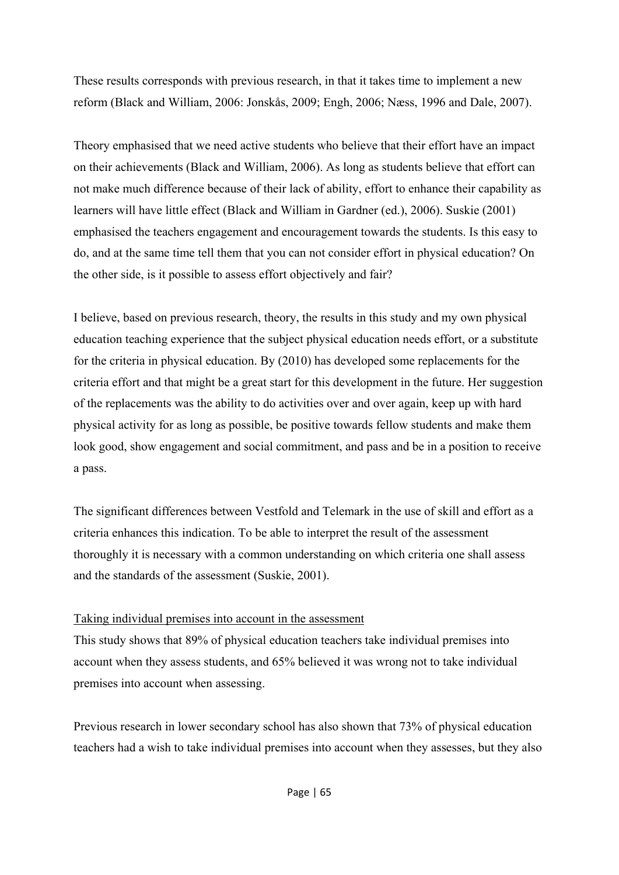These results corresponds with previous research, in that it takes time to implement a new reform (Black and William, 2006: Jonskås, 2009; Engh, 2006; Næss, 1996 and Dale, 2007).

Theory emphasised that we need active students who believe that their effort have an impact on their achievements (Black and William, 2006). As long as students believe that effort can not make much difference because of their lack of ability, effort to enhance their capability as learners will have little effect (Black and William in Gardner (ed.), 2006). Suskie (2001) emphasised the teachers engagement and encouragement towards the students. Is this easy to do, and at the same time tell them that you can not consider effort in physical education? On the other side, is it possible to assess effort objectively and fair?

I believe, based on previous research, theory, the results in this study and my own physical education teaching experience that the subject physical education needs effort, or a substitute for the criteria in physical education. By (2010) has developed some replacements for the criteria effort and that might be a great start for this development in the future. Her suggestion of the replacements was the ability to do activities over and over again, keep up with hard physical activity for as long as possible, be positive towards fellow students and make them look good, show engagement and social commitment, and pass and be in a position to receive a pass.

The significant differences between Vestfold and Telemark in the use of skill and effort as a criteria enhances this indication. To be able to interpret the result of the assessment thoroughly it is necessary with a common understanding on which criteria one shall assess and the standards of the assessment (Suskie, 2001).

#### Taking individual premises into account in the assessment

This study shows that 89% of physical education teachers take individual premises into account when they assess students, and 65% believed it was wrong not to take individual premises into account when assessing.

Previous research in lower secondary school has also shown that 73% of physical education teachers had a wish to take individual premises into account when they assesses, but they also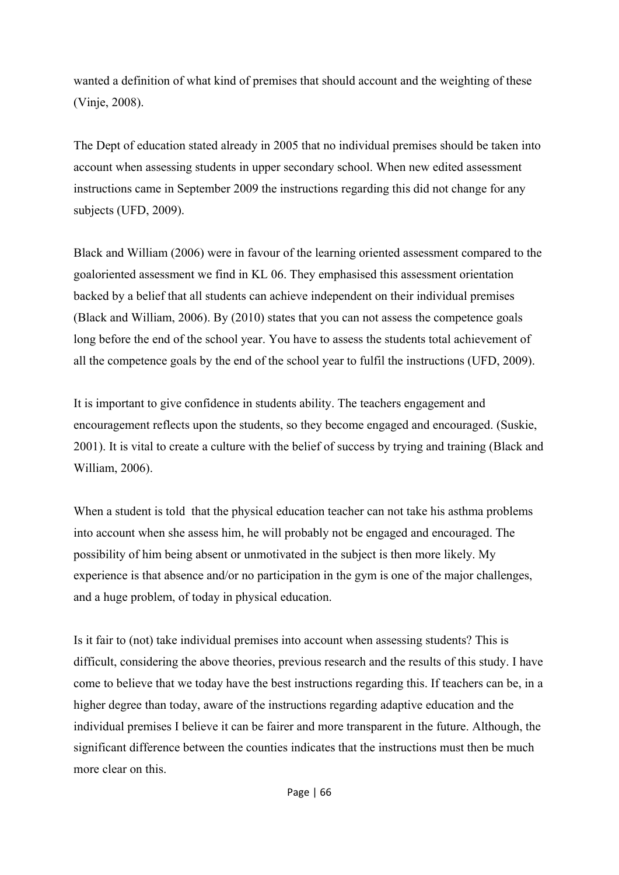wanted a definition of what kind of premises that should account and the weighting of these (Vinje, 2008).

The Dept of education stated already in 2005 that no individual premises should be taken into account when assessing students in upper secondary school. When new edited assessment instructions came in September 2009 the instructions regarding this did not change for any subjects (UFD, 2009).

Black and William (2006) were in favour of the learning oriented assessment compared to the goaloriented assessment we find in KL 06. They emphasised this assessment orientation backed by a belief that all students can achieve independent on their individual premises (Black and William, 2006). By (2010) states that you can not assess the competence goals long before the end of the school year. You have to assess the students total achievement of all the competence goals by the end of the school year to fulfil the instructions (UFD, 2009).

It is important to give confidence in students ability. The teachers engagement and encouragement reflects upon the students, so they become engaged and encouraged. (Suskie, 2001). It is vital to create a culture with the belief of success by trying and training (Black and William, 2006).

When a student is told that the physical education teacher can not take his asthma problems into account when she assess him, he will probably not be engaged and encouraged. The possibility of him being absent or unmotivated in the subject is then more likely. My experience is that absence and/or no participation in the gym is one of the major challenges, and a huge problem, of today in physical education.

Is it fair to (not) take individual premises into account when assessing students? This is difficult, considering the above theories, previous research and the results of this study. I have come to believe that we today have the best instructions regarding this. If teachers can be, in a higher degree than today, aware of the instructions regarding adaptive education and the individual premises I believe it can be fairer and more transparent in the future. Although, the significant difference between the counties indicates that the instructions must then be much more clear on this.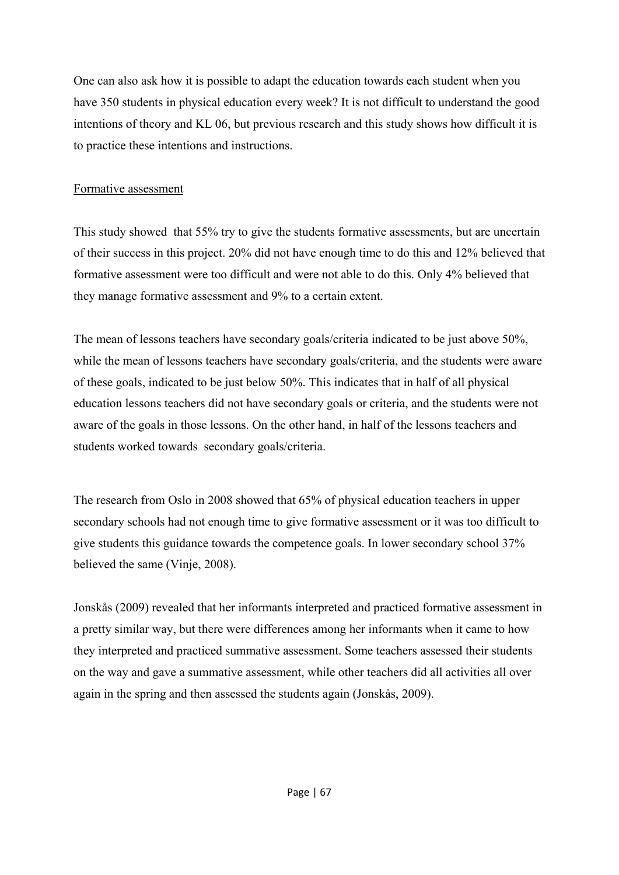One can also ask how it is possible to adapt the education towards each student when you have 350 students in physical education every week? It is not difficult to understand the good intentions of theory and KL 06, but previous research and this study shows how difficult it is to practice these intentions and instructions.

#### Formative assessment

This study showed that 55% try to give the students formative assessments, but are uncertain of their success in this project. 20% did not have enough time to do this and 12% believed that formative assessment were too difficult and were not able to do this. Only 4% believed that they manage formative assessment and 9% to a certain extent.

The mean of lessons teachers have secondary goals/criteria indicated to be just above 50%, while the mean of lessons teachers have secondary goals/criteria, and the students were aware of these goals, indicated to be just below 50%. This indicates that in half of all physical education lessons teachers did not have secondary goals or criteria, and the students were not aware of the goals in those lessons. On the other hand, in half of the lessons teachers and students worked towards secondary goals/criteria.

The research from Oslo in 2008 showed that 65% of physical education teachers in upper secondary schools had not enough time to give formative assessment or it was too difficult to give students this guidance towards the competence goals. In lower secondary school 37% believed the same (Vinje, 2008).

Jonskås (2009) revealed that her informants interpreted and practiced formative assessment in a pretty similar way, but there were differences among her informants when it came to how they interpreted and practiced summative assessment. Some teachers assessed their students on the way and gave a summative assessment, while other teachers did all activities all over again in the spring and then assessed the students again (Jonskås, 2009).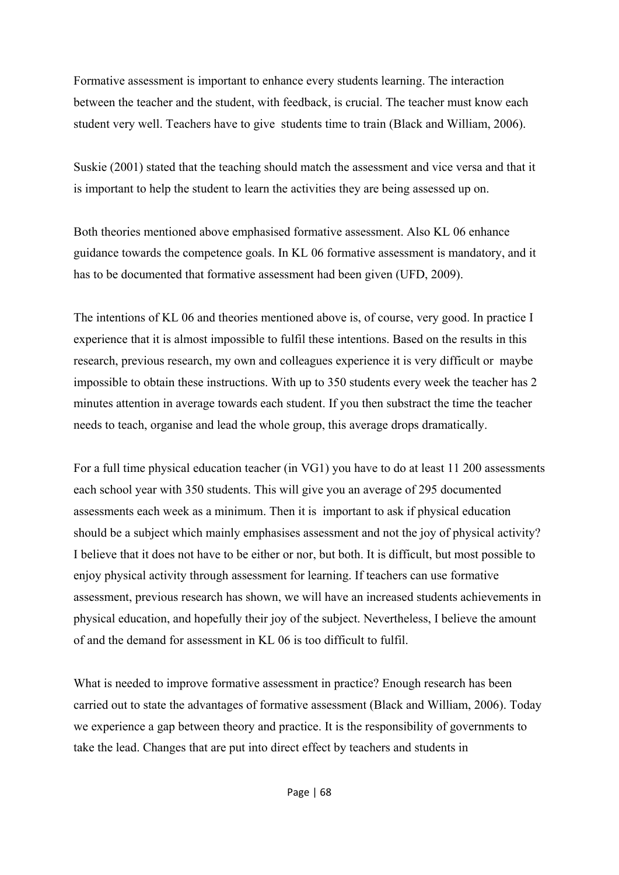Formative assessment is important to enhance every students learning. The interaction between the teacher and the student, with feedback, is crucial. The teacher must know each student very well. Teachers have to give students time to train (Black and William, 2006).

Suskie (2001) stated that the teaching should match the assessment and vice versa and that it is important to help the student to learn the activities they are being assessed up on.

Both theories mentioned above emphasised formative assessment. Also KL 06 enhance guidance towards the competence goals. In KL 06 formative assessment is mandatory, and it has to be documented that formative assessment had been given (UFD, 2009).

The intentions of KL 06 and theories mentioned above is, of course, very good. In practice I experience that it is almost impossible to fulfil these intentions. Based on the results in this research, previous research, my own and colleagues experience it is very difficult or maybe impossible to obtain these instructions. With up to 350 students every week the teacher has 2 minutes attention in average towards each student. If you then substract the time the teacher needs to teach, organise and lead the whole group, this average drops dramatically.

For a full time physical education teacher (in VG1) you have to do at least 11 200 assessments each school year with 350 students. This will give you an average of 295 documented assessments each week as a minimum. Then it is important to ask if physical education should be a subject which mainly emphasises assessment and not the joy of physical activity? I believe that it does not have to be either or nor, but both. It is difficult, but most possible to enjoy physical activity through assessment for learning. If teachers can use formative assessment, previous research has shown, we will have an increased students achievements in physical education, and hopefully their joy of the subject. Nevertheless, I believe the amount of and the demand for assessment in KL 06 is too difficult to fulfil.

What is needed to improve formative assessment in practice? Enough research has been carried out to state the advantages of formative assessment (Black and William, 2006). Today we experience a gap between theory and practice. It is the responsibility of governments to take the lead. Changes that are put into direct effect by teachers and students in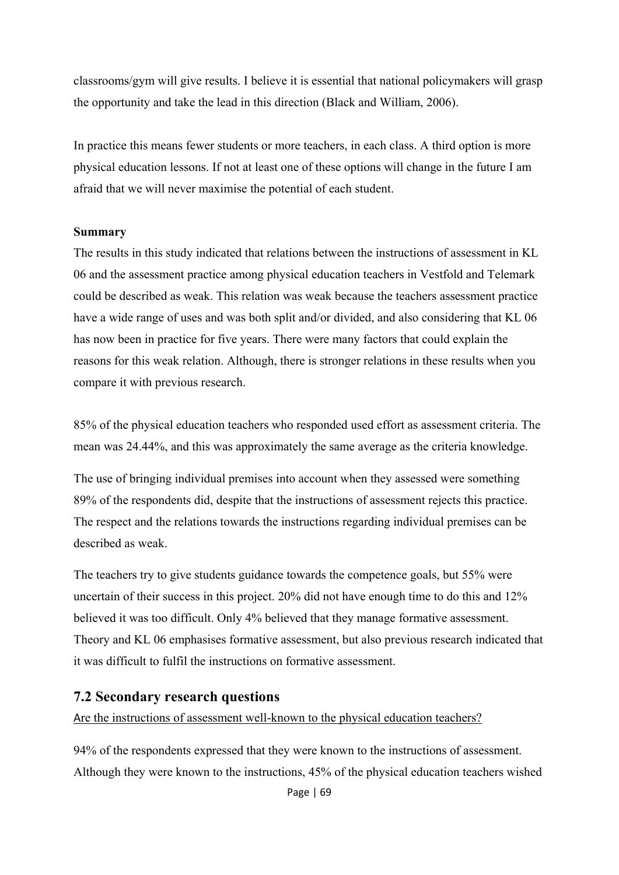classrooms/gym will give results. I believe it is essential that national policymakers will grasp the opportunity and take the lead in this direction (Black and William, 2006).

In practice this means fewer students or more teachers, in each class. A third option is more physical education lessons. If not at least one of these options will change in the future I am afraid that we will never maximise the potential of each student.

#### **Summary**

The results in this study indicated that relations between the instructions of assessment in KL 06 and the assessment practice among physical education teachers in Vestfold and Telemark could be described as weak. This relation was weak because the teachers assessment practice have a wide range of uses and was both split and/or divided, and also considering that KL 06 has now been in practice for five years. There were many factors that could explain the reasons for this weak relation. Although, there is stronger relations in these results when you compare it with previous research.

85% of the physical education teachers who responded used effort as assessment criteria. The mean was 24.44%, and this was approximately the same average as the criteria knowledge.

The use of bringing individual premises into account when they assessed were something 89% of the respondents did, despite that the instructions of assessment rejects this practice. The respect and the relations towards the instructions regarding individual premises can be described as weak.

The teachers try to give students guidance towards the competence goals, but 55% were uncertain of their success in this project. 20% did not have enough time to do this and 12% believed it was too difficult. Only 4% believed that they manage formative assessment. Theory and KL 06 emphasises formative assessment, but also previous research indicated that it was difficult to fulfil the instructions on formative assessment.

#### **7.2 Secondary research questions**

Are the instructions of assessment well-known to the physical education teachers?

94% of the respondents expressed that they were known to the instructions of assessment. Although they were known to the instructions, 45% of the physical education teachers wished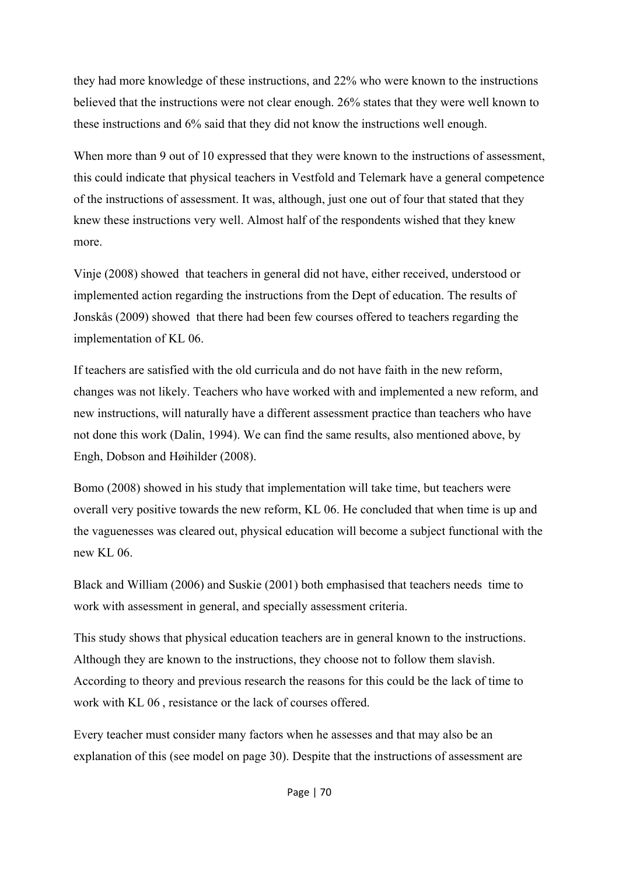they had more knowledge of these instructions, and 22% who were known to the instructions believed that the instructions were not clear enough. 26% states that they were well known to these instructions and 6% said that they did not know the instructions well enough.

When more than 9 out of 10 expressed that they were known to the instructions of assessment, this could indicate that physical teachers in Vestfold and Telemark have a general competence of the instructions of assessment. It was, although, just one out of four that stated that they knew these instructions very well. Almost half of the respondents wished that they knew more.

Vinje (2008) showed that teachers in general did not have, either received, understood or implemented action regarding the instructions from the Dept of education. The results of Jonskås (2009) showed that there had been few courses offered to teachers regarding the implementation of KL 06.

If teachers are satisfied with the old curricula and do not have faith in the new reform, changes was not likely. Teachers who have worked with and implemented a new reform, and new instructions, will naturally have a different assessment practice than teachers who have not done this work (Dalin, 1994). We can find the same results, also mentioned above, by Engh, Dobson and Høihilder (2008).

Bomo (2008) showed in his study that implementation will take time, but teachers were overall very positive towards the new reform, KL 06. He concluded that when time is up and the vaguenesses was cleared out, physical education will become a subject functional with the new KL 06.

Black and William (2006) and Suskie (2001) both emphasised that teachers needs time to work with assessment in general, and specially assessment criteria.

This study shows that physical education teachers are in general known to the instructions. Although they are known to the instructions, they choose not to follow them slavish. According to theory and previous research the reasons for this could be the lack of time to work with KL 06 , resistance or the lack of courses offered.

Every teacher must consider many factors when he assesses and that may also be an explanation of this (see model on page 30). Despite that the instructions of assessment are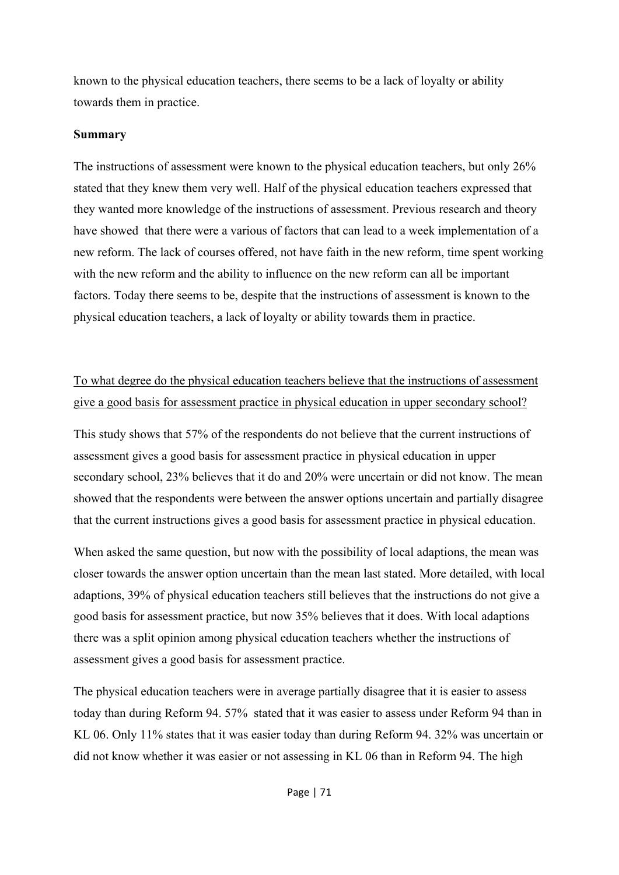known to the physical education teachers, there seems to be a lack of loyalty or ability towards them in practice.

#### **Summary**

The instructions of assessment were known to the physical education teachers, but only 26% stated that they knew them very well. Half of the physical education teachers expressed that they wanted more knowledge of the instructions of assessment. Previous research and theory have showed that there were a various of factors that can lead to a week implementation of a new reform. The lack of courses offered, not have faith in the new reform, time spent working with the new reform and the ability to influence on the new reform can all be important factors. Today there seems to be, despite that the instructions of assessment is known to the physical education teachers, a lack of loyalty or ability towards them in practice.

## To what degree do the physical education teachers believe that the instructions of assessment give a good basis for assessment practice in physical education in upper secondary school?

This study shows that 57% of the respondents do not believe that the current instructions of assessment gives a good basis for assessment practice in physical education in upper secondary school, 23% believes that it do and 20% were uncertain or did not know. The mean showed that the respondents were between the answer options uncertain and partially disagree that the current instructions gives a good basis for assessment practice in physical education.

When asked the same question, but now with the possibility of local adaptions, the mean was closer towards the answer option uncertain than the mean last stated. More detailed, with local adaptions, 39% of physical education teachers still believes that the instructions do not give a good basis for assessment practice, but now 35% believes that it does. With local adaptions there was a split opinion among physical education teachers whether the instructions of assessment gives a good basis for assessment practice.

The physical education teachers were in average partially disagree that it is easier to assess today than during Reform 94. 57% stated that it was easier to assess under Reform 94 than in KL 06. Only 11% states that it was easier today than during Reform 94. 32% was uncertain or did not know whether it was easier or not assessing in KL 06 than in Reform 94. The high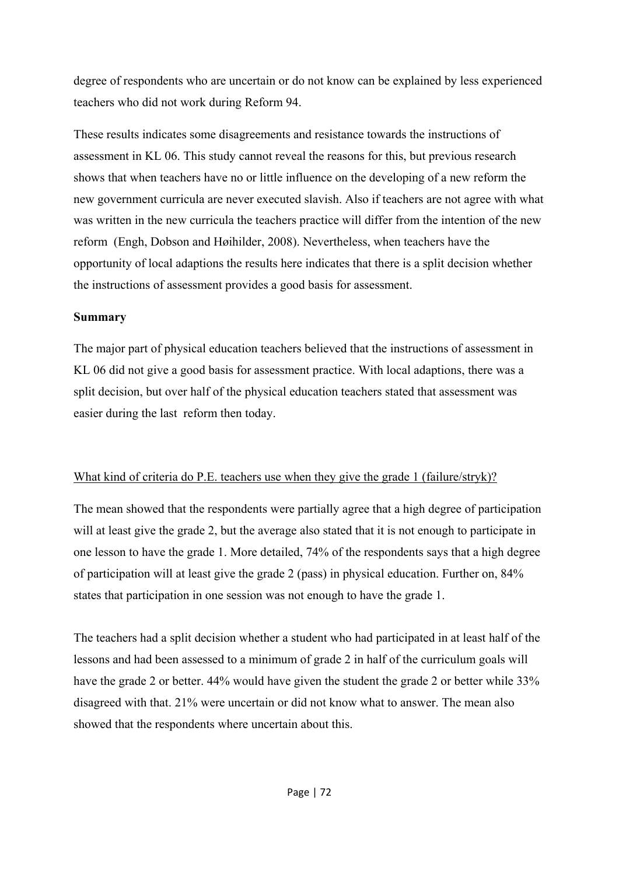degree of respondents who are uncertain or do not know can be explained by less experienced teachers who did not work during Reform 94.

These results indicates some disagreements and resistance towards the instructions of assessment in KL 06. This study cannot reveal the reasons for this, but previous research shows that when teachers have no or little influence on the developing of a new reform the new government curricula are never executed slavish. Also if teachers are not agree with what was written in the new curricula the teachers practice will differ from the intention of the new reform (Engh, Dobson and Høihilder, 2008). Nevertheless, when teachers have the opportunity of local adaptions the results here indicates that there is a split decision whether the instructions of assessment provides a good basis for assessment.

#### **Summary**

The major part of physical education teachers believed that the instructions of assessment in KL 06 did not give a good basis for assessment practice. With local adaptions, there was a split decision, but over half of the physical education teachers stated that assessment was easier during the last reform then today.

#### What kind of criteria do P.E. teachers use when they give the grade 1 (failure/stryk)?

The mean showed that the respondents were partially agree that a high degree of participation will at least give the grade 2, but the average also stated that it is not enough to participate in one lesson to have the grade 1. More detailed, 74% of the respondents says that a high degree of participation will at least give the grade 2 (pass) in physical education. Further on, 84% states that participation in one session was not enough to have the grade 1.

The teachers had a split decision whether a student who had participated in at least half of the lessons and had been assessed to a minimum of grade 2 in half of the curriculum goals will have the grade 2 or better. 44% would have given the student the grade 2 or better while 33% disagreed with that. 21% were uncertain or did not know what to answer. The mean also showed that the respondents where uncertain about this.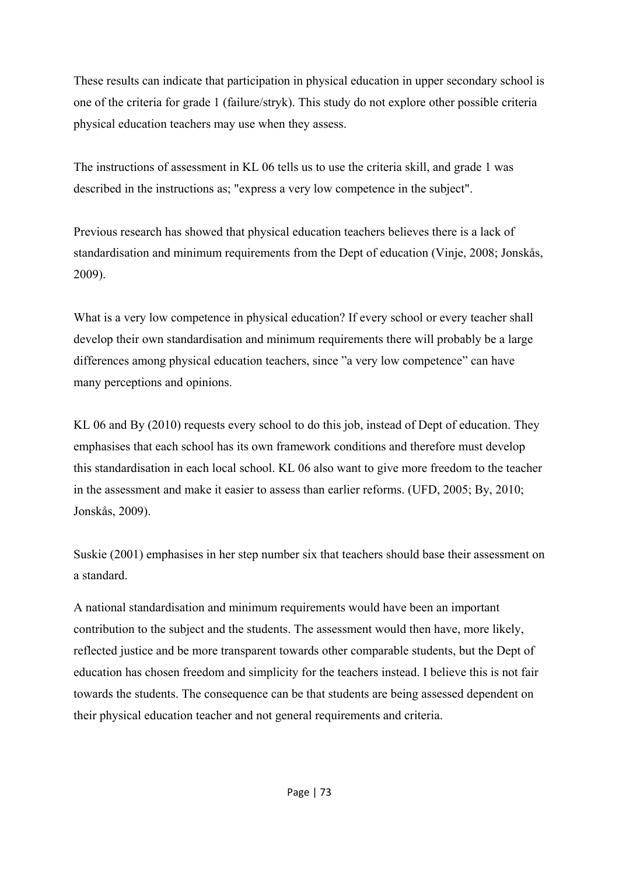These results can indicate that participation in physical education in upper secondary school is one of the criteria for grade 1 (failure/stryk). This study do not explore other possible criteria physical education teachers may use when they assess.

The instructions of assessment in KL 06 tells us to use the criteria skill, and grade 1 was described in the instructions as; "express a very low competence in the subject".

Previous research has showed that physical education teachers believes there is a lack of standardisation and minimum requirements from the Dept of education (Vinje, 2008; Jonskås, 2009).

What is a very low competence in physical education? If every school or every teacher shall develop their own standardisation and minimum requirements there will probably be a large differences among physical education teachers, since "a very low competence" can have many perceptions and opinions.

KL 06 and By (2010) requests every school to do this job, instead of Dept of education. They emphasises that each school has its own framework conditions and therefore must develop this standardisation in each local school. KL 06 also want to give more freedom to the teacher in the assessment and make it easier to assess than earlier reforms. (UFD, 2005; By, 2010; Jonskås, 2009).

Suskie (2001) emphasises in her step number six that teachers should base their assessment on a standard.

A national standardisation and minimum requirements would have been an important contribution to the subject and the students. The assessment would then have, more likely, reflected justice and be more transparent towards other comparable students, but the Dept of education has chosen freedom and simplicity for the teachers instead. I believe this is not fair towards the students. The consequence can be that students are being assessed dependent on their physical education teacher and not general requirements and criteria.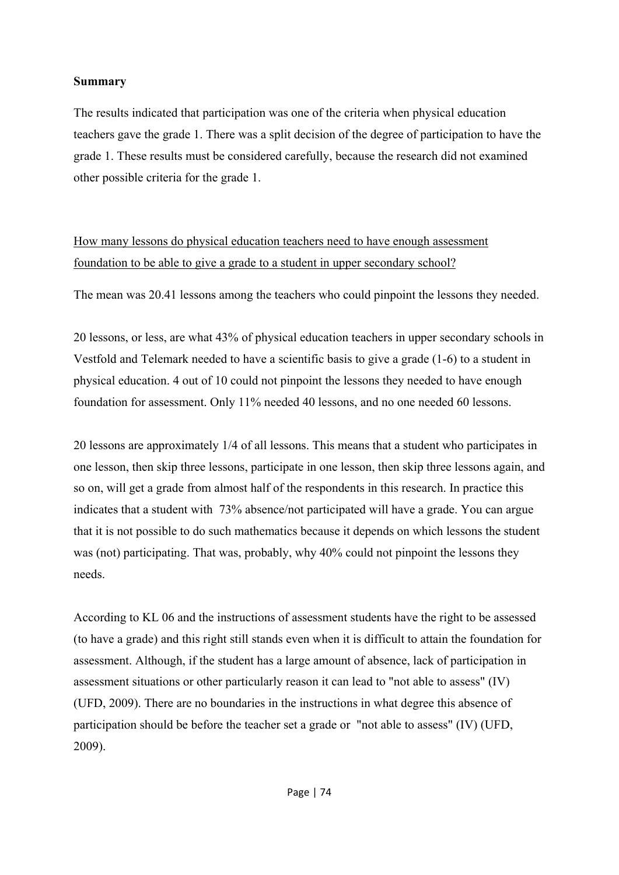#### **Summary**

The results indicated that participation was one of the criteria when physical education teachers gave the grade 1. There was a split decision of the degree of participation to have the grade 1. These results must be considered carefully, because the research did not examined other possible criteria for the grade 1.

How many lessons do physical education teachers need to have enough assessment foundation to be able to give a grade to a student in upper secondary school?

The mean was 20.41 lessons among the teachers who could pinpoint the lessons they needed.

20 lessons, or less, are what 43% of physical education teachers in upper secondary schools in Vestfold and Telemark needed to have a scientific basis to give a grade (1-6) to a student in physical education. 4 out of 10 could not pinpoint the lessons they needed to have enough foundation for assessment. Only 11% needed 40 lessons, and no one needed 60 lessons.

20 lessons are approximately 1/4 of all lessons. This means that a student who participates in one lesson, then skip three lessons, participate in one lesson, then skip three lessons again, and so on, will get a grade from almost half of the respondents in this research. In practice this indicates that a student with 73% absence/not participated will have a grade. You can argue that it is not possible to do such mathematics because it depends on which lessons the student was (not) participating. That was, probably, why 40% could not pinpoint the lessons they needs.

According to KL 06 and the instructions of assessment students have the right to be assessed (to have a grade) and this right still stands even when it is difficult to attain the foundation for assessment. Although, if the student has a large amount of absence, lack of participation in assessment situations or other particularly reason it can lead to "not able to assess" (IV) (UFD, 2009). There are no boundaries in the instructions in what degree this absence of participation should be before the teacher set a grade or "not able to assess" (IV) (UFD, 2009).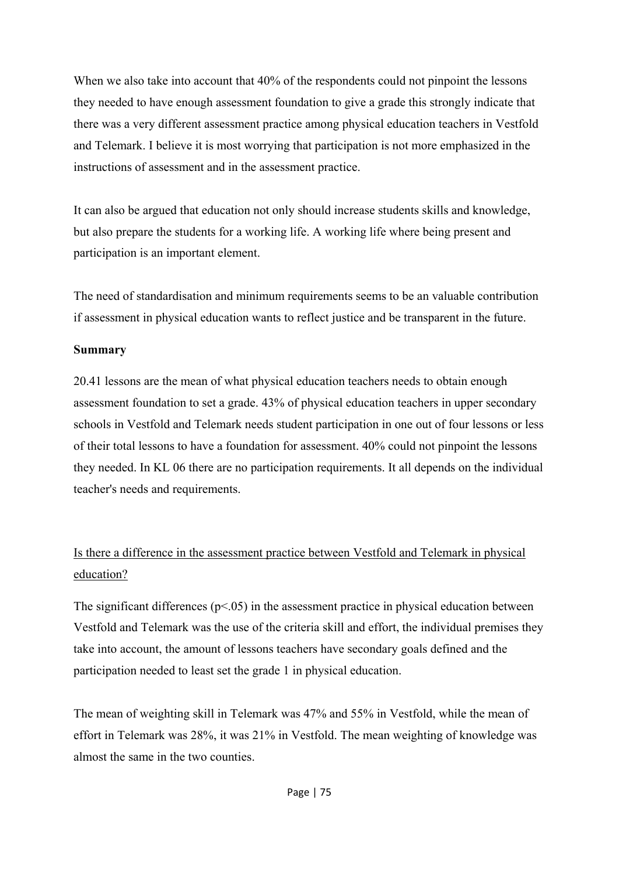When we also take into account that 40% of the respondents could not pinpoint the lessons they needed to have enough assessment foundation to give a grade this strongly indicate that there was a very different assessment practice among physical education teachers in Vestfold and Telemark. I believe it is most worrying that participation is not more emphasized in the instructions of assessment and in the assessment practice.

It can also be argued that education not only should increase students skills and knowledge, but also prepare the students for a working life. A working life where being present and participation is an important element.

The need of standardisation and minimum requirements seems to be an valuable contribution if assessment in physical education wants to reflect justice and be transparent in the future.

#### **Summary**

20.41 lessons are the mean of what physical education teachers needs to obtain enough assessment foundation to set a grade. 43% of physical education teachers in upper secondary schools in Vestfold and Telemark needs student participation in one out of four lessons or less of their total lessons to have a foundation for assessment. 40% could not pinpoint the lessons they needed. In KL 06 there are no participation requirements. It all depends on the individual teacher's needs and requirements.

## Is there a difference in the assessment practice between Vestfold and Telemark in physical education?

The significant differences  $(p<0.05)$  in the assessment practice in physical education between Vestfold and Telemark was the use of the criteria skill and effort, the individual premises they take into account, the amount of lessons teachers have secondary goals defined and the participation needed to least set the grade 1 in physical education.

The mean of weighting skill in Telemark was 47% and 55% in Vestfold, while the mean of effort in Telemark was 28%, it was 21% in Vestfold. The mean weighting of knowledge was almost the same in the two counties.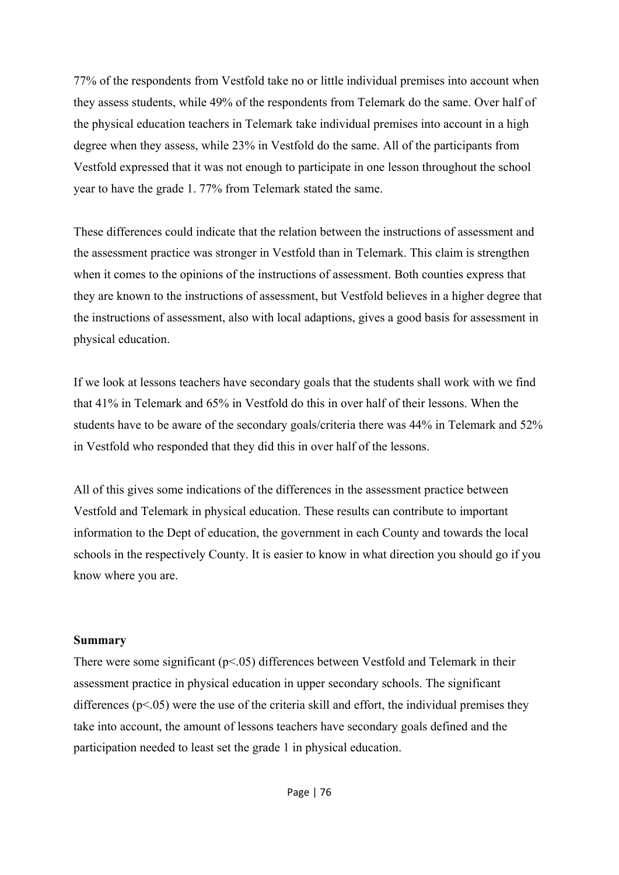77% of the respondents from Vestfold take no or little individual premises into account when they assess students, while 49% of the respondents from Telemark do the same. Over half of the physical education teachers in Telemark take individual premises into account in a high degree when they assess, while 23% in Vestfold do the same. All of the participants from Vestfold expressed that it was not enough to participate in one lesson throughout the school year to have the grade 1. 77% from Telemark stated the same.

These differences could indicate that the relation between the instructions of assessment and the assessment practice was stronger in Vestfold than in Telemark. This claim is strengthen when it comes to the opinions of the instructions of assessment. Both counties express that they are known to the instructions of assessment, but Vestfold believes in a higher degree that the instructions of assessment, also with local adaptions, gives a good basis for assessment in physical education.

If we look at lessons teachers have secondary goals that the students shall work with we find that 41% in Telemark and 65% in Vestfold do this in over half of their lessons. When the students have to be aware of the secondary goals/criteria there was 44% in Telemark and 52% in Vestfold who responded that they did this in over half of the lessons.

All of this gives some indications of the differences in the assessment practice between Vestfold and Telemark in physical education. These results can contribute to important information to the Dept of education, the government in each County and towards the local schools in the respectively County. It is easier to know in what direction you should go if you know where you are.

#### **Summary**

There were some significant  $(p<0.05)$  differences between Vestfold and Telemark in their assessment practice in physical education in upper secondary schools. The significant differences  $(p<.05)$  were the use of the criteria skill and effort, the individual premises they take into account, the amount of lessons teachers have secondary goals defined and the participation needed to least set the grade 1 in physical education.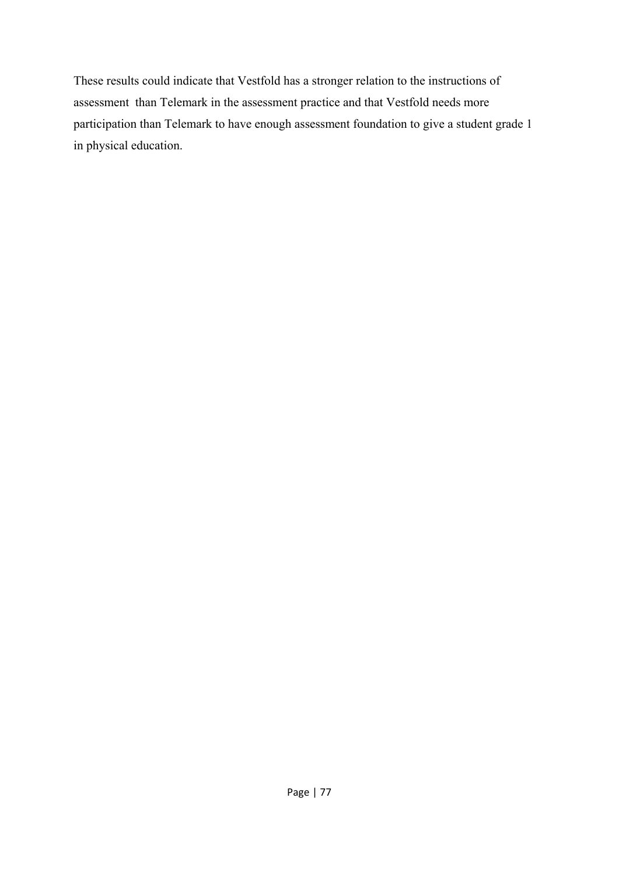These results could indicate that Vestfold has a stronger relation to the instructions of assessment than Telemark in the assessment practice and that Vestfold needs more participation than Telemark to have enough assessment foundation to give a student grade 1 in physical education.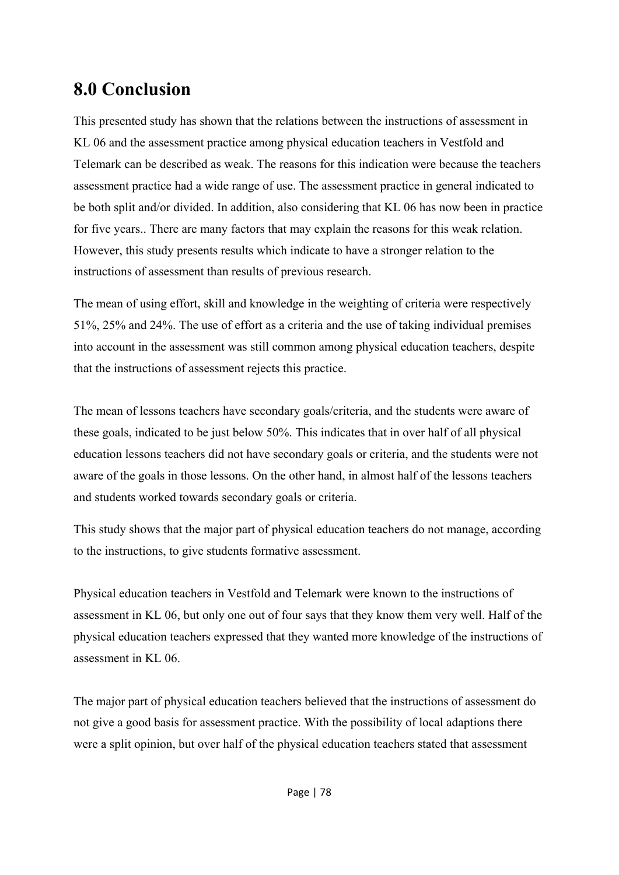# **8.0 Conclusion**

This presented study has shown that the relations between the instructions of assessment in KL 06 and the assessment practice among physical education teachers in Vestfold and Telemark can be described as weak. The reasons for this indication were because the teachers assessment practice had a wide range of use. The assessment practice in general indicated to be both split and/or divided. In addition, also considering that KL 06 has now been in practice for five years.. There are many factors that may explain the reasons for this weak relation. However, this study presents results which indicate to have a stronger relation to the instructions of assessment than results of previous research.

The mean of using effort, skill and knowledge in the weighting of criteria were respectively 51%, 25% and 24%. The use of effort as a criteria and the use of taking individual premises into account in the assessment was still common among physical education teachers, despite that the instructions of assessment rejects this practice.

The mean of lessons teachers have secondary goals/criteria, and the students were aware of these goals, indicated to be just below 50%. This indicates that in over half of all physical education lessons teachers did not have secondary goals or criteria, and the students were not aware of the goals in those lessons. On the other hand, in almost half of the lessons teachers and students worked towards secondary goals or criteria.

This study shows that the major part of physical education teachers do not manage, according to the instructions, to give students formative assessment.

Physical education teachers in Vestfold and Telemark were known to the instructions of assessment in KL 06, but only one out of four says that they know them very well. Half of the physical education teachers expressed that they wanted more knowledge of the instructions of assessment in KL 06.

The major part of physical education teachers believed that the instructions of assessment do not give a good basis for assessment practice. With the possibility of local adaptions there were a split opinion, but over half of the physical education teachers stated that assessment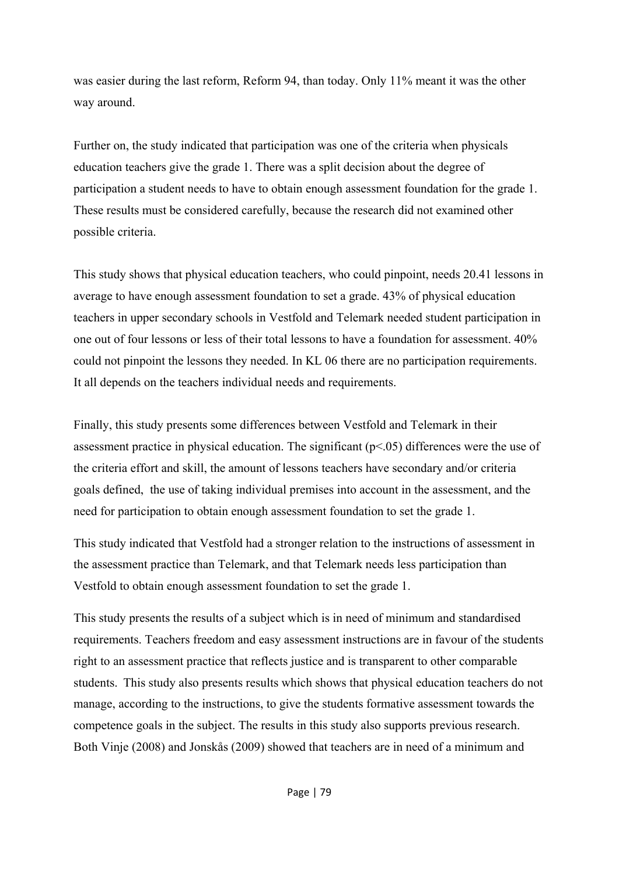was easier during the last reform, Reform 94, than today. Only 11% meant it was the other way around.

Further on, the study indicated that participation was one of the criteria when physicals education teachers give the grade 1. There was a split decision about the degree of participation a student needs to have to obtain enough assessment foundation for the grade 1. These results must be considered carefully, because the research did not examined other possible criteria.

This study shows that physical education teachers, who could pinpoint, needs 20.41 lessons in average to have enough assessment foundation to set a grade. 43% of physical education teachers in upper secondary schools in Vestfold and Telemark needed student participation in one out of four lessons or less of their total lessons to have a foundation for assessment. 40% could not pinpoint the lessons they needed. In KL 06 there are no participation requirements. It all depends on the teachers individual needs and requirements.

Finally, this study presents some differences between Vestfold and Telemark in their assessment practice in physical education. The significant  $(p<0.05)$  differences were the use of the criteria effort and skill, the amount of lessons teachers have secondary and/or criteria goals defined, the use of taking individual premises into account in the assessment, and the need for participation to obtain enough assessment foundation to set the grade 1.

This study indicated that Vestfold had a stronger relation to the instructions of assessment in the assessment practice than Telemark, and that Telemark needs less participation than Vestfold to obtain enough assessment foundation to set the grade 1.

This study presents the results of a subject which is in need of minimum and standardised requirements. Teachers freedom and easy assessment instructions are in favour of the students right to an assessment practice that reflects justice and is transparent to other comparable students. This study also presents results which shows that physical education teachers do not manage, according to the instructions, to give the students formative assessment towards the competence goals in the subject. The results in this study also supports previous research. Both Vinje (2008) and Jonskås (2009) showed that teachers are in need of a minimum and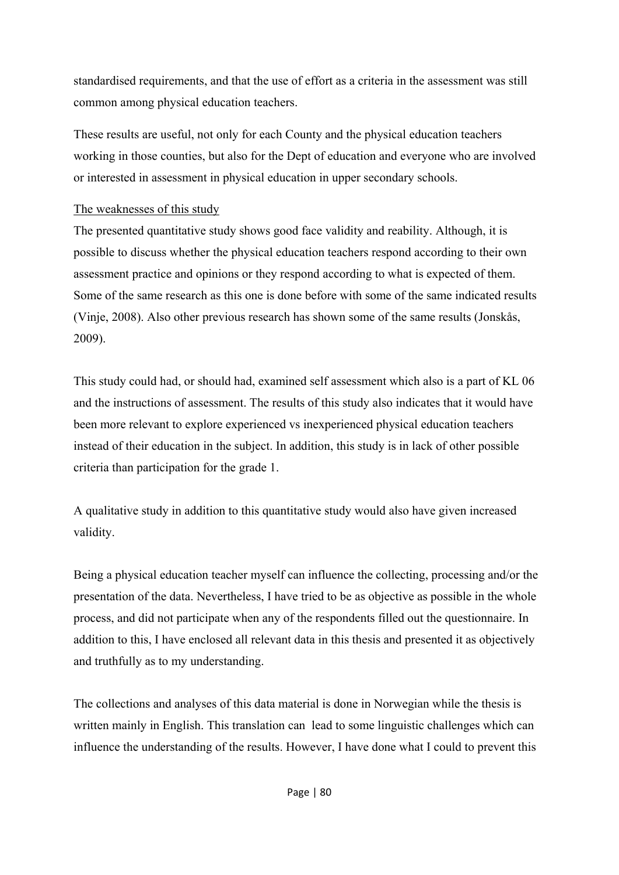standardised requirements, and that the use of effort as a criteria in the assessment was still common among physical education teachers.

These results are useful, not only for each County and the physical education teachers working in those counties, but also for the Dept of education and everyone who are involved or interested in assessment in physical education in upper secondary schools.

#### The weaknesses of this study

The presented quantitative study shows good face validity and reability. Although, it is possible to discuss whether the physical education teachers respond according to their own assessment practice and opinions or they respond according to what is expected of them. Some of the same research as this one is done before with some of the same indicated results (Vinje, 2008). Also other previous research has shown some of the same results (Jonskås, 2009).

This study could had, or should had, examined self assessment which also is a part of KL 06 and the instructions of assessment. The results of this study also indicates that it would have been more relevant to explore experienced vs inexperienced physical education teachers instead of their education in the subject. In addition, this study is in lack of other possible criteria than participation for the grade 1.

A qualitative study in addition to this quantitative study would also have given increased validity.

Being a physical education teacher myself can influence the collecting, processing and/or the presentation of the data. Nevertheless, I have tried to be as objective as possible in the whole process, and did not participate when any of the respondents filled out the questionnaire. In addition to this, I have enclosed all relevant data in this thesis and presented it as objectively and truthfully as to my understanding.

The collections and analyses of this data material is done in Norwegian while the thesis is written mainly in English. This translation can lead to some linguistic challenges which can influence the understanding of the results. However, I have done what I could to prevent this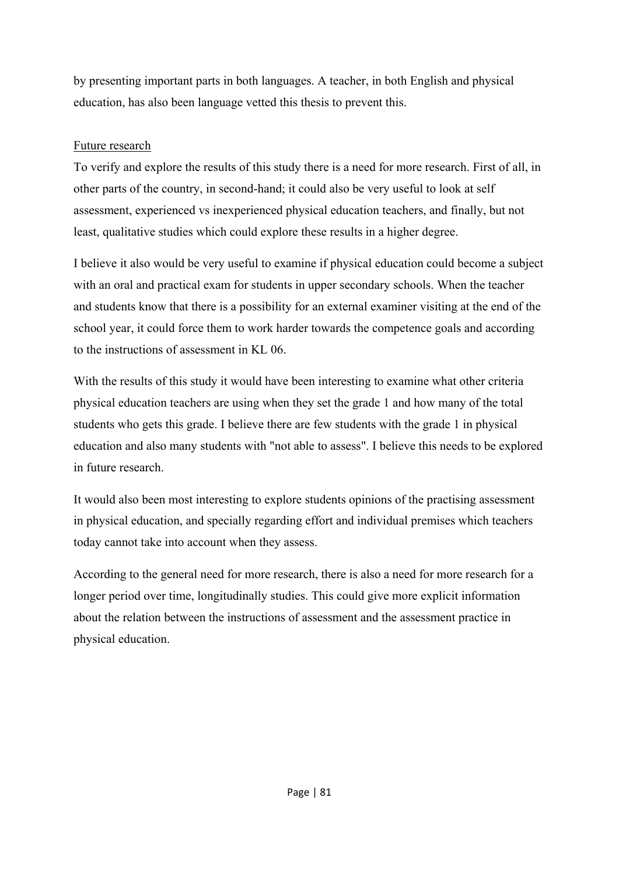by presenting important parts in both languages. A teacher, in both English and physical education, has also been language vetted this thesis to prevent this.

#### Future research

To verify and explore the results of this study there is a need for more research. First of all, in other parts of the country, in second-hand; it could also be very useful to look at self assessment, experienced vs inexperienced physical education teachers, and finally, but not least, qualitative studies which could explore these results in a higher degree.

I believe it also would be very useful to examine if physical education could become a subject with an oral and practical exam for students in upper secondary schools. When the teacher and students know that there is a possibility for an external examiner visiting at the end of the school year, it could force them to work harder towards the competence goals and according to the instructions of assessment in KL 06.

With the results of this study it would have been interesting to examine what other criteria physical education teachers are using when they set the grade 1 and how many of the total students who gets this grade. I believe there are few students with the grade 1 in physical education and also many students with "not able to assess". I believe this needs to be explored in future research.

It would also been most interesting to explore students opinions of the practising assessment in physical education, and specially regarding effort and individual premises which teachers today cannot take into account when they assess.

According to the general need for more research, there is also a need for more research for a longer period over time, longitudinally studies. This could give more explicit information about the relation between the instructions of assessment and the assessment practice in physical education.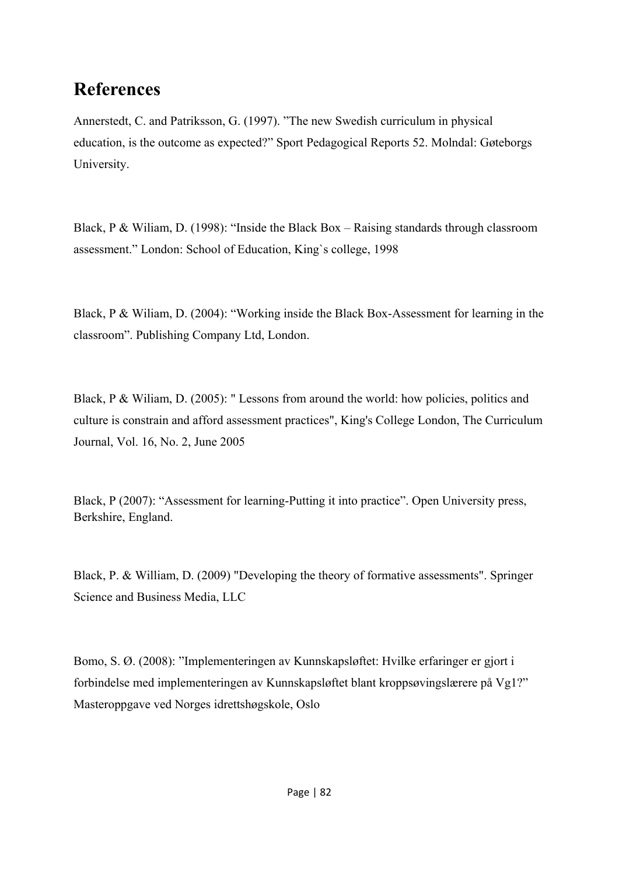# **References**

Annerstedt, C. and Patriksson, G. (1997). "The new Swedish curriculum in physical education, is the outcome as expected?" Sport Pedagogical Reports 52. Molndal: Gøteborgs University.

Black, P & Wiliam, D. (1998): "Inside the Black Box – Raising standards through classroom assessment." London: School of Education, King`s college, 1998

Black, P & Wiliam, D. (2004): "Working inside the Black Box-Assessment for learning in the classroom". Publishing Company Ltd, London.

Black, P & Wiliam, D. (2005): " Lessons from around the world: how policies, politics and culture is constrain and afford assessment practices", King's College London, The Curriculum Journal, Vol. 16, No. 2, June 2005

Black, P (2007): "Assessment for learning-Putting it into practice". Open University press, Berkshire, England.

Black, P. & William, D. (2009) "Developing the theory of formative assessments". Springer Science and Business Media, LLC

Bomo, S. Ø. (2008): "Implementeringen av Kunnskapsløftet: Hvilke erfaringer er gjort i forbindelse med implementeringen av Kunnskapsløftet blant kroppsøvingslærere på Vg1?" Masteroppgave ved Norges idrettshøgskole, Oslo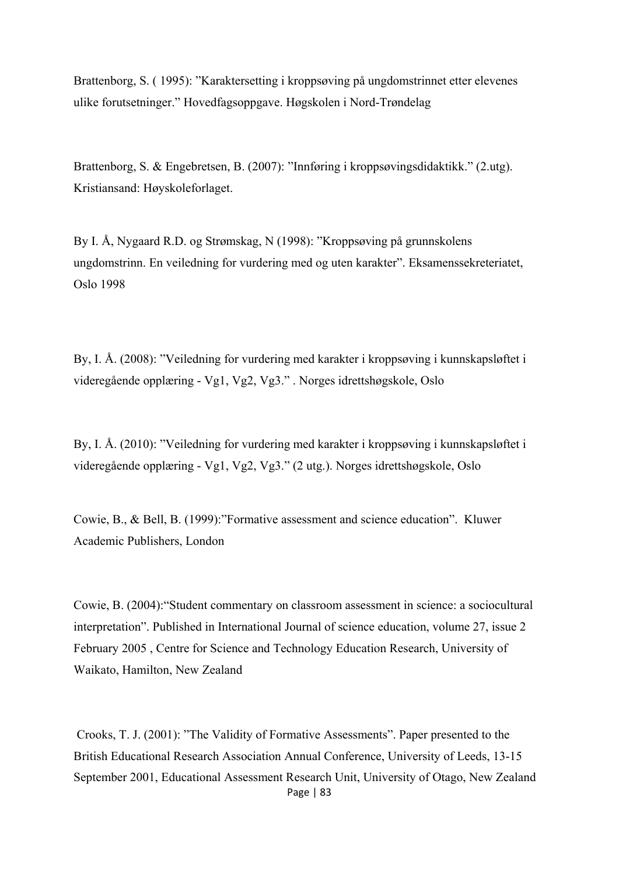Brattenborg, S. ( 1995): "Karaktersetting i kroppsøving på ungdomstrinnet etter elevenes ulike forutsetninger." Hovedfagsoppgave. Høgskolen i Nord-Trøndelag

Brattenborg, S. & Engebretsen, B. (2007): "Innføring i kroppsøvingsdidaktikk." (2.utg). Kristiansand: Høyskoleforlaget.

By I. Å, Nygaard R.D. og Strømskag, N (1998): "Kroppsøving på grunnskolens ungdomstrinn. En veiledning for vurdering med og uten karakter". Eksamenssekreteriatet, Oslo 1998

By, I. Å. (2008): "Veiledning for vurdering med karakter i kroppsøving i kunnskapsløftet i videregående opplæring - Vg1, Vg2, Vg3." . Norges idrettshøgskole, Oslo

By, I. Å. (2010): "Veiledning for vurdering med karakter i kroppsøving i kunnskapsløftet i videregående opplæring - Vg1, Vg2, Vg3." (2 utg.). Norges idrettshøgskole, Oslo

Cowie, B., & Bell, B. (1999):"Formative assessment and science education". Kluwer Academic Publishers, London

Cowie, B. (2004):"Student commentary on classroom assessment in science: a sociocultural interpretation". Published in International Journal of science education, volume 27, issue 2 February 2005 , Centre for Science and Technology Education Research, University of Waikato, Hamilton, New Zealand

Page | 83 Crooks, T. J. (2001): "The Validity of Formative Assessments". Paper presented to the British Educational Research Association Annual Conference, University of Leeds, 13-15 September 2001, Educational Assessment Research Unit, University of Otago, New Zealand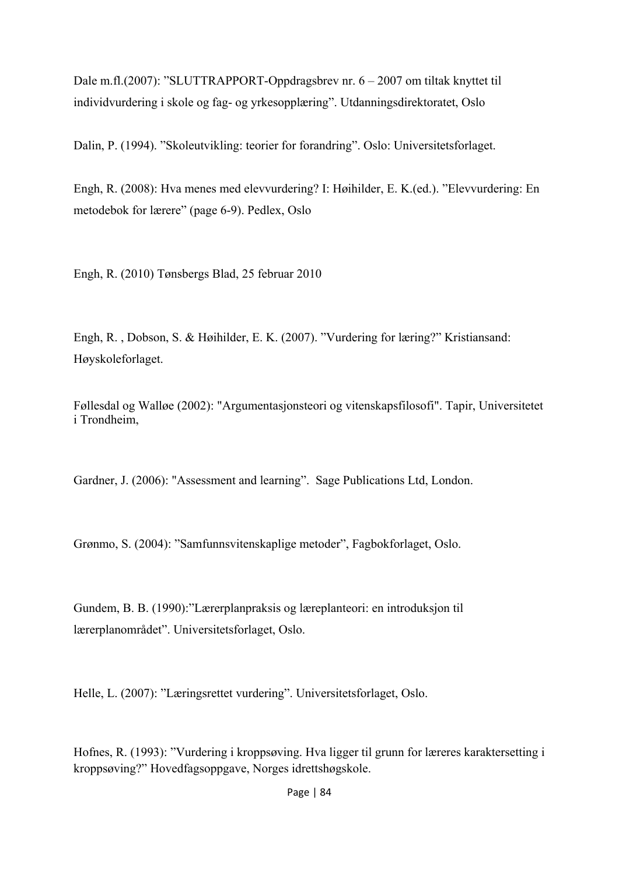Dale m.fl.(2007): "SLUTTRAPPORT-Oppdragsbrev nr. 6 – 2007 om tiltak knyttet til individvurdering i skole og fag- og yrkesopplæring". Utdanningsdirektoratet, Oslo

Dalin, P. (1994). "Skoleutvikling: teorier for forandring". Oslo: Universitetsforlaget.

Engh, R. (2008): Hva menes med elevvurdering? I: Høihilder, E. K.(ed.). "Elevvurdering: En metodebok for lærere" (page 6-9). Pedlex, Oslo

Engh, R. (2010) Tønsbergs Blad, 25 februar 2010

Engh, R. , Dobson, S. & Høihilder, E. K. (2007). "Vurdering for læring?" Kristiansand: Høyskoleforlaget.

Føllesdal og Walløe (2002): "Argumentasjonsteori og vitenskapsfilosofi". Tapir, Universitetet i Trondheim,

Gardner, J. (2006): "Assessment and learning". Sage Publications Ltd, London.

Grønmo, S. (2004): "Samfunnsvitenskaplige metoder", Fagbokforlaget, Oslo.

Gundem, B. B. (1990):"Lærerplanpraksis og læreplanteori: en introduksjon til lærerplanområdet". Universitetsforlaget, Oslo.

Helle, L. (2007): "Læringsrettet vurdering". Universitetsforlaget, Oslo.

Hofnes, R. (1993): "Vurdering i kroppsøving. Hva ligger til grunn for læreres karaktersetting i kroppsøving?" Hovedfagsoppgave, Norges idrettshøgskole.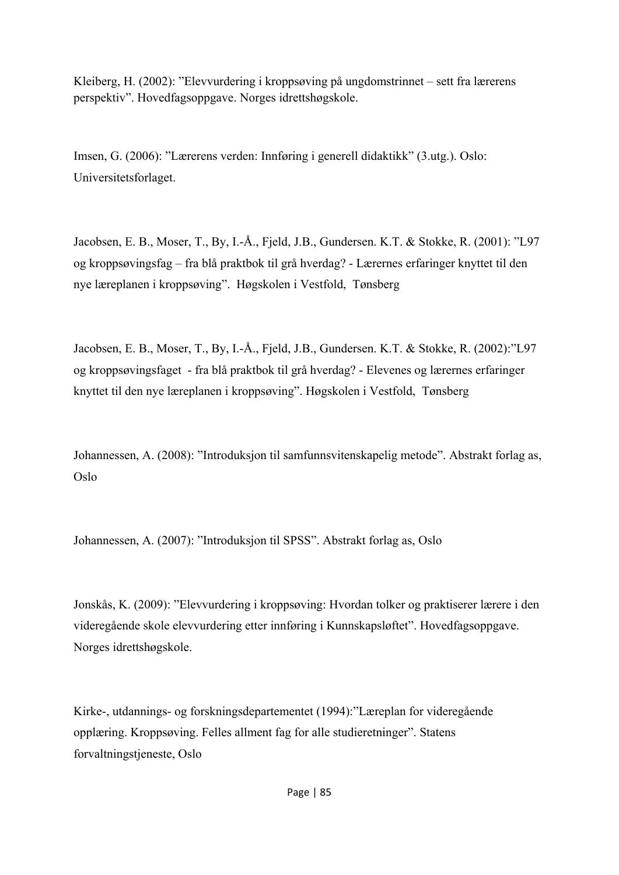Kleiberg, H. (2002): "Elevvurdering i kroppsøving på ungdomstrinnet – sett fra lærerens perspektiv". Hovedfagsoppgave. Norges idrettshøgskole.

Imsen, G. (2006): "Lærerens verden: Innføring i generell didaktikk" (3.utg.). Oslo: Universitetsforlaget.

Jacobsen, E. B., Moser, T., By, I.-Å., Fjeld, J.B., Gundersen. K.T. & Stokke, R. (2001): "L97 og kroppsøvingsfag – fra blå praktbok til grå hverdag? - Lærernes erfaringer knyttet til den nye læreplanen i kroppsøving". Høgskolen i Vestfold, Tønsberg

Jacobsen, E. B., Moser, T., By, I.-Å., Fjeld, J.B., Gundersen. K.T. & Stokke, R. (2002):"L97 og kroppsøvingsfaget - fra blå praktbok til grå hverdag? - Elevenes og lærernes erfaringer knyttet til den nye læreplanen i kroppsøving". Høgskolen i Vestfold, Tønsberg

Johannessen, A. (2008): "Introduksjon til samfunnsvitenskapelig metode". Abstrakt forlag as, Oslo

Johannessen, A. (2007): "Introduksjon til SPSS". Abstrakt forlag as, Oslo

Jonskås, K. (2009): "Elevvurdering i kroppsøving: Hvordan tolker og praktiserer lærere i den videregående skole elevvurdering etter innføring i Kunnskapsløftet". Hovedfagsoppgave. Norges idrettshøgskole.

Kirke-, utdannings- og forskningsdepartementet (1994):"Læreplan for videregående opplæring. Kroppsøving. Felles allment fag for alle studieretninger". Statens forvaltningstjeneste, Oslo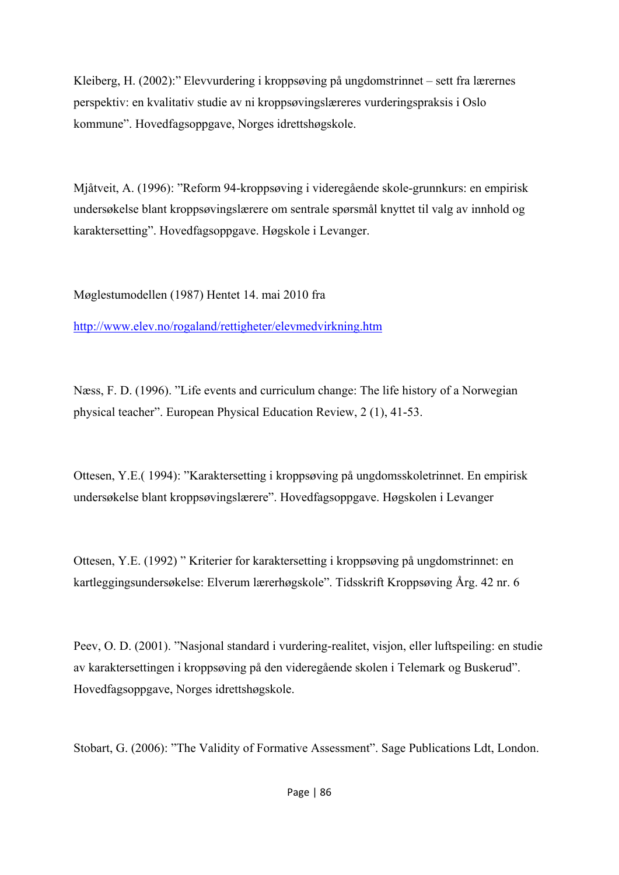Kleiberg, H. (2002):" Elevvurdering i kroppsøving på ungdomstrinnet – sett fra lærernes perspektiv: en kvalitativ studie av ni kroppsøvingslæreres vurderingspraksis i Oslo kommune". Hovedfagsoppgave, Norges idrettshøgskole.

Mjåtveit, A. (1996): "Reform 94-kroppsøving i videregående skole-grunnkurs: en empirisk undersøkelse blant kroppsøvingslærere om sentrale spørsmål knyttet til valg av innhold og karaktersetting". Hovedfagsoppgave. Høgskole i Levanger.

Møglestumodellen (1987) Hentet 14. mai 2010 fra

http://www.elev.no/rogaland/rettigheter/elevmedvirkning.htm

Næss, F. D. (1996). "Life events and curriculum change: The life history of a Norwegian physical teacher". European Physical Education Review, 2 (1), 41-53.

Ottesen, Y.E.( 1994): "Karaktersetting i kroppsøving på ungdomsskoletrinnet. En empirisk undersøkelse blant kroppsøvingslærere". Hovedfagsoppgave. Høgskolen i Levanger

Ottesen, Y.E. (1992) " Kriterier for karaktersetting i kroppsøving på ungdomstrinnet: en kartleggingsundersøkelse: Elverum lærerhøgskole". Tidsskrift Kroppsøving Årg. 42 nr. 6

Peev, O. D. (2001). "Nasjonal standard i vurdering-realitet, visjon, eller luftspeiling: en studie av karaktersettingen i kroppsøving på den videregående skolen i Telemark og Buskerud". Hovedfagsoppgave, Norges idrettshøgskole.

Stobart, G. (2006): "The Validity of Formative Assessment". Sage Publications Ldt, London.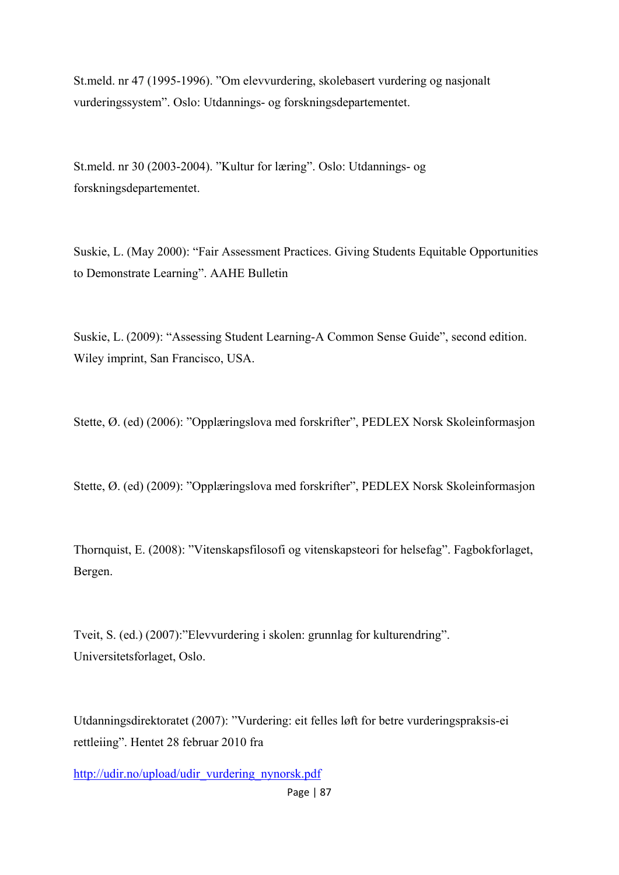St.meld. nr 47 (1995-1996). "Om elevvurdering, skolebasert vurdering og nasjonalt vurderingssystem". Oslo: Utdannings- og forskningsdepartementet.

St.meld. nr 30 (2003-2004). "Kultur for læring". Oslo: Utdannings- og forskningsdepartementet.

Suskie, L. (May 2000): "Fair Assessment Practices. Giving Students Equitable Opportunities to Demonstrate Learning". AAHE Bulletin

Suskie, L. (2009): "Assessing Student Learning-A Common Sense Guide", second edition. Wiley imprint, San Francisco, USA.

Stette, Ø. (ed) (2006): "Opplæringslova med forskrifter", PEDLEX Norsk Skoleinformasjon

Stette, Ø. (ed) (2009): "Opplæringslova med forskrifter", PEDLEX Norsk Skoleinformasjon

Thornquist, E. (2008): "Vitenskapsfilosofi og vitenskapsteori for helsefag". Fagbokforlaget, Bergen.

Tveit, S. (ed.) (2007):"Elevvurdering i skolen: grunnlag for kulturendring". Universitetsforlaget, Oslo.

Utdanningsdirektoratet (2007): "Vurdering: eit felles løft for betre vurderingspraksis-ei rettleiing". Hentet 28 februar 2010 fra

http://udir.no/upload/udir\_vurdering\_nynorsk.pdf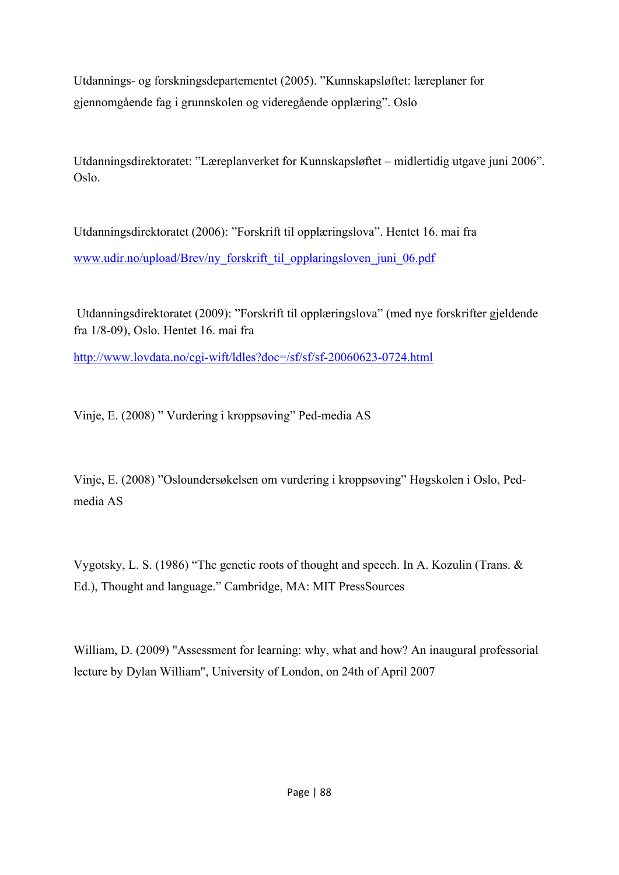Utdannings- og forskningsdepartementet (2005). "Kunnskapsløftet: læreplaner for gjennomgående fag i grunnskolen og videregående opplæring". Oslo

Utdanningsdirektoratet: "Læreplanverket for Kunnskapsløftet – midlertidig utgave juni 2006". Oslo.

Utdanningsdirektoratet (2006): "Forskrift til opplæringslova". Hentet 16. mai fra www.udir.no/upload/Brev/ny\_forskrift\_til\_opplaringsloven\_juni\_06.pdf

 Utdanningsdirektoratet (2009): "Forskrift til opplæringslova" (med nye forskrifter gjeldende fra 1/8-09), Oslo. Hentet 16. mai fra

http://www.lovdata.no/cgi-wift/ldles?doc=/sf/sf/sf-20060623-0724.html

Vinje, E. (2008) " Vurdering i kroppsøving" Ped-media AS

Vinje, E. (2008) "Osloundersøkelsen om vurdering i kroppsøving" Høgskolen i Oslo, Pedmedia AS

Vygotsky, L. S. (1986) "The genetic roots of thought and speech. In A. Kozulin (Trans. & Ed.), Thought and language." Cambridge, MA: MIT PressSources

William, D. (2009) "Assessment for learning: why, what and how? An inaugural professorial lecture by Dylan William", University of London, on 24th of April 2007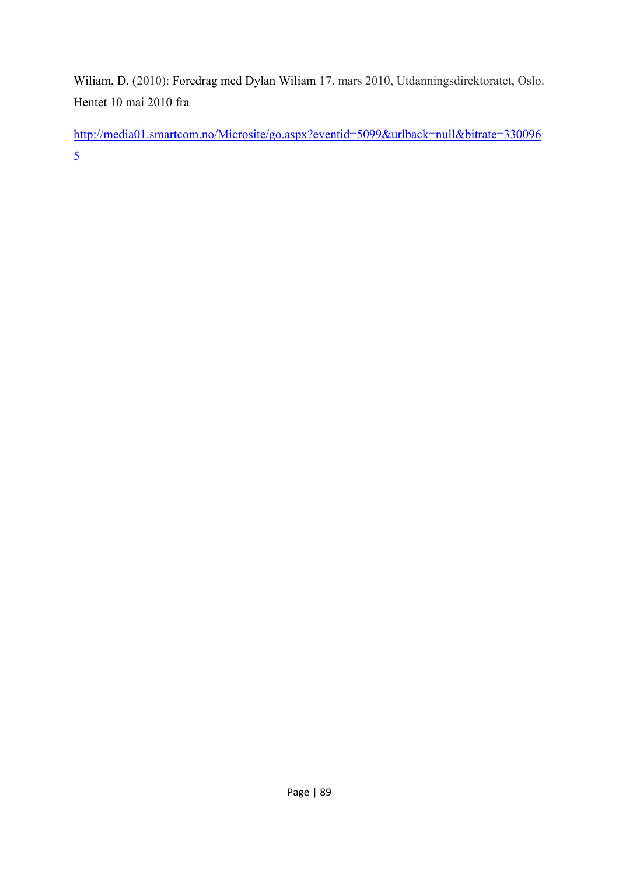Wiliam, D. (2010): Foredrag med Dylan Wiliam 17. mars 2010, Utdanningsdirektoratet, Oslo. Hentet 10 mai 2010 fra

http://media01.smartcom.no/Microsite/go.aspx?eventid=5099&urlback=null&bitrate=330096 5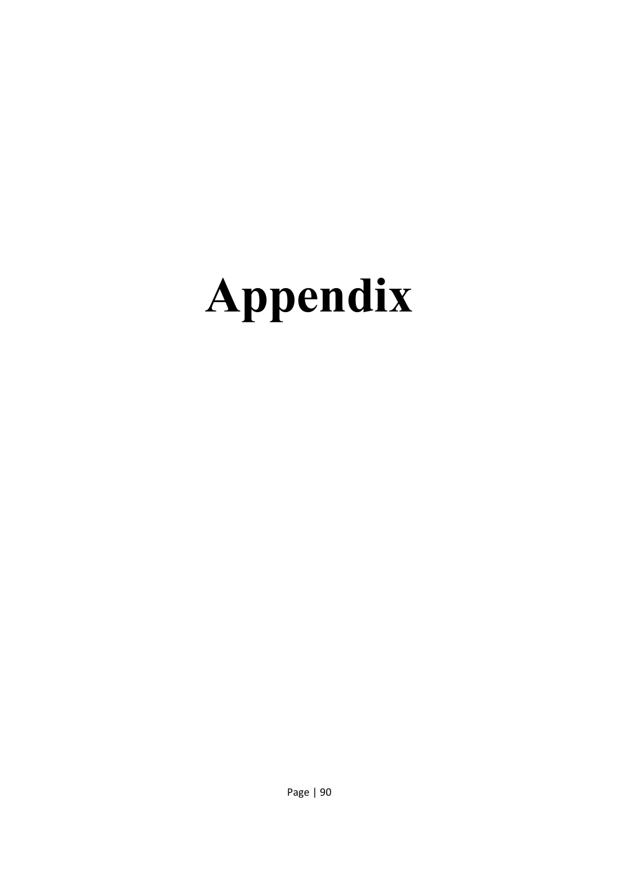# **Appendix**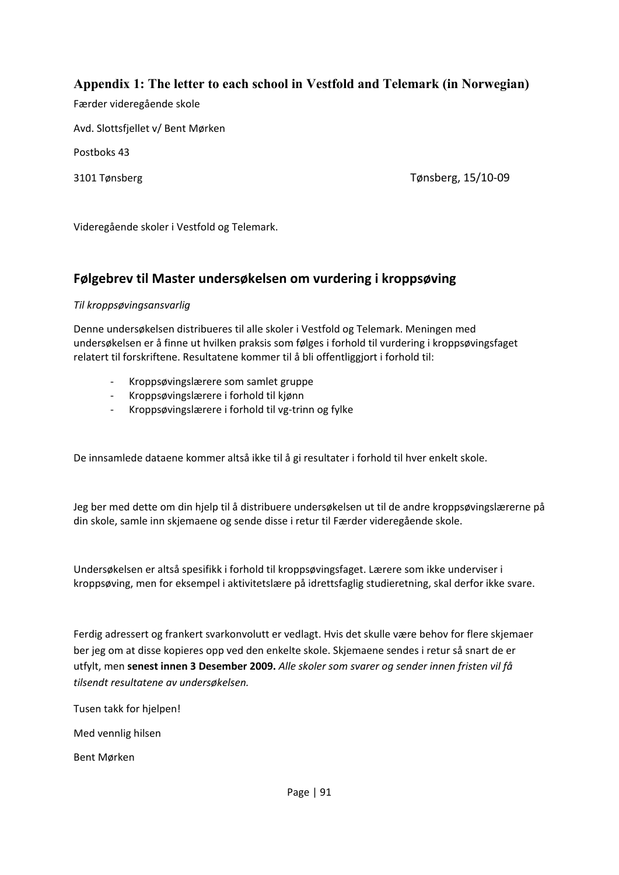#### **Appendix 1: The letter to each school in Vestfold and Telemark (in Norwegian)**

Færder videregående skole

Avd. Slottsfjellet v/ Bent Mørken

Postboks 43

3101 Tønsberg Tønsberg, 15/10‐09

Videregående skoler i Vestfold og Telemark.

#### **Følgebrev til Master undersøkelsen om vurdering i kroppsøving**

#### *Til kroppsøvingsansvarlig*

Denne undersøkelsen distribueres til alle skoler i Vestfold og Telemark. Meningen med undersøkelsen er å finne ut hvilken praksis som følges i forhold til vurdering i kroppsøvingsfaget relatert til forskriftene. Resultatene kommer til å bli offentliggjort i forhold til:

- ‐ Kroppsøvingslærere som samlet gruppe
- ‐ Kroppsøvingslærere i forhold til kjønn
- ‐ Kroppsøvingslærere i forhold til vg‐trinn og fylke

De innsamlede dataene kommer altså ikke til å gi resultater i forhold til hver enkelt skole.

Jeg ber med dette om din hjelp til å distribuere undersøkelsen ut til de andre kroppsøvingslærerne på din skole, samle inn skjemaene og sende disse i retur til Færder videregående skole.

Undersøkelsen er altså spesifikk i forhold til kroppsøvingsfaget. Lærere som ikke underviser i kroppsøving, men for eksempel i aktivitetslære på idrettsfaglig studieretning, skal derfor ikke svare.

Ferdig adressert og frankert svarkonvolutt er vedlagt. Hvis det skulle være behov for flere skjemaer ber jeg om at disse kopieres opp ved den enkelte skole. Skjemaene sendes i retur så snart de er utfylt, men **senest innen 3 Desember 2009.** *Alle skoler som svarer og sender innen fristen vil få tilsendt resultatene av undersøkelsen.*

Tusen takk for hjelpen!

Med vennlig hilsen

Bent Mørken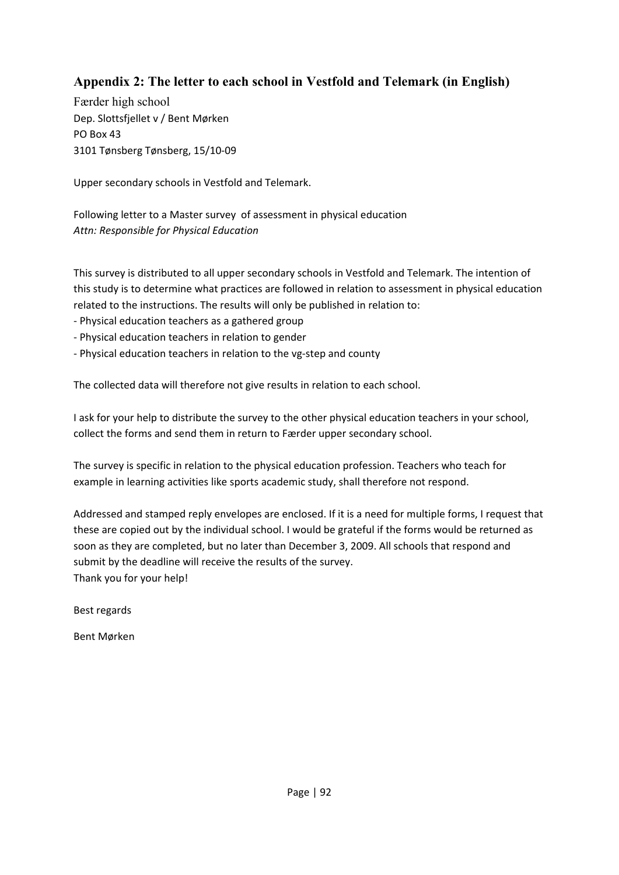## **Appendix 2: The letter to each school in Vestfold and Telemark (in English)**

Færder high school Dep. Slottsfjellet v / Bent Mørken PO Box 43 3101 Tønsberg Tønsberg, 15/10‐09

Upper secondary schools in Vestfold and Telemark.

Following letter to a Master survey of assessment in physical education *Attn: Responsible for Physical Education* 

This survey is distributed to all upper secondary schools in Vestfold and Telemark. The intention of this study is to determine what practices are followed in relation to assessment in physical education related to the instructions. The results will only be published in relation to:

- ‐ Physical education teachers as a gathered group
- ‐ Physical education teachers in relation to gender
- ‐ Physical education teachers in relation to the vg‐step and county

The collected data will therefore not give results in relation to each school.

I ask for your help to distribute the survey to the other physical education teachers in your school, collect the forms and send them in return to Færder upper secondary school.

The survey is specific in relation to the physical education profession. Teachers who teach for example in learning activities like sports academic study, shall therefore not respond.

Addressed and stamped reply envelopes are enclosed. If it is a need for multiple forms, I request that these are copied out by the individual school. I would be grateful if the forms would be returned as soon as they are completed, but no later than December 3, 2009. All schools that respond and submit by the deadline will receive the results of the survey. Thank you for your help!

Best regards

Bent Mørken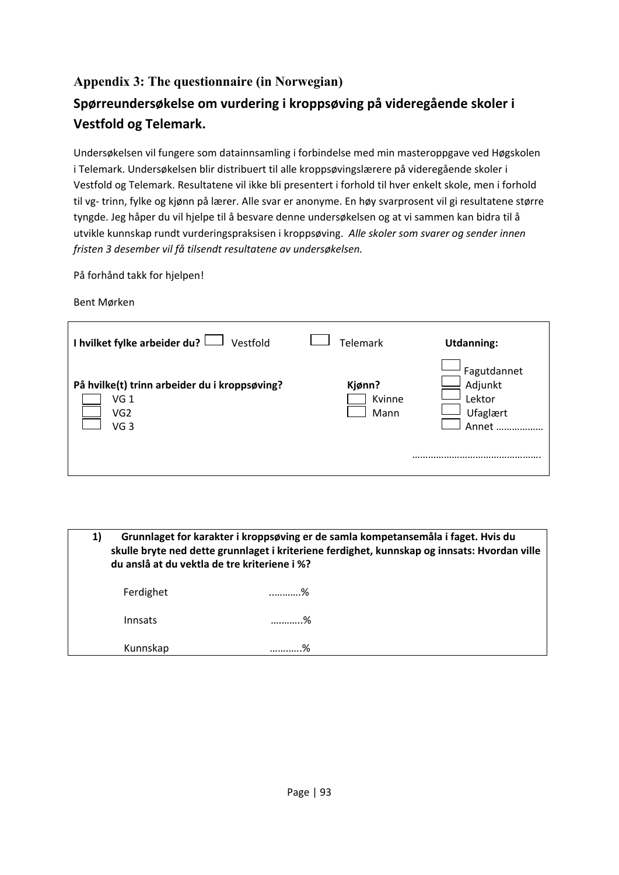## **Appendix 3: The questionnaire (in Norwegian) Spørreundersøkelse om vurdering i kroppsøving på videregående skoler i Vestfold og Telemark.**

Undersøkelsen vil fungere som datainnsamling i forbindelse med min masteroppgave ved Høgskolen i Telemark. Undersøkelsen blir distribuert til alle kroppsøvingslærere på videregående skoler i Vestfold og Telemark. Resultatene vil ikke bli presentert i forhold til hver enkelt skole, men i forhold til vg‐ trinn, fylke og kjønn på lærer. Alle svar er anonyme. En høy svarprosent vil gi resultatene større tyngde. Jeg håper du vil hjelpe til å besvare denne undersøkelsen og at vi sammen kan bidra til å utvikle kunnskap rundt vurderingspraksisen i kroppsøving. *Alle skoler som svarer og sender innen fristen 3 desember vil få tilsendt resultatene av undersøkelsen.*

På forhånd takk for hjelpen!

Bent Mørken

| I hvilket fylke arbeider du? $\Box$ Vestfold                                                | <b>Telemark</b>          | <b>Utdanning:</b>                                      |
|---------------------------------------------------------------------------------------------|--------------------------|--------------------------------------------------------|
| På hvilke(t) trinn arbeider du i kroppsøving?<br>VG 1<br>VG <sub>2</sub><br>VG <sub>3</sub> | Kjønn?<br>Kvinne<br>Mann | Fagutdannet<br>Adjunkt<br>Lektor<br>Ufaglært<br>Annet. |

**1) Grunnlaget for karakter i kroppsøving er de samla kompetansemåla i faget. Hvis du skulle bryte ned dette grunnlaget i kriteriene ferdighet, kunnskap og innsats: Hvordan ville du anslå at du vektla de tre kriteriene i %?**  Ferdighet ..……….% Innsats ….……..% Kunnskap …….…..%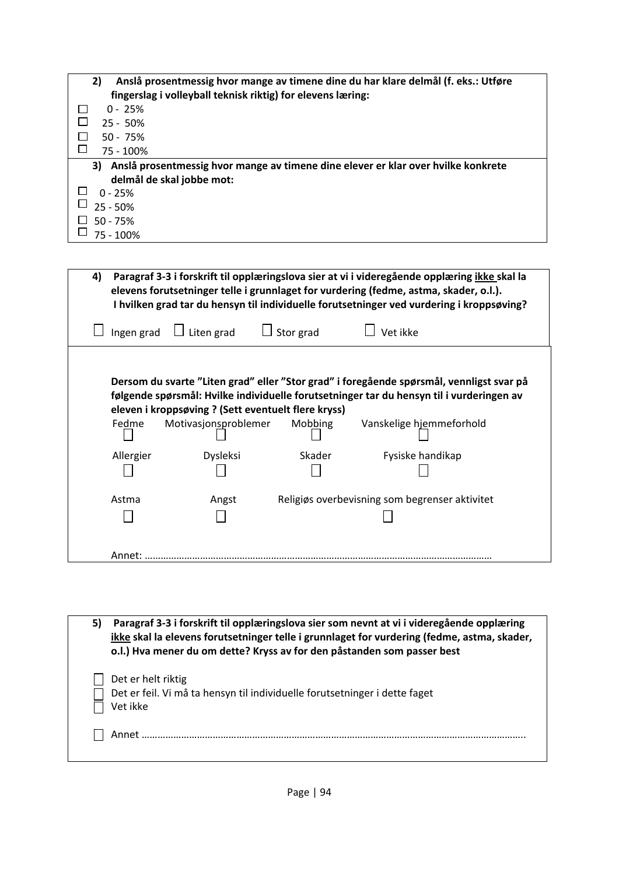| Anslå prosentmessig hvor mange av timene dine du har klare delmål (f. eks.: Utføre<br>2)<br>fingerslag i volleyball teknisk riktig) for elevens læring: |
|---------------------------------------------------------------------------------------------------------------------------------------------------------|
| $0 - 25%$                                                                                                                                               |
| $25 - 50%$                                                                                                                                              |
| $50 - 75%$                                                                                                                                              |
| 75 - 100%                                                                                                                                               |
| Anslå prosentmessig hvor mange av timene dine elever er klar over hvilke konkrete<br>3)                                                                 |
| delmål de skal jobbe mot:                                                                                                                               |
| $0 - 25%$                                                                                                                                               |
| $25 - 50%$                                                                                                                                              |
| $50 - 75%$                                                                                                                                              |
| 75 - 100%                                                                                                                                               |

| 4)        |                                                                             |                  | Paragraf 3-3 i forskrift til opplæringslova sier at vi i videregående opplæring ikke skal la<br>elevens forutsetninger telle i grunnlaget for vurdering (fedme, astma, skader, o.l.).<br>I hvilken grad tar du hensyn til individuelle forutsetninger ved vurdering i kroppsøving? |
|-----------|-----------------------------------------------------------------------------|------------------|------------------------------------------------------------------------------------------------------------------------------------------------------------------------------------------------------------------------------------------------------------------------------------|
|           | Ingen grad $\Box$ Liten grad                                                | $\Box$ Stor grad | Vet ikke                                                                                                                                                                                                                                                                           |
| Fedme     | eleven i kroppsøving ? (Sett eventuelt flere kryss)<br>Motivasjonsproblemer | Mobbing          | Dersom du svarte "Liten grad" eller "Stor grad" i foregående spørsmål, vennligst svar på<br>følgende spørsmål: Hvilke individuelle forutsetninger tar du hensyn til i vurderingen av<br>Vanskelige hjemmeforhold                                                                   |
| Allergier | <b>Dysleksi</b>                                                             | Skader           | Fysiske handikap                                                                                                                                                                                                                                                                   |
| Astma     | Angst                                                                       |                  | Religiøs overbevisning som begrenser aktivitet                                                                                                                                                                                                                                     |
| Annet:    |                                                                             |                  |                                                                                                                                                                                                                                                                                    |

| 5) | Paragraf 3-3 i forskrift til opplæringslova sier som nevnt at vi i videregående opplæring<br>ikke skal la elevens forutsetninger telle i grunnlaget for vurdering (fedme, astma, skader,<br>o.l.) Hva mener du om dette? Kryss av for den påstanden som passer best |
|----|---------------------------------------------------------------------------------------------------------------------------------------------------------------------------------------------------------------------------------------------------------------------|
|    | Det er helt riktig<br>Det er feil. Vi må ta hensyn til individuelle forutsetninger i dette faget<br>Vet ikke                                                                                                                                                        |
|    | Annet                                                                                                                                                                                                                                                               |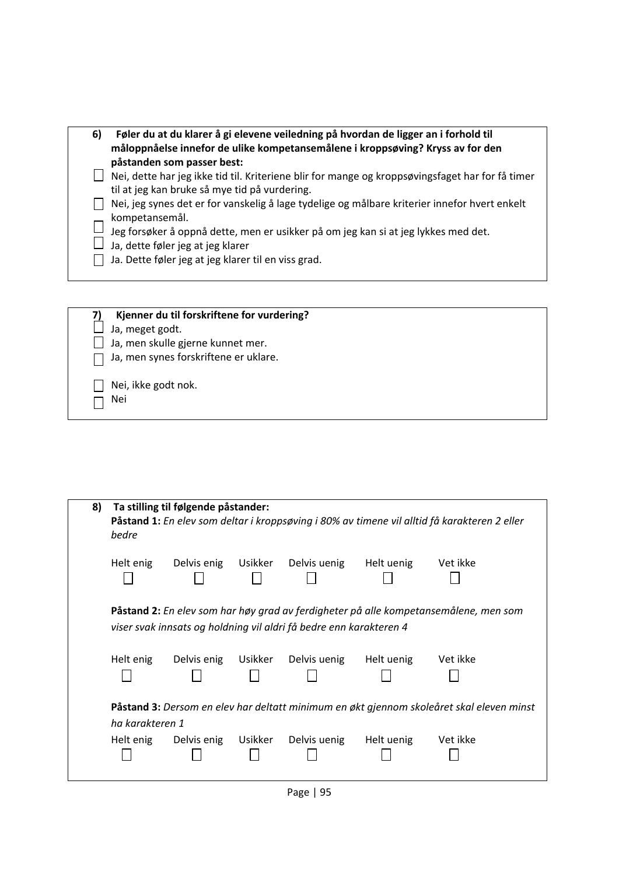| 6) | Føler du at du klarer å gi elevene veiledning på hvordan de ligger an i forhold til<br>måloppnåelse innefor de ulike kompetansemålene i kroppsøving? Kryss av for den |
|----|-----------------------------------------------------------------------------------------------------------------------------------------------------------------------|
|    | påstanden som passer best:                                                                                                                                            |
|    | Nei, dette har jeg ikke tid til. Kriteriene blir for mange og kroppsøvingsfaget har for få timer<br>til at jeg kan bruke så mye tid på vurdering.                     |
|    | Nei, jeg synes det er for vanskelig å lage tydelige og målbare kriterier innefor hvert enkelt<br>kompetansemål.                                                       |
|    | Jeg forsøker å oppnå dette, men er usikker på om jeg kan si at jeg lykkes med det.<br>Ja, dette føler jeg at jeg klarer                                               |
|    | Ja. Dette føler jeg at jeg klarer til en viss grad.                                                                                                                   |
|    |                                                                                                                                                                       |

| Kjenner du til forskriftene for vurdering? |
|--------------------------------------------|
| Ja, meget godt.                            |
| Ja, men skulle gjerne kunnet mer.          |
| Ja, men synes forskriftene er uklare.      |
| Nei, ikke godt nok.<br>Nei                 |

| 8) | bedre           | Ta stilling til følgende påstander: |         |                                                                    |            | Påstand 1: En elev som deltar i kroppsøving i 80% av timene vil alltid få karakteren 2 eller |  |
|----|-----------------|-------------------------------------|---------|--------------------------------------------------------------------|------------|----------------------------------------------------------------------------------------------|--|
|    | Helt enig       | Delvis enig                         | Usikker | Delvis uenig                                                       | Helt uenig | Vet ikke                                                                                     |  |
|    |                 |                                     |         | viser svak innsats og holdning vil aldri få bedre enn karakteren 4 |            | <b>Påstand 2:</b> En elev som har høy grad av ferdigheter på alle kompetansemålene, men som  |  |
|    | Helt enig       | Delvis enig                         | Usikker | Delvis uenig                                                       | Helt uenig | Vet ikke                                                                                     |  |
|    | ha karakteren 1 |                                     |         |                                                                    |            | Påstand 3: Dersom en elev har deltatt minimum en økt gjennom skoleåret skal eleven minst     |  |
|    | Helt enig       | Delvis enig                         | Usikker | Delvis uenig                                                       | Helt uenig | Vet ikke                                                                                     |  |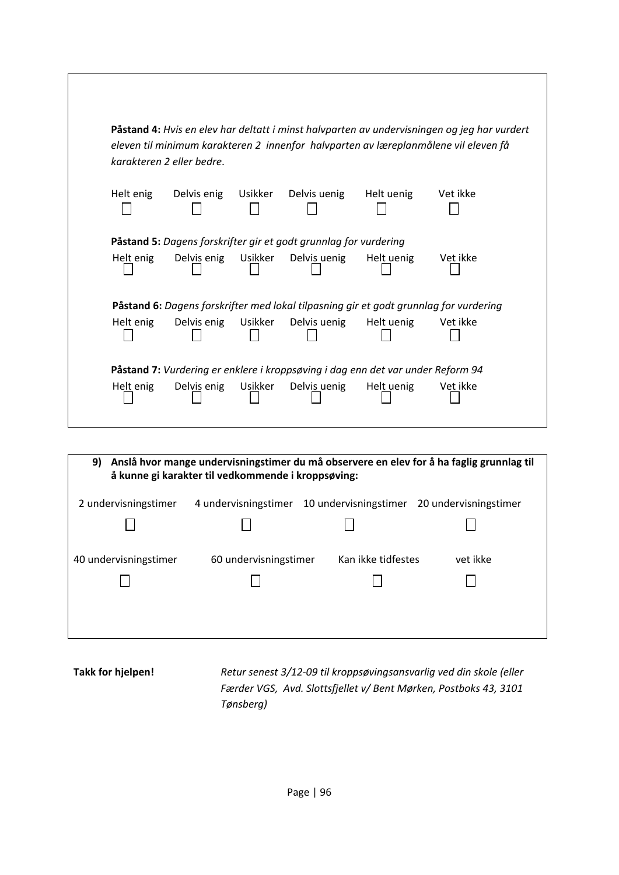|           | karakteren 2 eller bedre. |         |                                                                                 |            | Påstand 4: Hvis en elev har deltatt i minst halvparten av undervisningen og jeg har vurdert<br>eleven til minimum karakteren 2 innenfor halvparten av læreplanmålene vil eleven få |
|-----------|---------------------------|---------|---------------------------------------------------------------------------------|------------|------------------------------------------------------------------------------------------------------------------------------------------------------------------------------------|
| Helt enig | Delvis enig               | Usikker | Delvis uenig                                                                    | Helt uenig | Vet ikke                                                                                                                                                                           |
|           |                           |         | Påstand 5: Dagens forskrifter gir et godt grunnlag for vurdering                |            |                                                                                                                                                                                    |
| Helt enig | Delvis enig               | Usikker | Delvis uenig                                                                    | Helt uenig | Vet ikke                                                                                                                                                                           |
|           |                           |         |                                                                                 |            | Påstand 6: Dagens forskrifter med lokal tilpasning gir et godt grunnlag for vurdering                                                                                              |
| Helt enig | Delvis enig               | Usikker | Delvis uenig                                                                    | Helt uenig | Vet ikke                                                                                                                                                                           |
|           |                           |         | Påstand 7: Vurdering er enklere i kroppsøving i dag enn det var under Reform 94 |            |                                                                                                                                                                                    |
| Helt enig | Delvis enig               | Usikker | Delvis uenig                                                                    | Helt uenig | Vet ikke                                                                                                                                                                           |

| Anslå hvor mange undervisningstimer du må observere en elev for å ha faglig grunnlag til<br>9)<br>å kunne gi karakter til vedkommende i kroppsøving: |                       |                       |                       |  |
|------------------------------------------------------------------------------------------------------------------------------------------------------|-----------------------|-----------------------|-----------------------|--|
| 2 undervisningstimer                                                                                                                                 | 4 undervisningstimer  | 10 undervisningstimer | 20 undervisningstimer |  |
|                                                                                                                                                      |                       |                       |                       |  |
| 40 undervisningstimer                                                                                                                                | 60 undervisningstimer | Kan ikke tidfestes    | vet ikke              |  |
|                                                                                                                                                      |                       |                       |                       |  |

**Takk for hjelpen!** *Retur senest 3/12‐09 til kroppsøvingsansvarlig ved din skole (eller Færder VGS, Avd. Slottsfjellet v/ Bent Mørken, Postboks 43, 3101 Tønsberg)*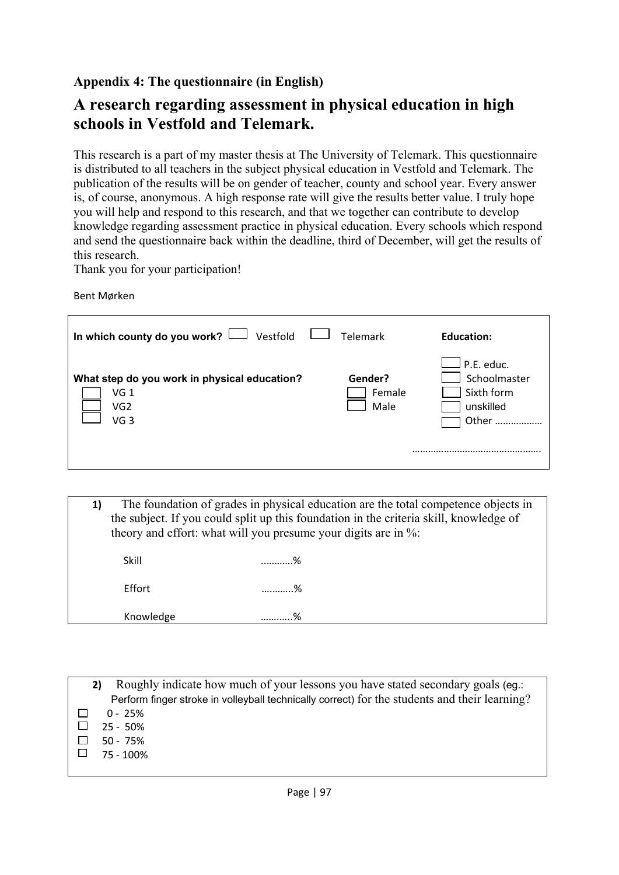## **Appendix 4: The questionnaire (in English)**

# **A research regarding assessment in physical education in high schools in Vestfold and Telemark.**

This research is a part of my master thesis at The University of Telemark. This questionnaire is distributed to all teachers in the subject physical education in Vestfold and Telemark. The publication of the results will be on gender of teacher, county and school year. Every answer is, of course, anonymous. A high response rate will give the results better value. I truly hope you will help and respond to this research, and that we together can contribute to develop knowledge regarding assessment practice in physical education. Every schools which respond and send the questionnaire back within the deadline, third of December, will get the results of this research.

Thank you for your participation!

Bent Mørken

| In which county do you work? $\Box$ Vestfold                                                          | <b>Telemark</b>           | <b>Education:</b>                                               |
|-------------------------------------------------------------------------------------------------------|---------------------------|-----------------------------------------------------------------|
| What step do you work in physical education?<br>VG <sub>1</sub><br>VG <sub>2</sub><br>VG <sub>3</sub> | Gender?<br>Female<br>Male | ┘P.E. educ.<br>Schoolmaster<br>Sixth form<br>unskilled<br>Other |

**1)** The foundation of grades in physical education are the total competence objects in the subject. If you could split up this foundation in the criteria skill, knowledge of theory and effort: what will you presume your digits are in %:

| Knowledge | ∘∕<br>/∪          |
|-----------|-------------------|
| Effort    | %                 |
| Skill     | $O_{\mathcal{A}}$ |

| Roughly indicate how much of your lessons you have stated secondary goals (eg.:               |
|-----------------------------------------------------------------------------------------------|
| Perform finger stroke in volleyball technically correct) for the students and their learning? |
| $0 - 25%$                                                                                     |
| $25 - 50%$                                                                                    |
| $50 - 75%$                                                                                    |
| 75 - 100%                                                                                     |
|                                                                                               |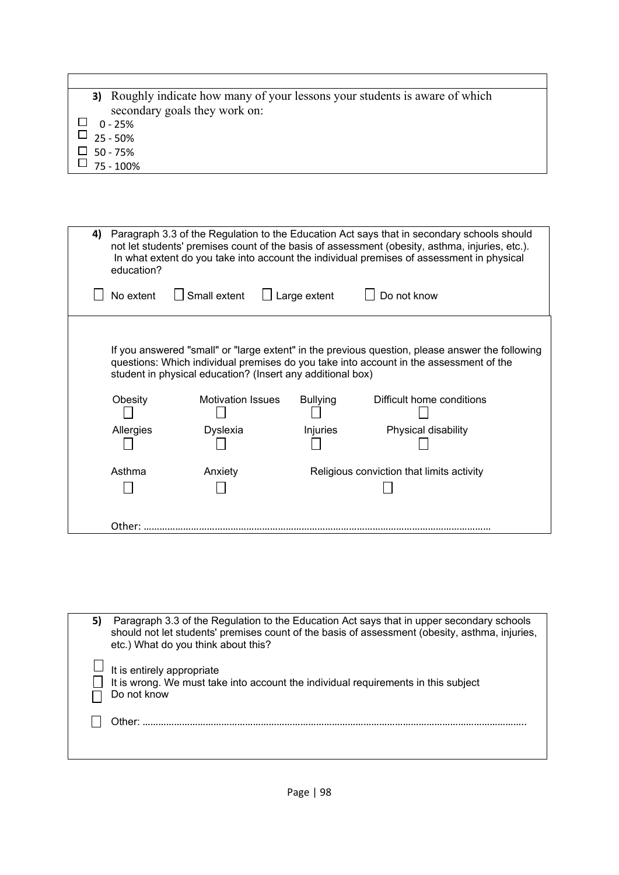| <b>3)</b> Roughly indicate how many of your lessons your students is aware of which |
|-------------------------------------------------------------------------------------|
| secondary goals they work on:                                                       |
| 0 - 25%                                                                             |

- 
- $\cup$  25 50%
- $\Box$  50 75%
- $\Box$  75 100%

| 4) | Paragraph 3.3 of the Regulation to the Education Act says that in secondary schools should<br>not let students' premises count of the basis of assessment (obesity, asthma, injuries, etc.).<br>In what extent do you take into account the individual premises of assessment in physical<br>education? |                                             |                                                                                           |                                                                                                                                                                                                                                               |  |
|----|---------------------------------------------------------------------------------------------------------------------------------------------------------------------------------------------------------------------------------------------------------------------------------------------------------|---------------------------------------------|-------------------------------------------------------------------------------------------|-----------------------------------------------------------------------------------------------------------------------------------------------------------------------------------------------------------------------------------------------|--|
|    | No extent                                                                                                                                                                                                                                                                                               | Small extent                                | Large extent                                                                              | Do not know                                                                                                                                                                                                                                   |  |
|    | Obesity<br>Allergies                                                                                                                                                                                                                                                                                    | <b>Motivation Issues</b><br><b>Dyslexia</b> | student in physical education? (Insert any additional box)<br><b>Bullying</b><br>Injuries | If you answered "small" or "large extent" in the previous question, please answer the following<br>questions: Which individual premises do you take into account in the assessment of the<br>Difficult home conditions<br>Physical disability |  |
|    | Asthma                                                                                                                                                                                                                                                                                                  | Anxiety                                     |                                                                                           | Religious conviction that limits activity                                                                                                                                                                                                     |  |
|    | Other:                                                                                                                                                                                                                                                                                                  |                                             |                                                                                           |                                                                                                                                                                                                                                               |  |

| 5) | Paragraph 3.3 of the Regulation to the Education Act says that in upper secondary schools<br>should not let students' premises count of the basis of assessment (obesity, asthma, injuries,<br>etc.) What do you think about this? |
|----|------------------------------------------------------------------------------------------------------------------------------------------------------------------------------------------------------------------------------------|
|    | It is entirely appropriate<br>It is wrong. We must take into account the individual requirements in this subject<br>Do not know                                                                                                    |
|    | .)ther:                                                                                                                                                                                                                            |
|    |                                                                                                                                                                                                                                    |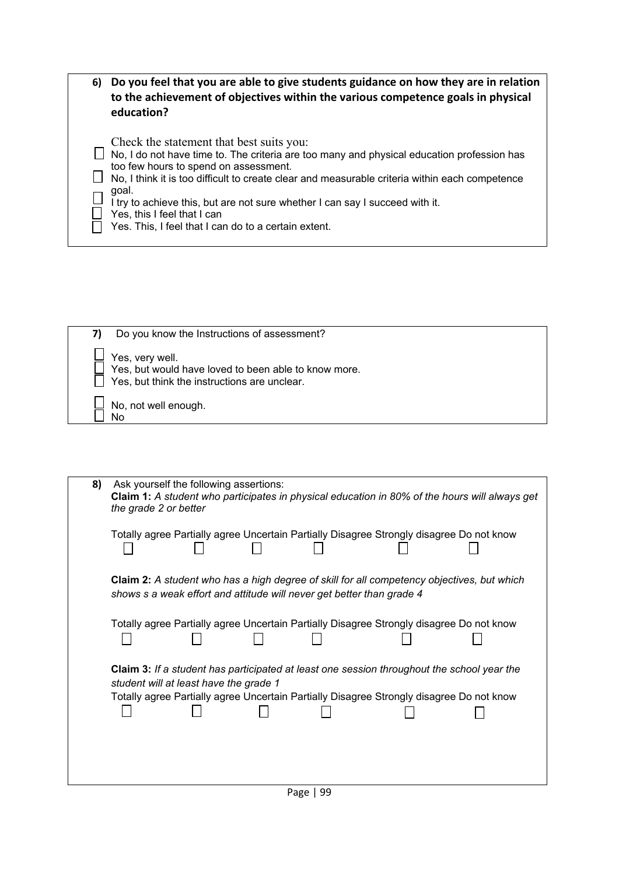| 6) | Do you feel that you are able to give students guidance on how they are in relation<br>to the achievement of objectives within the various competence goals in physical<br>education?                                                                                                                                                                                                                                                                             |
|----|-------------------------------------------------------------------------------------------------------------------------------------------------------------------------------------------------------------------------------------------------------------------------------------------------------------------------------------------------------------------------------------------------------------------------------------------------------------------|
|    | Check the statement that best suits you:<br>No, I do not have time to. The criteria are too many and physical education profession has<br>too few hours to spend on assessment.<br>No. I think it is too difficult to create clear and measurable criteria within each competence<br>goal.<br>I try to achieve this, but are not sure whether I can say I succeed with it.<br>Yes, this I feel that I can<br>Yes. This, I feel that I can do to a certain extent. |

| Do you know the Instructions of assessment?                                                                             |
|-------------------------------------------------------------------------------------------------------------------------|
| Yes, very well.<br>Yes, but would have loved to been able to know more.<br>Yes, but think the instructions are unclear. |
| No, not well enough.<br>N٥                                                                                              |

| Ask yourself the following assertions:<br><b>Claim 1:</b> A student who participates in physical education in 80% of the hours will always get<br>the grade 2 or better                                                                 |
|-----------------------------------------------------------------------------------------------------------------------------------------------------------------------------------------------------------------------------------------|
| Totally agree Partially agree Uncertain Partially Disagree Strongly disagree Do not know                                                                                                                                                |
| Claim 2: A student who has a high degree of skill for all competency objectives, but which<br>shows s a weak effort and attitude will never get better than grade 4                                                                     |
| Totally agree Partially agree Uncertain Partially Disagree Strongly disagree Do not know                                                                                                                                                |
| <b>Claim 3:</b> If a student has participated at least one session throughout the school year the<br>student will at least have the grade 1<br>Totally agree Partially agree Uncertain Partially Disagree Strongly disagree Do not know |
|                                                                                                                                                                                                                                         |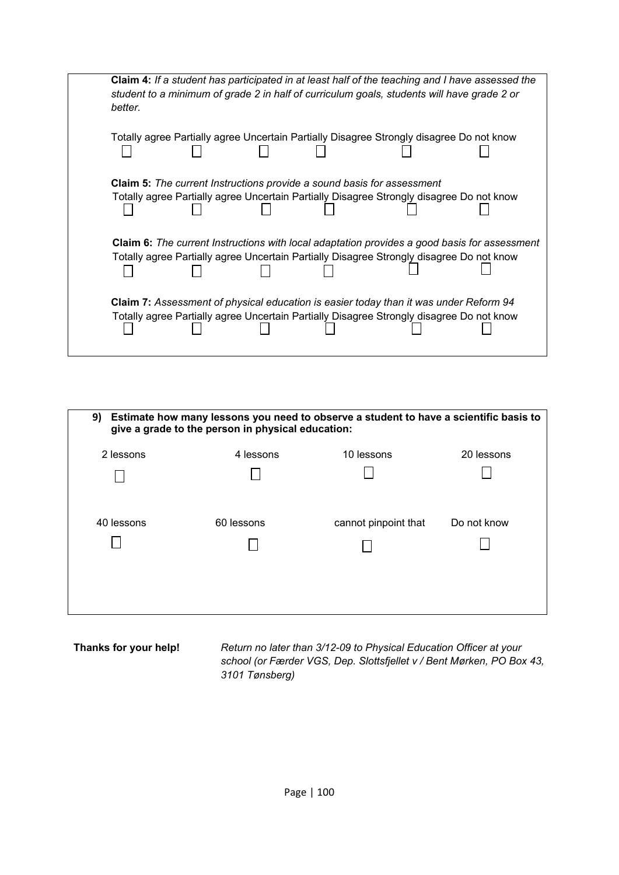|  |                                                                               | Totally agree Partially agree Uncertain Partially Disagree Strongly disagree Do not know |                                                                                                                                                                                                                                                                                             |
|--|-------------------------------------------------------------------------------|------------------------------------------------------------------------------------------|---------------------------------------------------------------------------------------------------------------------------------------------------------------------------------------------------------------------------------------------------------------------------------------------|
|  |                                                                               |                                                                                          |                                                                                                                                                                                                                                                                                             |
|  | <b>Claim 5:</b> The current Instructions provide a sound basis for assessment |                                                                                          |                                                                                                                                                                                                                                                                                             |
|  |                                                                               |                                                                                          |                                                                                                                                                                                                                                                                                             |
|  |                                                                               |                                                                                          |                                                                                                                                                                                                                                                                                             |
|  |                                                                               |                                                                                          |                                                                                                                                                                                                                                                                                             |
|  |                                                                               |                                                                                          | Totally agree Partially agree Uncertain Partially Disagree Strongly disagree Do not know<br><b>Claim 6:</b> The current Instructions with local adaptation provides a good basis for assessment<br>Totally agree Partially agree Uncertain Partially Disagree Strongly disagree Do not know |

| 9)<br>Estimate how many lessons you need to observe a student to have a scientific basis to<br>give a grade to the person in physical education: |            |                      |             |  |  |  |
|--------------------------------------------------------------------------------------------------------------------------------------------------|------------|----------------------|-------------|--|--|--|
| 2 lessons                                                                                                                                        | 4 lessons  | 10 lessons           | 20 lessons  |  |  |  |
|                                                                                                                                                  |            |                      |             |  |  |  |
| 40 lessons                                                                                                                                       | 60 lessons | cannot pinpoint that | Do not know |  |  |  |
|                                                                                                                                                  |            |                      |             |  |  |  |

**Thanks for your help!** *Return no later than 3/12-09 to Physical Education Officer at your school (or Færder VGS, Dep. Slottsfjellet v / Bent Mørken, PO Box 43, 3101 Tønsberg)*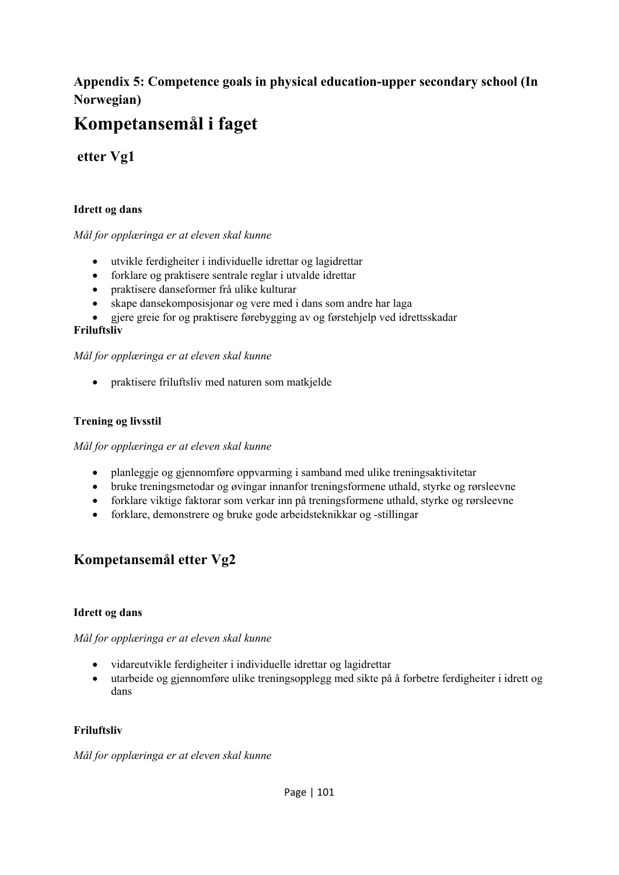# **Appendix 5: Competence goals in physical education-upper secondary school (In Norwegian)**

# **Kompetansemål i faget**

# **etter Vg1**

## **Idrett og dans**

### *Mål for opplæringa er at eleven skal kunne*

- utvikle ferdigheiter i individuelle idrettar og lagidrettar
- forklare og praktisere sentrale reglar i utvalde idrettar
- praktisere danseformer frå ulike kulturar
- skape dansekomposisjonar og vere med i dans som andre har laga
- gjere greie for og praktisere førebygging av og førstehjelp ved idrettsskadar

## **Friluftsliv**

### *Mål for opplæringa er at eleven skal kunne*

• praktisere friluftsliv med naturen som matkielde

### **Trening og livsstil**

*Mål for opplæringa er at eleven skal kunne* 

- planleggje og gjennomføre oppvarming i samband med ulike treningsaktivitetar
- bruke treningsmetodar og øvingar innanfor treningsformene uthald, styrke og rørsleevne
- forklare viktige faktorar som verkar inn på treningsformene uthald, styrke og rørsleevne
- forklare, demonstrere og bruke gode arbeidsteknikkar og -stillingar

# **Kompetansemål etter Vg2**

### **Idrett og dans**

### *Mål for opplæringa er at eleven skal kunne*

- vidareutvikle ferdigheiter i individuelle idrettar og lagidrettar
- utarbeide og gjennomføre ulike treningsopplegg med sikte på å forbetre ferdigheiter i idrett og dans

### **Friluftsliv**

*Mål for opplæringa er at eleven skal kunne*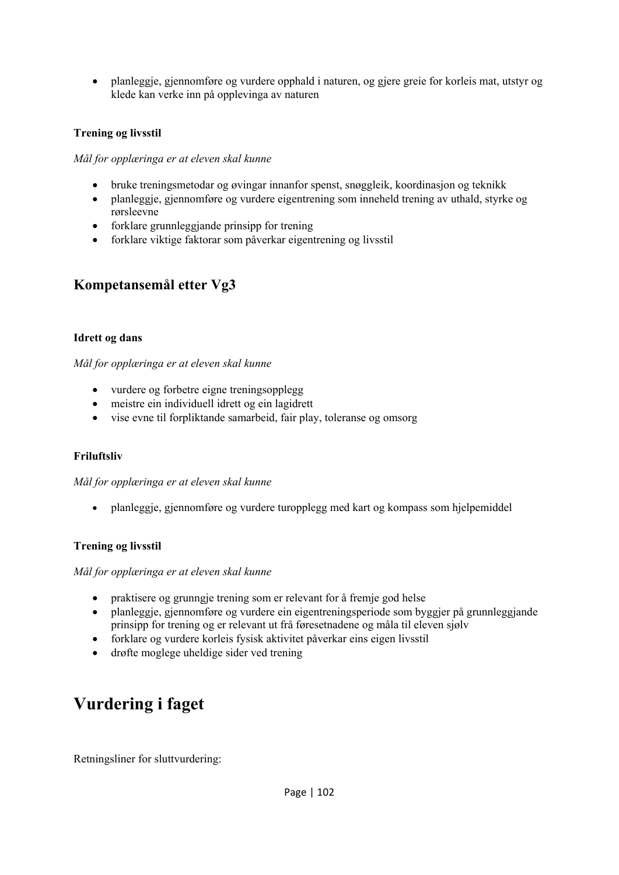• planleggje, gjennomføre og vurdere opphald i naturen, og gjere greie for korleis mat, utstyr og klede kan verke inn på opplevinga av naturen

### **Trening og livsstil**

*Mål for opplæringa er at eleven skal kunne* 

- bruke treningsmetodar og øvingar innanfor spenst, snøggleik, koordinasjon og teknikk
- planleggje, gjennomføre og vurdere eigentrening som inneheld trening av uthald, styrke og rørsleevne
- forklare grunnleggjande prinsipp for trening
- forklare viktige faktorar som påverkar eigentrening og livsstil

## **Kompetansemål etter Vg3**

### **Idrett og dans**

*Mål for opplæringa er at eleven skal kunne* 

- vurdere og forbetre eigne treningsopplegg
- meistre ein individuell idrett og ein lagidrett
- vise evne til forpliktande samarbeid, fair play, toleranse og omsorg

### **Friluftsliv**

*Mål for opplæringa er at eleven skal kunne* 

• planleggje, gjennomføre og vurdere turopplegg med kart og kompass som hjelpemiddel

### **Trening og livsstil**

*Mål for opplæringa er at eleven skal kunne* 

- praktisere og grunngje trening som er relevant for å fremje god helse
- planleggje, gjennomføre og vurdere ein eigentreningsperiode som byggjer på grunnleggjande prinsipp for trening og er relevant ut frå føresetnadene og måla til eleven sjølv
- forklare og vurdere korleis fysisk aktivitet påverkar eins eigen livsstil
- drøfte moglege uheldige sider ved trening

# **Vurdering i faget**

Retningsliner for sluttvurdering: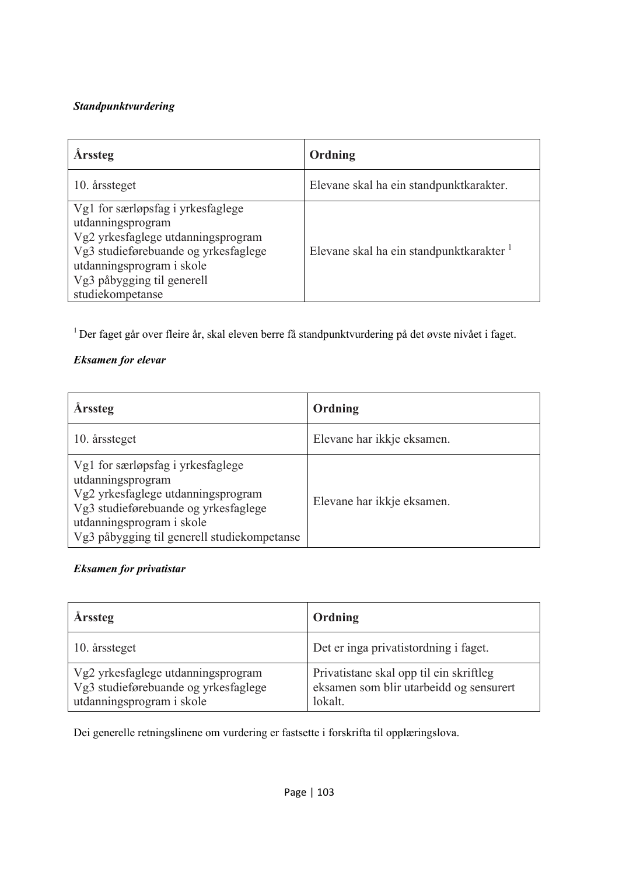## *Standpunktvurdering*

| <b>Arssteg</b>                                                                                                                                                                                                      | Ordning                                 |
|---------------------------------------------------------------------------------------------------------------------------------------------------------------------------------------------------------------------|-----------------------------------------|
| 10. årssteget                                                                                                                                                                                                       | Elevane skal ha ein standpunktkarakter. |
| Vg1 for særløpsfag i yrkesfaglege<br>utdanningsprogram<br>Vg2 yrkesfaglege utdanningsprogram<br>Vg3 studieførebuande og yrkesfaglege<br>utdanningsprogram i skole<br>Vg3 påbygging til generell<br>studiekompetanse | Elevane skal ha ein standpunktkarakter  |

1 Der faget går over fleire år, skal eleven berre få standpunktvurdering på det øvste nivået i faget.

## *Eksamen for elevar*

| <b>Arssteg</b>                                                                                                                                                                                                   | Ordning                    |
|------------------------------------------------------------------------------------------------------------------------------------------------------------------------------------------------------------------|----------------------------|
| 10. årssteget                                                                                                                                                                                                    | Elevane har ikkje eksamen. |
| Vg1 for særløpsfag i yrkesfaglege<br>utdanningsprogram<br>Vg2 yrkesfaglege utdanningsprogram<br>Vg3 studieførebuande og yrkesfaglege<br>utdanningsprogram i skole<br>Vg3 påbygging til generell studiekompetanse | Elevane har ikkje eksamen. |

## *Eksamen for privatistar*

| <b>Arssteg</b>                                                                                          | Ordning                                                                                       |
|---------------------------------------------------------------------------------------------------------|-----------------------------------------------------------------------------------------------|
| 10. årssteget                                                                                           | Det er inga privatistordning i faget.                                                         |
| Vg2 yrkesfaglege utdanningsprogram<br>Vg3 studieførebuande og yrkesfaglege<br>utdanningsprogram i skole | Privatistane skal opp til ein skriftleg<br>eksamen som blir utarbeidd og sensurert<br>lokalt. |

Dei generelle retningslinene om vurdering er fastsette i forskrifta til opplæringslova.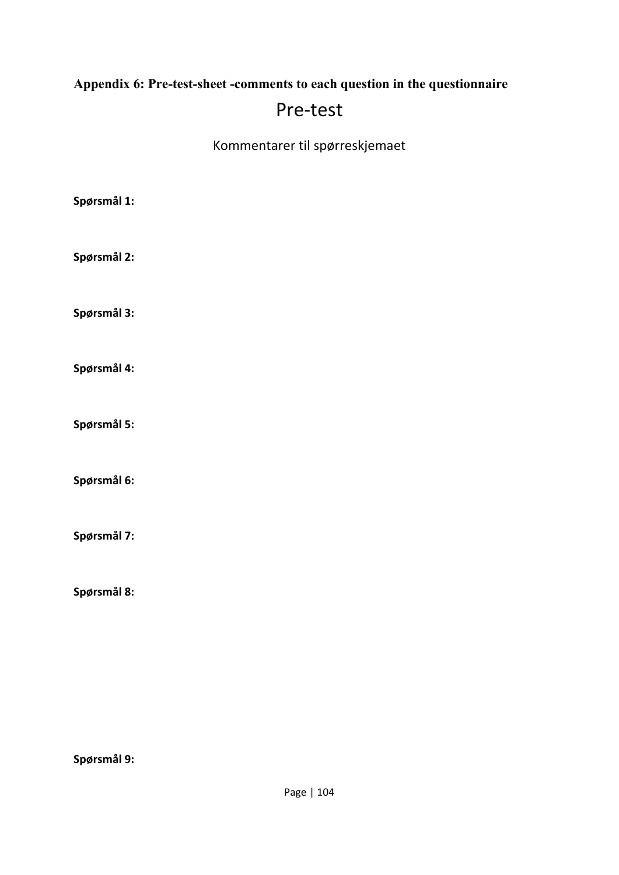# **Appendix 6: Pre-test-sheet -comments to each question in the questionnaire**

# Pre‐test

Kommentarer til spørreskjemaet

| Spørsmål 1: |  |  |
|-------------|--|--|
| Spørsmål 2: |  |  |
| Spørsmål 3: |  |  |
| Spørsmål 4: |  |  |
| Spørsmål 5: |  |  |
| Spørsmål 6: |  |  |
| Spørsmål 7: |  |  |
|             |  |  |

**Spørsmål 8:**

**Spørsmål 9:**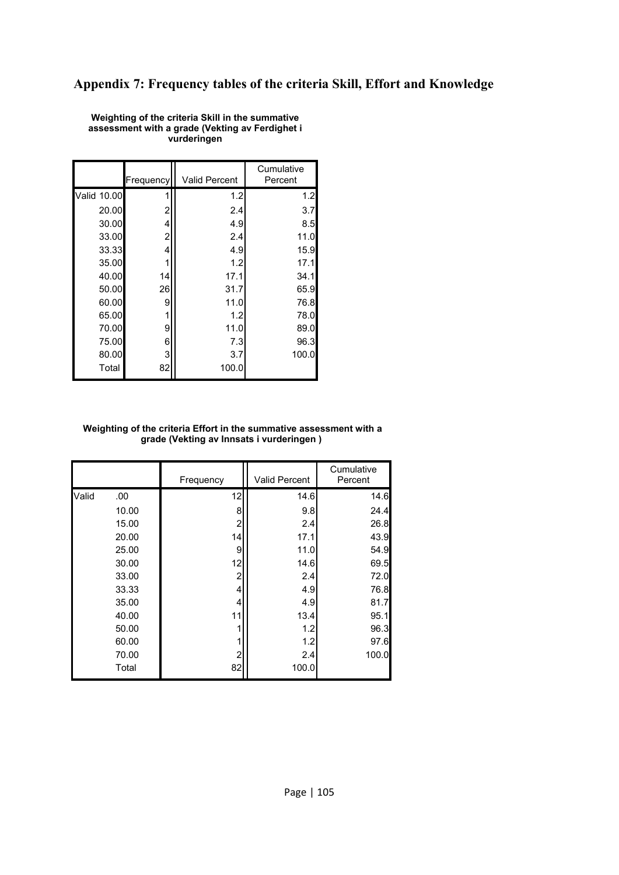## **Appendix 7: Frequency tables of the criteria Skill, Effort and Knowledge**

|             | Frequency | <b>Valid Percent</b> | Cumulative<br>Percent |
|-------------|-----------|----------------------|-----------------------|
| Valid 10.00 | 1         | 1.2                  | 1.2                   |
| 20.00       | 2         | 2.4                  | 3.7                   |
| 30.00       | 4         | 4.9                  | 8.5                   |
| 33.00       | 2         | 2.4                  | 11.0                  |
| 33.33       | 4         | 4.9                  | 15.9                  |
| 35.00       |           | 1.2                  | 17.1                  |
| 40.00       | 14        | 17.1                 | 34.1                  |
| 50.00       | 26        | 31.7                 | 65.9                  |
| 60.00       | 9         | 11.0                 | 76.8                  |
| 65.00       | 1         | 1.2                  | 78.0                  |
| 70.00       | 9         | 11.0                 | 89.0                  |
| 75.00       | 6         | 7.3                  | 96.3                  |
| 80.00       | 3         | 3.7                  | 100.0                 |
| Total       | 82        | 100.0                |                       |

**Weighting of the criteria Skill in the summative assessment with a grade (Vekting av Ferdighet i vurderingen** 

#### **Weighting of the criteria Effort in the summative assessment with a grade (Vekting av Innsats i vurderingen )**

|       |       | Frequency      | <b>Valid Percent</b> | Cumulative<br>Percent |
|-------|-------|----------------|----------------------|-----------------------|
| Valid | .00.  | 12             | 14.6                 | 14.6                  |
|       | 10.00 | 8              | 9.8                  | 24.4                  |
|       | 15.00 | 2              | 2.4                  | 26.8                  |
|       | 20.00 | 14             | 17.1                 | 43.9                  |
|       | 25.00 | 9              | 11.0                 | 54.9                  |
|       | 30.00 | 12             | 14.6                 | 69.5                  |
|       | 33.00 | $\overline{c}$ | 2.4                  | 72.0                  |
|       | 33.33 | 4              | 4.9                  | 76.8                  |
|       | 35.00 | 4              | 4.9                  | 81.7                  |
|       | 40.00 | 11             | 13.4                 | 95.1                  |
|       | 50.00 | 1              | 1.2                  | 96.3                  |
|       | 60.00 | 1              | 1.2                  | 97.6                  |
|       | 70.00 | $\overline{2}$ | 2.4                  | 100.0                 |
|       | Total | 82             | 100.0                |                       |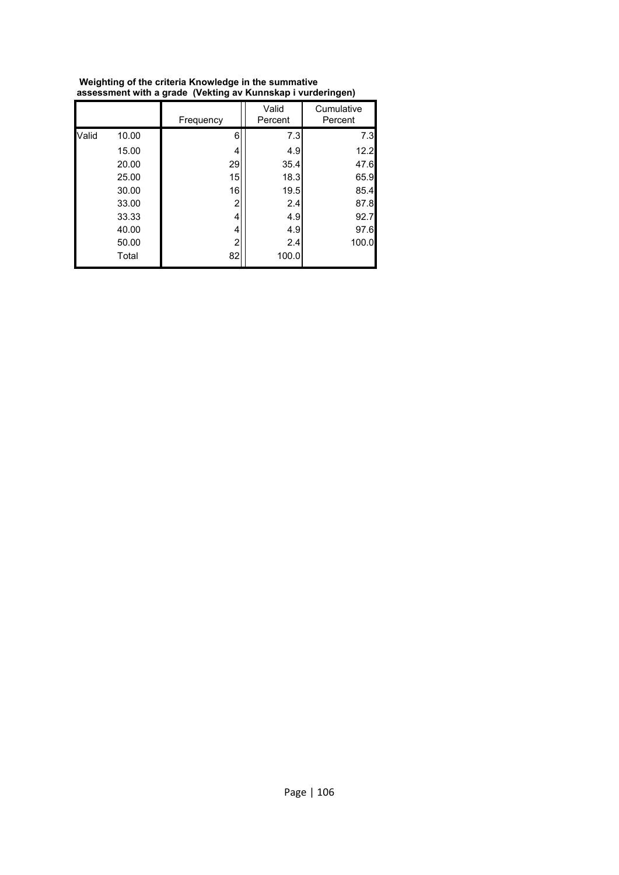|       |       | Frequency      | Valid<br>Percent | Cumulative<br>Percent |
|-------|-------|----------------|------------------|-----------------------|
| Valid | 10.00 | 6              | 7.3              | 7.3                   |
|       | 15.00 | 4              | 4.9              | 12.2                  |
|       | 20.00 | 29             | 35.4             | 47.6                  |
|       | 25.00 | 15             | 18.3             | 65.9                  |
|       | 30.00 | 16             | 19.5             | 85.4                  |
|       | 33.00 | 2              | 2.4              | 87.8                  |
|       | 33.33 | 4              | 4.9              | 92.7                  |
|       | 40.00 | 4              | 4.9              | 97.6                  |
|       | 50.00 | $\overline{c}$ | 2.4              | 100.0                 |
|       | Total | 82             | 100.0            |                       |

 **Weighting of the criteria Knowledge in the summative assessment with a grade (Vekting av Kunnskap i vurderingen)**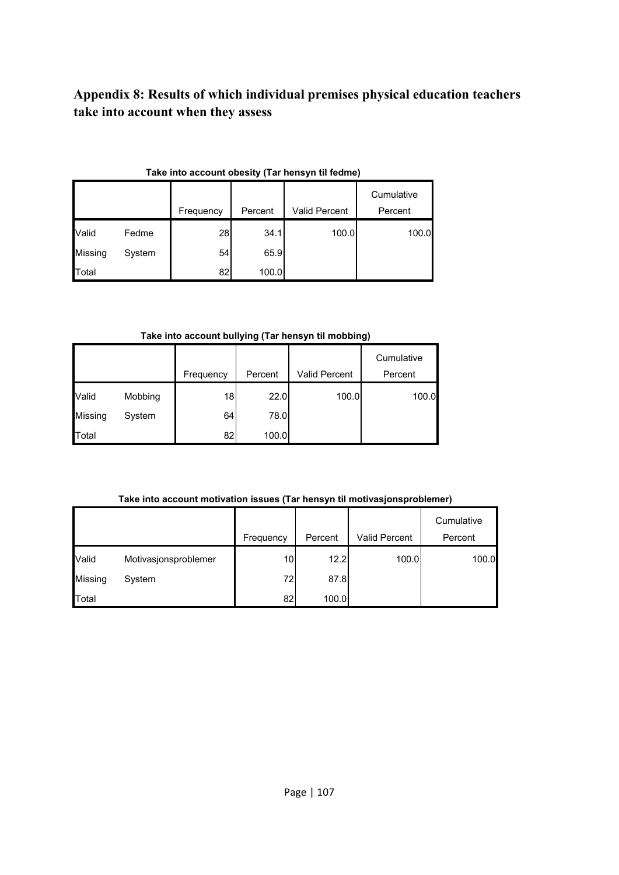# **Appendix 8: Results of which individual premises physical education teachers take into account when they assess**

|                | rake muu account obesity (rar hensyn tii leunie) |           |         |               |            |  |  |  |
|----------------|--------------------------------------------------|-----------|---------|---------------|------------|--|--|--|
|                |                                                  |           |         |               | Cumulative |  |  |  |
|                |                                                  | Frequency | Percent | Valid Percent | Percent    |  |  |  |
| Valid          | Fedme                                            | 28        | 34.1    | 100.0         | 100.0      |  |  |  |
| <b>Missing</b> | System                                           | 54        | 65.9    |               |            |  |  |  |
| Total          |                                                  | 82        | 100.0   |               |            |  |  |  |

#### **Take into account obesity (Tar hensyn til fedme)**

#### **Take into account bullying (Tar hensyn til mobbing)**

|         |         |           |         |               | Cumulative |
|---------|---------|-----------|---------|---------------|------------|
|         |         | Frequency | Percent | Valid Percent | Percent    |
| Valid   | Mobbing | 18        | 22.0    | 100.0         | 100.0      |
| Missing | System  | 64        | 78.0    |               |            |
| Total   |         | 82        | 100.0   |               |            |

### **Take into account motivation issues (Tar hensyn til motivasjonsproblemer)**

|         |                      | Frequency | Percent | Valid Percent | Cumulative<br>Percent |
|---------|----------------------|-----------|---------|---------------|-----------------------|
| Valid   | Motivasjonsproblemer | 10        | 12.2    | 100.0         | 100.0                 |
| Missing | System               | 72        | 87.8    |               |                       |
| Total   |                      | 82        | 100.0   |               |                       |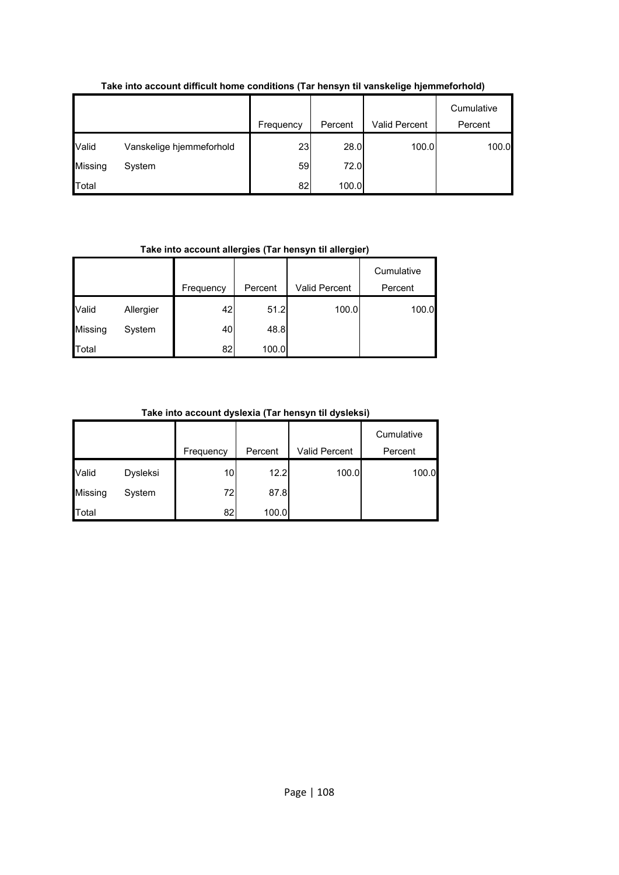|         |                          | Frequency | Percent | Valid Percent | Cumulative<br>Percent |
|---------|--------------------------|-----------|---------|---------------|-----------------------|
|         |                          |           |         |               |                       |
| Valid   | Vanskelige hjemmeforhold | 23        | 28.0    | 100.0         | 100.0                 |
| Missing | System                   | 59        | 72.0    |               |                       |
| Total   |                          | 82        | 100.0   |               |                       |

### **Take into account difficult home conditions (Tar hensyn til vanskelige hjemmeforhold)**

### **Take into account allergies (Tar hensyn til allergier)**

|         |           | Frequency | Percent | Valid Percent | Cumulative<br>Percent |
|---------|-----------|-----------|---------|---------------|-----------------------|
| Valid   | Allergier | 42        | 51.2    | 100.0         | 100.0                 |
| Missing | System    | 40        | 48.8    |               |                       |
| Total   |           | 82        | 100.0   |               |                       |

### **Take into account dyslexia (Tar hensyn til dysleksi)**

|                |          | Frequency | Percent | Valid Percent | Cumulative<br>Percent |
|----------------|----------|-----------|---------|---------------|-----------------------|
| Valid          | Dysleksi | 10        | 12.2    | 100.0         | 100.0                 |
| <b>Missing</b> | System   | 72        | 87.8    |               |                       |
| <b>Total</b>   |          | 82        | 100.0   |               |                       |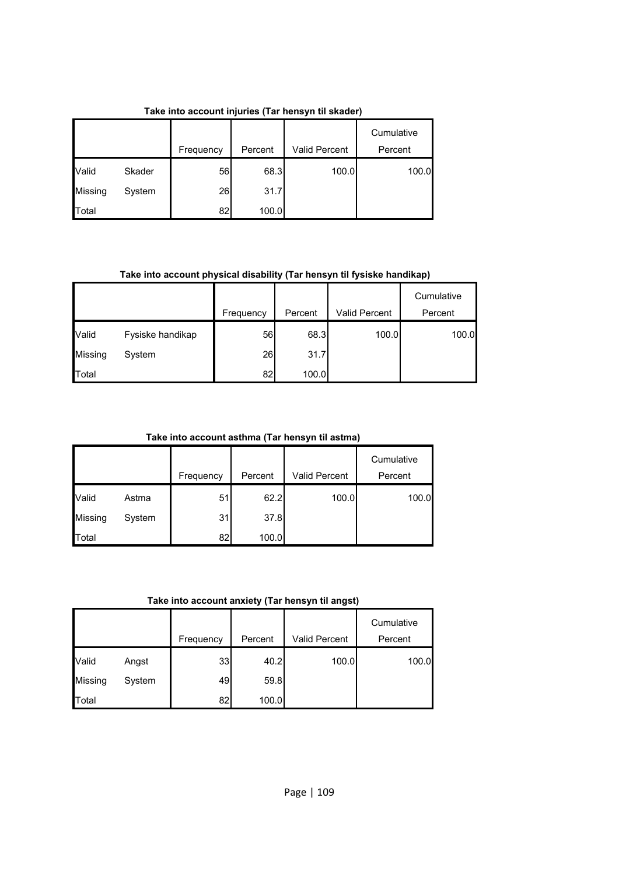|         |        |           |         |                      | Cumulative |
|---------|--------|-----------|---------|----------------------|------------|
|         |        | Frequency | Percent | <b>Valid Percent</b> | Percent    |
| Valid   | Skader | 56        | 68.3    | 100.0                | 100.0      |
| Missing | System | 26        | 31.7    |                      |            |
| Total   |        | 82        | 100.0   |                      |            |

**Take into account injuries (Tar hensyn til skader)**

**Take into account physical disability (Tar hensyn til fysiske handikap)**

|         |                  |           |         |               | Cumulative |
|---------|------------------|-----------|---------|---------------|------------|
|         |                  | Frequency | Percent | Valid Percent | Percent    |
| Valid   | Fysiske handikap | 56        | 68.3    | 100.0         | 100.0      |
| Missing | System           | 26        | 31.7    |               |            |
| Total   |                  | 82        | 100.0   |               |            |

**Take into account asthma (Tar hensyn til astma)**

|                |        |           |         |               | Cumulative |
|----------------|--------|-----------|---------|---------------|------------|
|                |        | Frequency | Percent | Valid Percent | Percent    |
| Valid          | Astma  | 51        | 62.2    | 100.0         | 100.0      |
| <b>Missing</b> | System | 31        | 37.8    |               |            |
| Total          |        | 82        | 100.0   |               |            |

**Take into account anxiety (Tar hensyn til angst)**

|                |        | Frequency | Percent | Valid Percent | Cumulative<br>Percent |
|----------------|--------|-----------|---------|---------------|-----------------------|
| Valid          | Angst  | 33        | 40.2    | 100.0         | 100.0                 |
| <b>Missing</b> | System | 49        | 59.8    |               |                       |
| Total          |        | 82        | 100.0   |               |                       |